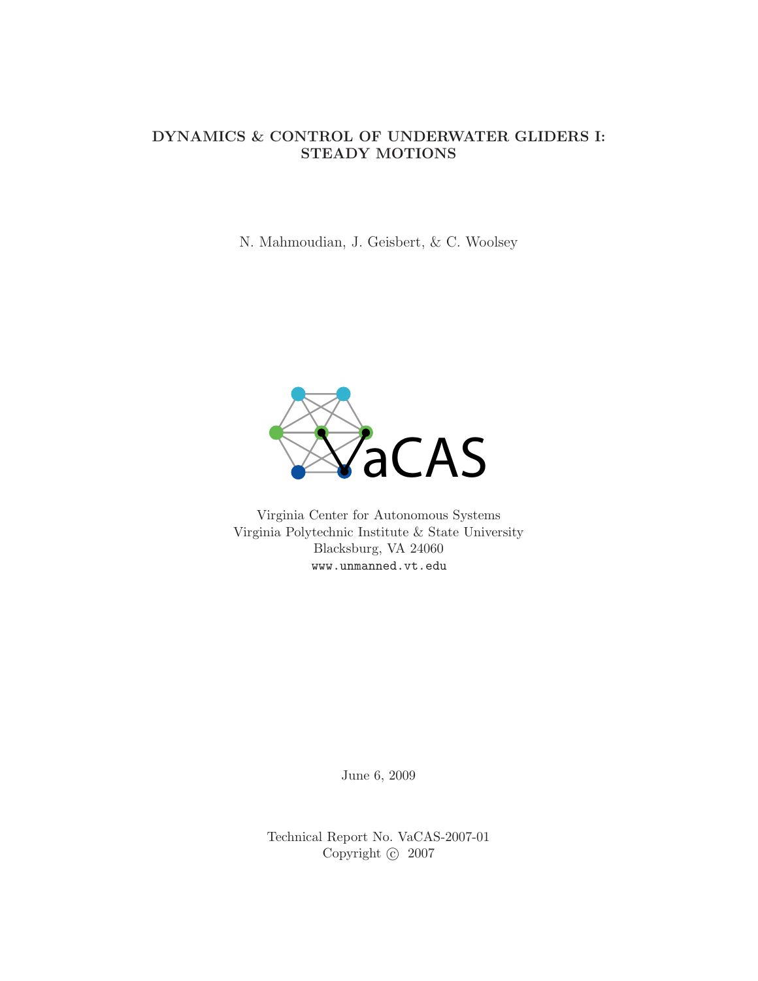### DYNAMICS & CONTROL OF UNDERWATER GLIDERS I: STEADY MOTIONS

N. Mahmoudian, J. Geisbert, & C. Woolsey



Virginia Center for Autonomous Systems Virginia Polytechnic Institute & State University Blacksburg, VA 24060 www.unmanned.vt.edu

June 6, 2009

Technical Report No. VaCAS-2007-01 Copyright  $\odot$  2007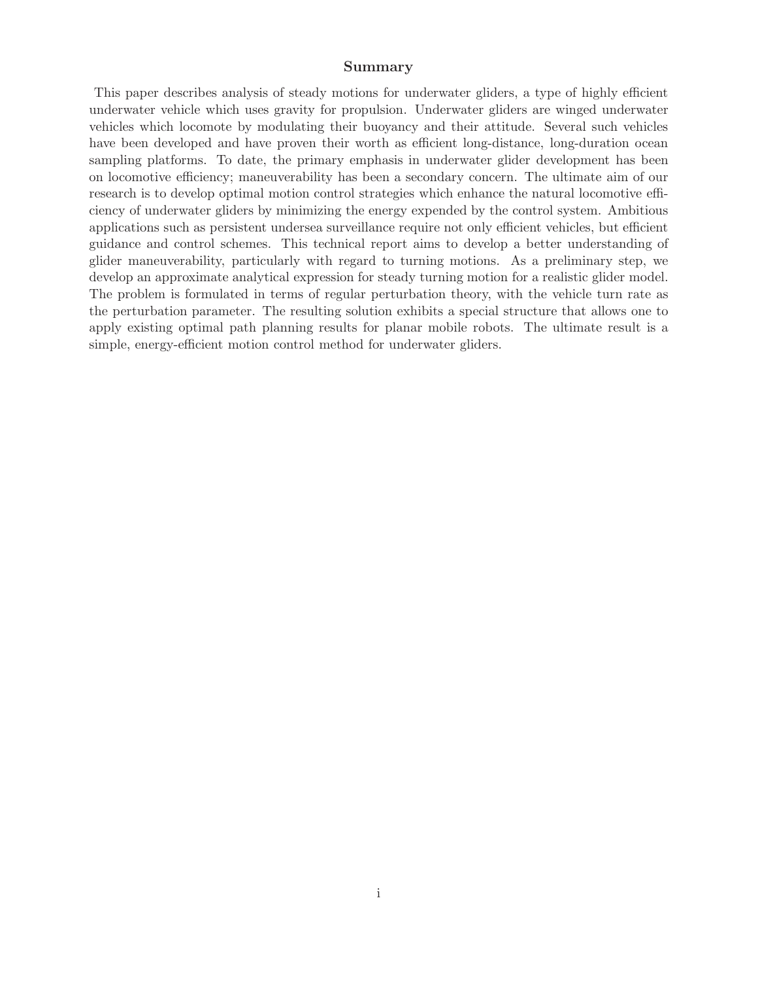### Summary

This paper describes analysis of steady motions for underwater gliders, a type of highly efficient underwater vehicle which uses gravity for propulsion. Underwater gliders are winged underwater vehicles which locomote by modulating their buoyancy and their attitude. Several such vehicles have been developed and have proven their worth as efficient long-distance, long-duration ocean sampling platforms. To date, the primary emphasis in underwater glider development has been on locomotive efficiency; maneuverability has been a secondary concern. The ultimate aim of our research is to develop optimal motion control strategies which enhance the natural locomotive efficiency of underwater gliders by minimizing the energy expended by the control system. Ambitious applications such as persistent undersea surveillance require not only efficient vehicles, but efficient guidance and control schemes. This technical report aims to develop a better understanding of glider maneuverability, particularly with regard to turning motions. As a preliminary step, we develop an approximate analytical expression for steady turning motion for a realistic glider model. The problem is formulated in terms of regular perturbation theory, with the vehicle turn rate as the perturbation parameter. The resulting solution exhibits a special structure that allows one to apply existing optimal path planning results for planar mobile robots. The ultimate result is a simple, energy-efficient motion control method for underwater gliders.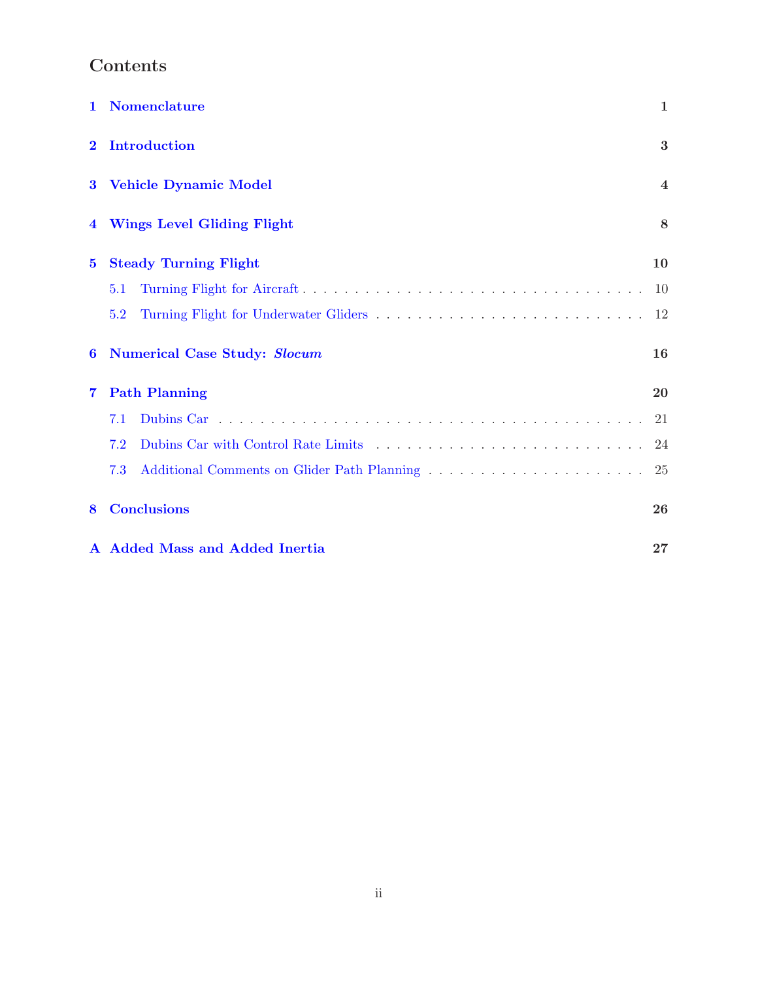## Contents

| 1        | <b>Nomenclature</b>                 | $\mathbf{1}$   |
|----------|-------------------------------------|----------------|
| $\bf{2}$ | <b>Introduction</b>                 | 3              |
| $\bf{3}$ | <b>Vehicle Dynamic Model</b>        | $\overline{4}$ |
|          | <b>Wings Level Gliding Flight</b>   | 8              |
| $\bf{5}$ | <b>Steady Turning Flight</b>        | 10             |
|          | 5.1                                 | 10             |
|          | 5.2                                 | 12             |
| 6        | <b>Numerical Case Study: Slocum</b> | 16             |
| 7        | <b>Path Planning</b>                | 20             |
|          | 7.1                                 | 21             |
|          | 7.2                                 | 24             |
|          | 7.3                                 |                |
| 8        | <b>Conclusions</b>                  | 26             |
|          | A Added Mass and Added Inertia      | 27             |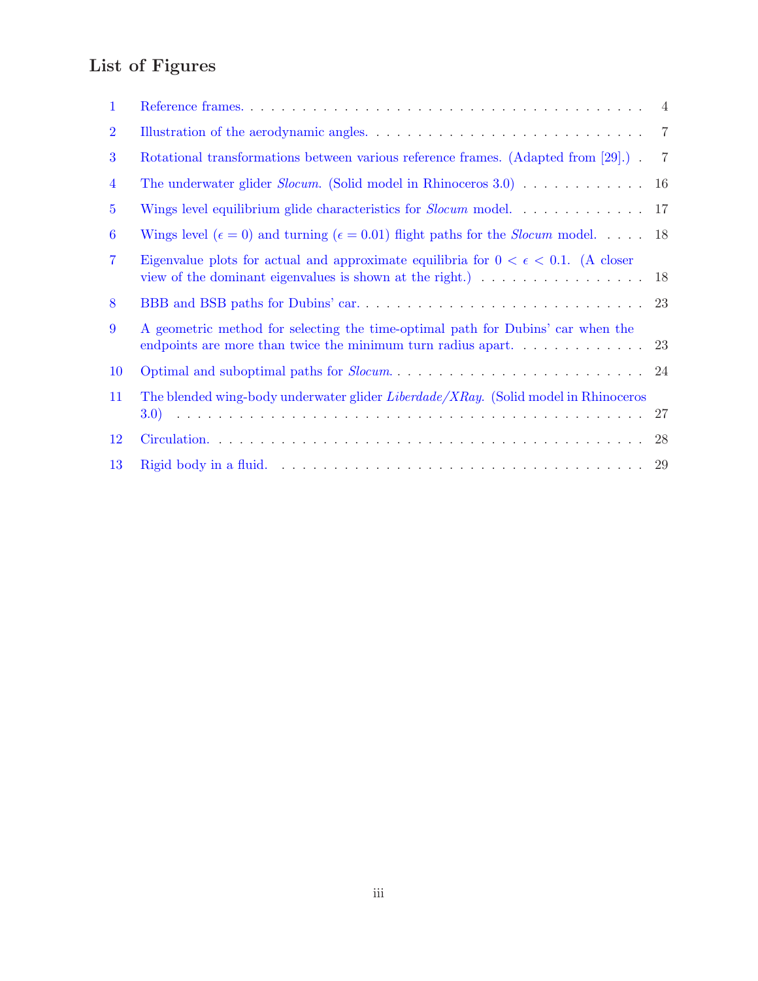# List of Figures

| $\mathbf 1$    |                                                                                                                                                            | $\overline{4}$ |
|----------------|------------------------------------------------------------------------------------------------------------------------------------------------------------|----------------|
| $\overline{2}$ |                                                                                                                                                            |                |
| 3              | Rotational transformations between various reference frames. (Adapted from [29].).                                                                         | $\overline{7}$ |
| $\overline{4}$ | The underwater glider <i>Slocum</i> . (Solid model in Rhinoceros 3.0) 16                                                                                   |                |
| $5^{\circ}$    | Wings level equilibrium glide characteristics for $Slocum$ model. $\dots \dots \dots$                                                                      | 17             |
| 6              | Wings level ( $\epsilon = 0$ ) and turning ( $\epsilon = 0.01$ ) flight paths for the <i>Slocum</i> model. 18                                              |                |
| $\overline{7}$ | Eigenvalue plots for actual and approximate equilibria for $0 < \epsilon < 0.1$ . (A closer<br>view of the dominant eigenvalues is shown at the right.) 18 |                |
| 8              |                                                                                                                                                            |                |
| 9              | A geometric method for selecting the time-optimal path for Dubins' car when the<br>endpoints are more than twice the minimum turn radius apart             | 23             |
| 10             |                                                                                                                                                            |                |
| 11             | The blended wing-body underwater glider Liberdade/XRay. (Solid model in Rhinoceros                                                                         | 27             |
| 12             |                                                                                                                                                            | 28             |
| 13             |                                                                                                                                                            |                |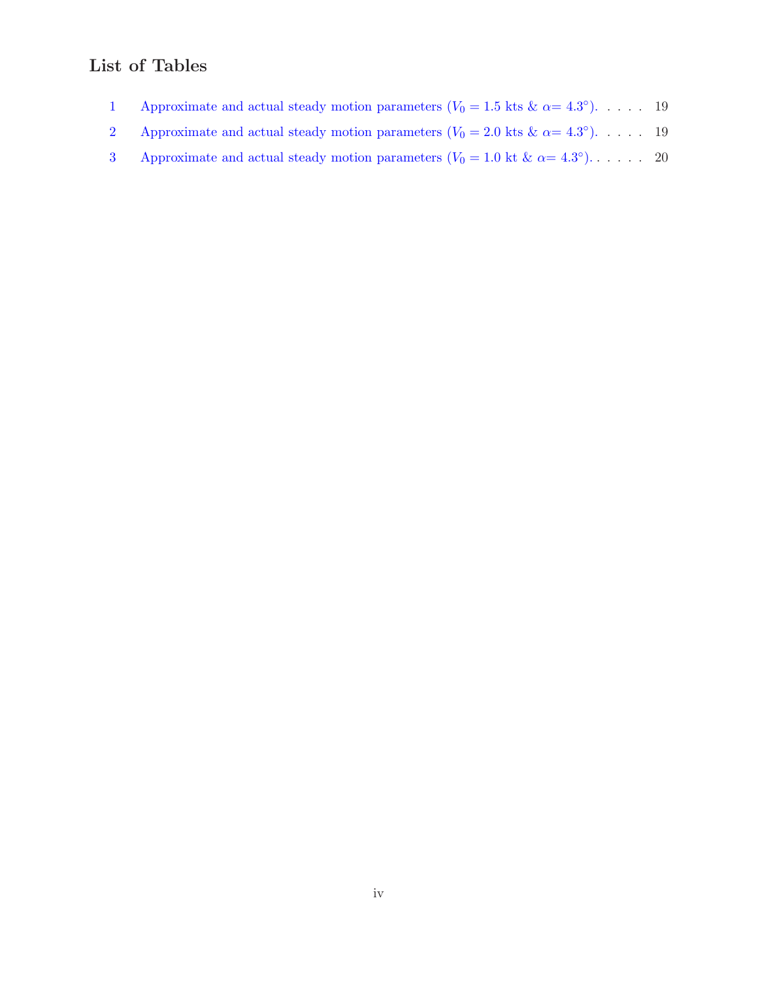## List of Tables

- 1 Approximate and actual steady motion parameters  $(V_0 = 1.5$  kts  $\& \alpha = 4.3^{\circ})$ . . . . . 19
- 2 Approximate and actual steady motion parameters  $(V_0 = 2.0 \text{ kts } \& \alpha = 4.3^{\circ}). \dots$  . . . . 19
- 3 Approximate and actual steady motion parameters  $(V_0 = 1.0 \text{ kt } \& \alpha = 4.3^{\circ})$ ..... 20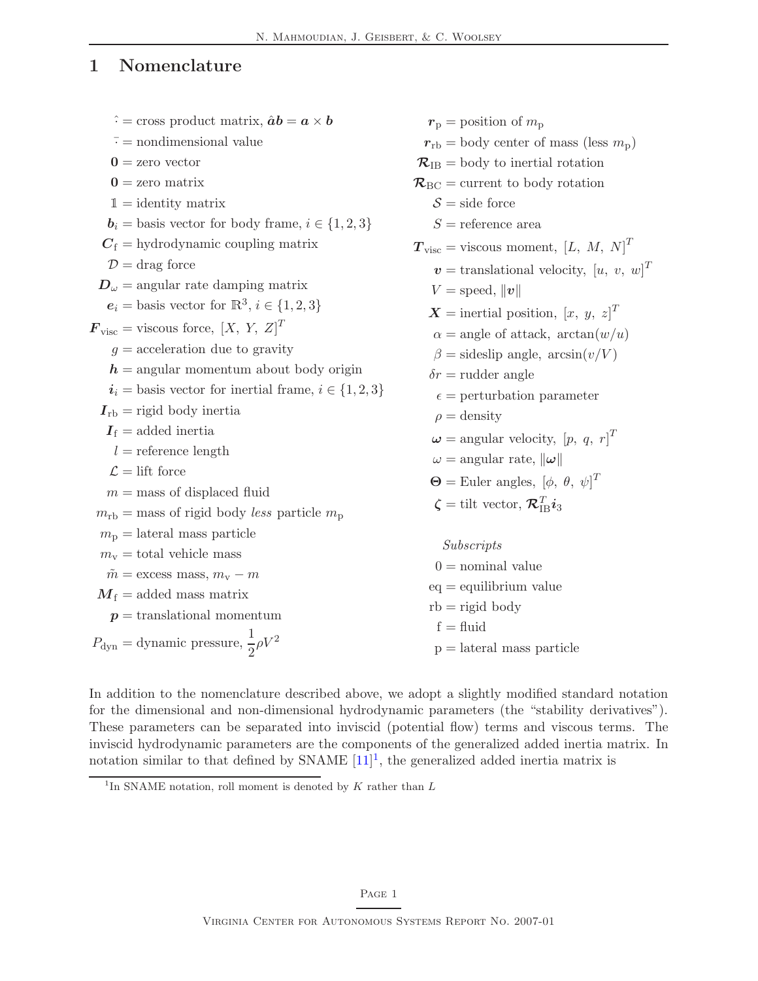## <span id="page-5-0"></span>1 Nomenclature

| $\hat{\cdot}$ = cross product matrix, $\hat{a}b = a \times b$            | $r_{\rm p}$ = position of $m_{\rm p}$                                                              |
|--------------------------------------------------------------------------|----------------------------------------------------------------------------------------------------|
| $\bar{ }$ = nondimensional value                                         | $r_{\text{rb}} = \text{body center of mass (less } m_{\text{p}})$                                  |
| $0 =$ zero vector                                                        | $\mathcal{R}_{IB}$ = body to inertial rotation                                                     |
| $0 =$ zero matrix                                                        | $\mathcal{R}_{\text{BC}} =$ current to body rotation                                               |
| $1 =$ identity matrix                                                    | $S = side$ force                                                                                   |
| $\mathbf{b}_i = \text{basis vector}$ for body frame, $i \in \{1, 2, 3\}$ | $S =$ reference area                                                                               |
| $C_f =$ hydrodynamic coupling matrix                                     | $T_{\text{visc}} =$ viscous moment, [L, M, N] <sup>T</sup>                                         |
| $\mathcal{D} = \text{drag force}$                                        | $v =$ translational velocity, $[u, v, w]^T$                                                        |
| $\boldsymbol{D}_{\omega}$ = angular rate damping matrix                  | $V = \text{speed},   v  $                                                                          |
| $e_i = \text{basis vector for } \mathbb{R}^3, i \in \{1, 2, 3\}$         | $\boldsymbol{X} =$ inertial position, $[x, y, z]^T$                                                |
| $\mathbf{F}_{\text{visc}} = \text{viscous force}, [X, Y, Z]^T$           | $\alpha = \text{angle of attack}, \arctan(w/u)$                                                    |
| $g =$ acceleration due to gravity                                        | $\beta =$ sideslip angle, $arcsin(v/V)$                                                            |
| $h =$ angular momentum about body origin                                 | $\delta r$ = rudder angle                                                                          |
| $i_i$ = basis vector for inertial frame, $i \in \{1, 2, 3\}$             | $\epsilon =$ perturbation parameter                                                                |
| $I_{\text{rb}} =$ rigid body inertia                                     | $\rho =$ density                                                                                   |
| $I_{\rm f}$ = added inertia                                              | $\boldsymbol{\omega} =$ angular velocity, $[p, q, r]^T$                                            |
| $l =$ reference length                                                   | $\omega = \text{angular rate}, \ \omega\ $                                                         |
| $\mathcal{L} = \text{lift}$ force                                        | $\Theta =$ Euler angles, $[\phi, \theta, \psi]^T$                                                  |
| $m =$ mass of displaced fluid                                            | $\boldsymbol{\zeta} = \text{tilt vector}, \boldsymbol{\mathcal{R}}_{\text{IR}}^T \boldsymbol{i}_3$ |
| $m_{\rm rb}$ = mass of rigid body less particle $m_{\rm p}$              |                                                                                                    |
| $m_{\rm p}$ = lateral mass particle                                      | Subscripts                                                                                         |
| $m_{\rm v}$ = total vehicle mass                                         | $0 =$ nominal value                                                                                |
| $\tilde{m}$ = excess mass, $m_{\rm v}$ – m                               | $eq =$ equilibrium value                                                                           |
| $M_f =$ added mass matrix                                                | $rb = rigid body$                                                                                  |
| $p =$ translational momentum                                             | $f = fluid$                                                                                        |
| $P_{\text{dyn}} =$ dynamic pressure, $\frac{1}{2}\rho V^2$               | $p =$ lateral mass particle                                                                        |
|                                                                          |                                                                                                    |

In addition to the nomenclature described above, we adopt a slightly modified standard notation for the dimensional and non-dimensional hydrodynamic parameters (the "stability derivatives"). These parameters can be separated into inviscid (potential flow) terms and viscous terms. The inviscid hydrodynamic parameters are the components of the generalized added inertia matrix. In notation similar to that defined by SNAME  $[11]^1$  $[11]^1$  $[11]^1$ , the generalized added inertia matrix is

<span id="page-5-1"></span><sup>&</sup>lt;sup>1</sup>In SNAME notation, roll moment is denoted by  $K$  rather than  $L$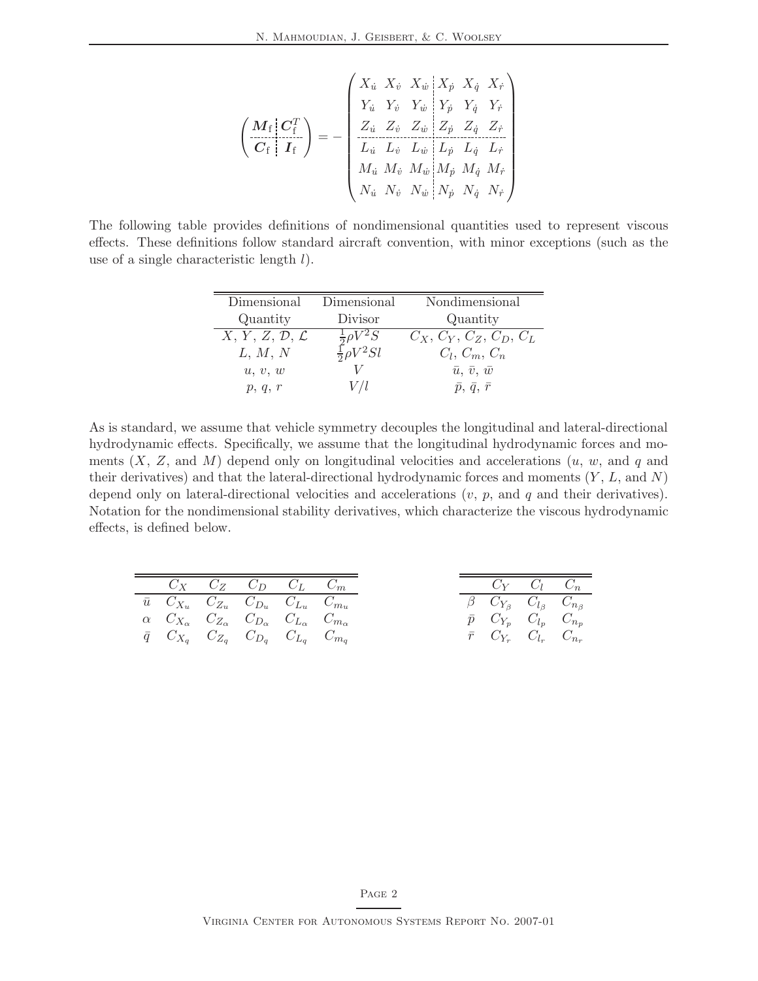$$
\left(\begin{array}{c} \mathbf{M}_{\rm f} \,|\, \mathbf{C}_{\rm f}^T \\ \hline \mathbf{C}_{\rm f} \,|\, \mathbf{I}_{\rm f} \end{array}\right) = - \left(\begin{array}{cccc|cccc} X_{\dot{u}} & X_{\dot{v}} & X_{\dot{w}} & X_{\dot{p}} & X_{\dot{q}} & X_{\dot{r}} \\ Y_{\dot{u}} & Y_{\dot{v}} & Y_{\dot{w}} & Y_{\dot{p}} & Y_{\dot{q}} & Y_{\dot{r}} \\ Z_{\dot{u}} & Z_{\dot{v}} & Z_{\dot{w}} & Z_{\dot{p}} & Z_{\dot{q}} & Z_{\dot{r}} \\ \hline L_{\dot{u}} & L_{\dot{v}} & L_{\dot{w}} & L_{\dot{p}} & L_{\dot{q}} & L_{\dot{r}} \\ M_{\dot{u}} & M_{\dot{v}} & M_{\dot{w}} & M_{\dot{p}} & M_{\dot{q}} & M_{\dot{r}} \\ N_{\dot{u}} & N_{\dot{v}} & N_{\dot{w}} & N_{\dot{p}} & N_{\dot{q}} & N_{\dot{r}} \end{array}\right)
$$

The following table provides definitions of nondimensional quantities used to represent viscous effects. These definitions follow standard aircraft convention, with minor exceptions (such as the use of a single characteristic length  $l$ ).

| Dimensional                         | Dimensional                                          | Nondimensional              |
|-------------------------------------|------------------------------------------------------|-----------------------------|
| Quantity                            | Divisor                                              | Quantity                    |
| $X, Y, Z, \mathcal{D}, \mathcal{L}$ | $\frac{\frac{1}{2}\rho V^2S}{\frac{1}{2}\rho V^2Sl}$ | $C_X, C_Y, C_Z, C_D, C_L$   |
| L, M, N                             |                                                      | $C_l, C_m, C_n$             |
| u, v, w                             |                                                      | $\bar{u}, \bar{v}, \bar{w}$ |
| p, q, r                             |                                                      | $\bar{p}, \bar{q}, \bar{r}$ |

As is standard, we assume that vehicle symmetry decouples the longitudinal and lateral-directional hydrodynamic effects. Specifically, we assume that the longitudinal hydrodynamic forces and moments  $(X, Z, \text{ and } M)$  depend only on longitudinal velocities and accelerations  $(u, w, \text{ and } q \text{ and } q)$ their derivatives) and that the lateral-directional hydrodynamic forces and moments  $(Y, L, \text{ and } N)$ depend only on lateral-directional velocities and accelerations  $(v, p, \text{ and } q$  and their derivatives). Notation for the nondimensional stability derivatives, which characterize the viscous hydrodynamic effects, is defined below.

|                                                                                               | $C_X$ $C_Z$ $C_D$ $C_L$ $C_m$ |  |
|-----------------------------------------------------------------------------------------------|-------------------------------|--|
| $\bar{u}$ $C_{X_u}$ $C_{Z_u}$ $C_{D_u}$ $C_{L_u}$ $C_{m_u}$                                   |                               |  |
| $\alpha$ $C_{X_{\alpha}}$ $C_{Z_{\alpha}}$ $C_{D_{\alpha}}$ $C_{L_{\alpha}}$ $C_{m_{\alpha}}$ |                               |  |
| $\overline{q}$ $C_{X_q}$ $C_{Z_q}$ $C_{D_q}$ $C_{L_q}$ $C_{m_q}$                              |                               |  |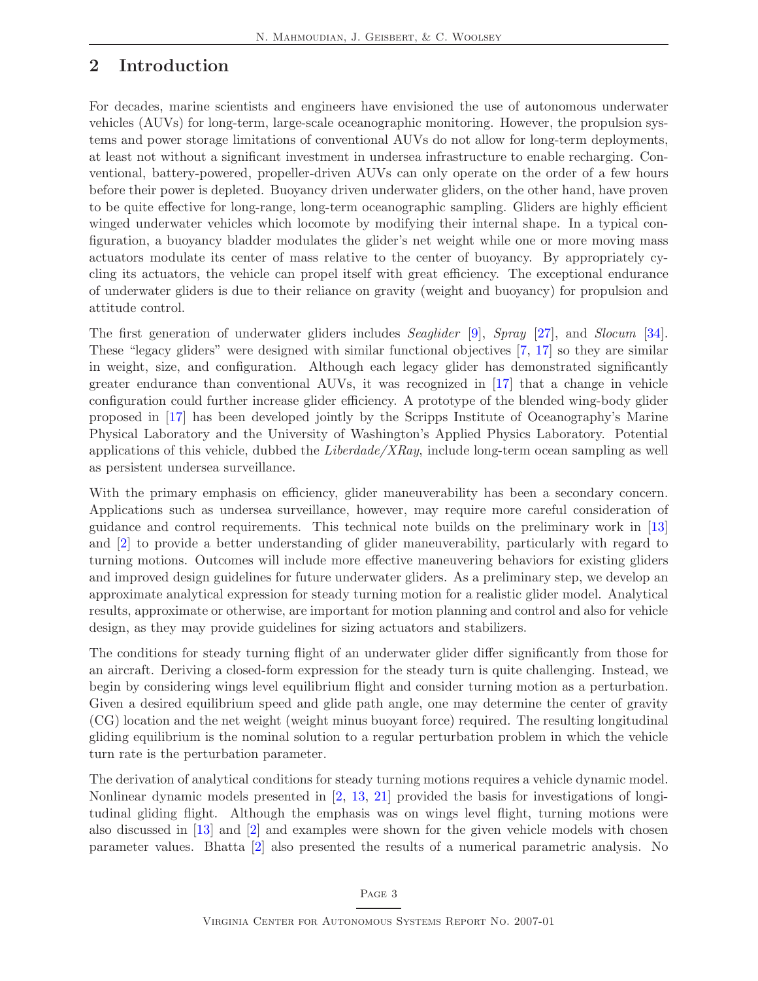### <span id="page-7-0"></span>2 Introduction

For decades, marine scientists and engineers have envisioned the use of autonomous underwater vehicles (AUVs) for long-term, large-scale oceanographic monitoring. However, the propulsion systems and power storage limitations of conventional AUVs do not allow for long-term deployments, at least not without a significant investment in undersea infrastructure to enable recharging. Conventional, battery-powered, propeller-driven AUVs can only operate on the order of a few hours before their power is depleted. Buoyancy driven underwater gliders, on the other hand, have proven to be quite effective for long-range, long-term oceanographic sampling. Gliders are highly efficient winged underwater vehicles which locomote by modifying their internal shape. In a typical configuration, a buoyancy bladder modulates the glider's net weight while one or more moving mass actuators modulate its center of mass relative to the center of buoyancy. By appropriately cycling its actuators, the vehicle can propel itself with great efficiency. The exceptional endurance of underwater gliders is due to their reliance on gravity (weight and buoyancy) for propulsion and attitude control.

The first generation of underwater gliders includes Seaglider [\[9\]](#page-36-1), Spray [\[27\]](#page-37-1), and Slocum [\[34\]](#page-38-0). These "legacy gliders" were designed with similar functional objectives [\[7,](#page-36-2) [17\]](#page-37-2) so they are similar in weight, size, and configuration. Although each legacy glider has demonstrated significantly greater endurance than conventional AUVs, it was recognized in [\[17\]](#page-37-2) that a change in vehicle configuration could further increase glider efficiency. A prototype of the blended wing-body glider proposed in [\[17\]](#page-37-2) has been developed jointly by the Scripps Institute of Oceanography's Marine Physical Laboratory and the University of Washington's Applied Physics Laboratory. Potential applications of this vehicle, dubbed the *Liberdade/XRay*, include long-term ocean sampling as well as persistent undersea surveillance.

With the primary emphasis on efficiency, glider maneuverability has been a secondary concern. Applications such as undersea surveillance, however, may require more careful consideration of guidance and control requirements. This technical note builds on the preliminary work in [\[13\]](#page-36-3) and [\[2\]](#page-36-4) to provide a better understanding of glider maneuverability, particularly with regard to turning motions. Outcomes will include more effective maneuvering behaviors for existing gliders and improved design guidelines for future underwater gliders. As a preliminary step, we develop an approximate analytical expression for steady turning motion for a realistic glider model. Analytical results, approximate or otherwise, are important for motion planning and control and also for vehicle design, as they may provide guidelines for sizing actuators and stabilizers.

The conditions for steady turning flight of an underwater glider differ significantly from those for an aircraft. Deriving a closed-form expression for the steady turn is quite challenging. Instead, we begin by considering wings level equilibrium flight and consider turning motion as a perturbation. Given a desired equilibrium speed and glide path angle, one may determine the center of gravity (CG) location and the net weight (weight minus buoyant force) required. The resulting longitudinal gliding equilibrium is the nominal solution to a regular perturbation problem in which the vehicle turn rate is the perturbation parameter.

The derivation of analytical conditions for steady turning motions requires a vehicle dynamic model. Nonlinear dynamic models presented in [\[2,](#page-36-4) [13,](#page-36-3) [21\]](#page-37-3) provided the basis for investigations of longitudinal gliding flight. Although the emphasis was on wings level flight, turning motions were also discussed in [\[13\]](#page-36-3) and [\[2\]](#page-36-4) and examples were shown for the given vehicle models with chosen parameter values. Bhatta [\[2\]](#page-36-4) also presented the results of a numerical parametric analysis. No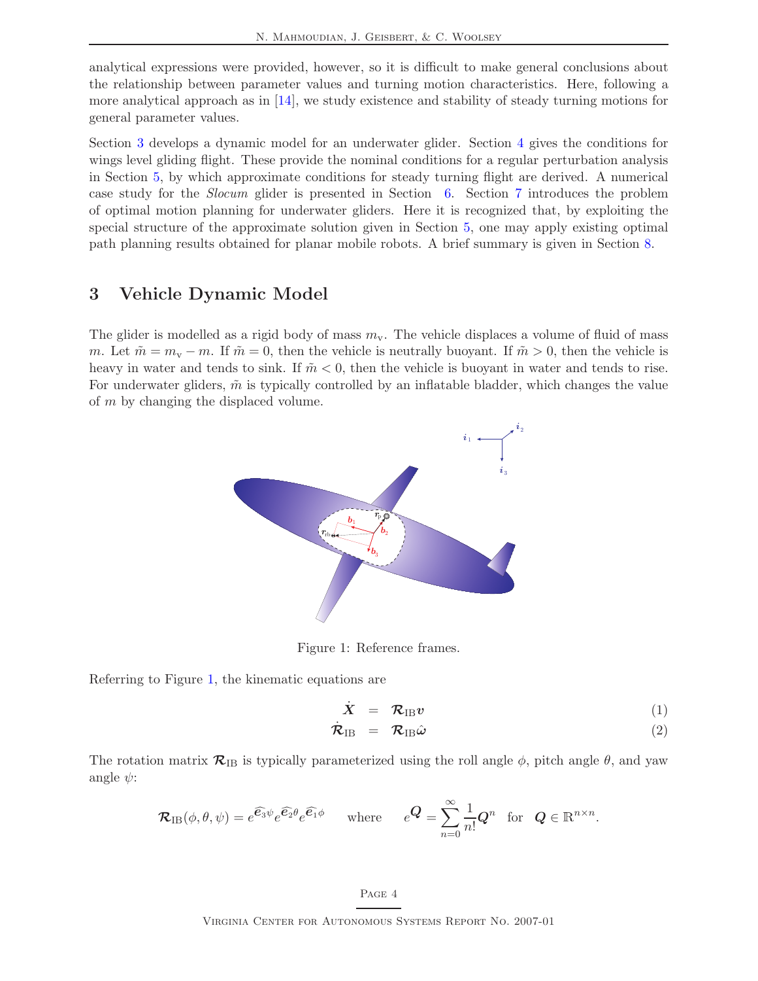analytical expressions were provided, however, so it is difficult to make general conclusions about the relationship between parameter values and turning motion characteristics. Here, following a more analytical approach as in  $[14]$ , we study existence and stability of steady turning motions for general parameter values.

Section [3](#page-8-0) develops a dynamic model for an underwater glider. Section [4](#page-12-0) gives the conditions for wings level gliding flight. These provide the nominal conditions for a regular perturbation analysis in Section [5,](#page-14-0) by which approximate conditions for steady turning flight are derived. A numerical case study for the Slocum glider is presented in Section [6.](#page-20-0) Section [7](#page-24-0) introduces the problem of optimal motion planning for underwater gliders. Here it is recognized that, by exploiting the special structure of the approximate solution given in Section [5,](#page-14-0) one may apply existing optimal path planning results obtained for planar mobile robots. A brief summary is given in Section [8.](#page-30-0)

### <span id="page-8-0"></span>3 Vehicle Dynamic Model

The glider is modelled as a rigid body of mass  $m<sub>v</sub>$ . The vehicle displaces a volume of fluid of mass m. Let  $\tilde{m} = m_{\rm v} - m$ . If  $\tilde{m} = 0$ , then the vehicle is neutrally buoyant. If  $\tilde{m} > 0$ , then the vehicle is heavy in water and tends to sink. If  $\tilde{m} < 0$ , then the vehicle is buoyant in water and tends to rise. For underwater gliders,  $\tilde{m}$  is typically controlled by an inflatable bladder, which changes the value of m by changing the displaced volume.



Figure 1: Reference frames.

Referring to Figure [1,](#page-8-1) the kinematic equations are

<span id="page-8-2"></span><span id="page-8-1"></span>
$$
\dot{X} = \mathcal{R}_{IB} v \tag{1}
$$

$$
\dot{\mathcal{R}}_{IB} = \mathcal{R}_{IB}\hat{\omega} \tag{2}
$$

The rotation matrix  $\mathcal{R}_{IB}$  is typically parameterized using the roll angle  $\phi$ , pitch angle  $\theta$ , and yaw angle  $\psi$ :

$$
\mathcal{R}_{IB}(\phi,\theta,\psi) = e^{\widehat{\mathbf{e}_3}\psi} e^{\widehat{\mathbf{e}_2}\theta} e^{\widehat{\mathbf{e}_1}\phi} \quad \text{where} \quad e^{\mathbf{Q}} = \sum_{n=0}^{\infty} \frac{1}{n!} \mathbf{Q}^n \text{ for } \mathbf{Q} \in \mathbb{R}^{n \times n}.
$$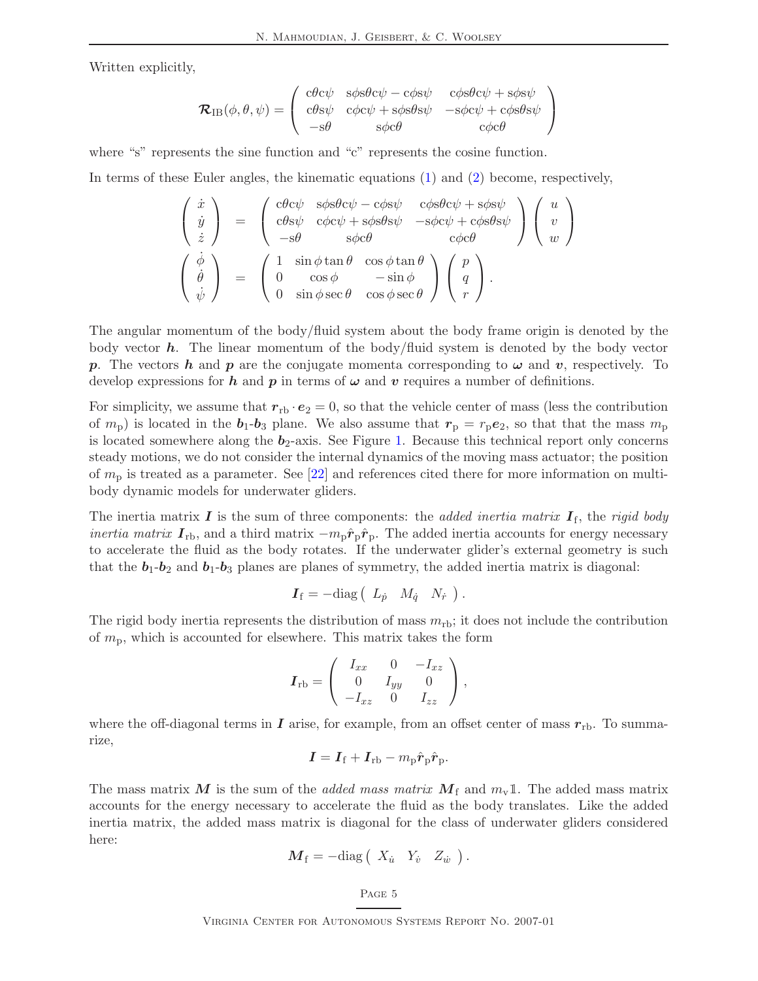Written explicitly,

$$
\mathcal{R}_{IB}(\phi,\theta,\psi) = \begin{pmatrix} c\theta c\psi & s\phi s\theta c\psi - c\phi s\psi & c\phi s\theta c\psi + s\phi s\psi \\ c\theta s\psi & c\phi c\psi + s\phi s\theta s\psi & -s\phi c\psi + c\phi s\theta s\psi \\ -s\theta & s\phi c\theta & c\phi c\theta \end{pmatrix}
$$

where "s" represents the sine function and "c" represents the cosine function.

In terms of these Euler angles, the kinematic equations [\(1\)](#page-8-2) and [\(2\)](#page-8-2) become, respectively,

$$
\begin{pmatrix}\n\dot{x} \\
\dot{y} \\
\dot{z}\n\end{pmatrix} = \begin{pmatrix}\n\text{c} \theta \text{c} \psi & \text{s} \phi \text{s} \theta \text{c} \psi - \text{c} \phi \text{s} \psi & \text{c} \phi \text{s} \theta \text{c} \psi + \text{s} \phi \text{s} \psi \\
\text{c} \theta \text{s} \psi & \text{c} \phi \text{c} \psi + \text{s} \phi \text{s} \theta \text{s} \psi & -\text{s} \phi \text{c} \psi + \text{c} \phi \text{s} \theta \text{s} \psi \\
-\text{s} \theta & \text{s} \phi \text{c} \theta & \text{c} \phi \text{c} \theta\n\end{pmatrix}\n\begin{pmatrix}\nu \\
v \\
w\n\end{pmatrix}
$$
\n
$$
\begin{pmatrix}\n\dot{\phi} \\
\dot{\theta} \\
\dot{\psi}\n\end{pmatrix} = \begin{pmatrix}\n1 & \sin \phi \tan \theta & \cos \phi \tan \theta \\
0 & \cos \phi & -\sin \phi \\
0 & \sin \phi \sec \theta & \cos \phi \sec \theta\n\end{pmatrix}\n\begin{pmatrix}\np \\
q \\
r\n\end{pmatrix}.
$$

The angular momentum of the body/fluid system about the body frame origin is denoted by the body vector  $h$ . The linear momentum of the body/fluid system is denoted by the body vector p. The vectors h and p are the conjugate momenta corresponding to  $\omega$  and v, respectively. To develop expressions for h and p in terms of  $\omega$  and v requires a number of definitions.

For simplicity, we assume that  $r_{\text{rb}} \cdot e_2 = 0$ , so that the vehicle center of mass (less the contribution of  $m_p$ ) is located in the  $b_1-b_3$  plane. We also assume that  $r_p = r_p e_2$ , so that that the mass  $m_p$ is located somewhere along the  $b_2$ -axis. See Figure [1.](#page-8-1) Because this technical report only concerns steady motions, we do not consider the internal dynamics of the moving mass actuator; the position of  $m_{\rm p}$  is treated as a parameter. See [\[22\]](#page-37-4) and references cited there for more information on multibody dynamic models for underwater gliders.

The inertia matrix  $\bm{I}$  is the sum of three components: the added inertia matrix  $\bm{I}_{\rm f}$ , the rigid body *inertia matrix*  $I_{\text{rb}}$ , and a third matrix  $-m_p\hat{r}_p\hat{r}_p$ . The added inertia accounts for energy necessary to accelerate the fluid as the body rotates. If the underwater glider's external geometry is such that the  $b_1-b_2$  and  $b_1-b_3$  planes are planes of symmetry, the added inertia matrix is diagonal:

$$
\boldsymbol{I}_{\rm f} = -{\rm diag}\left(\begin{array}{cc} L_{\dot{p}} & M_{\dot{q}} & N_{\dot{r}} \end{array}\right).
$$

The rigid body inertia represents the distribution of mass  $m_{\text{rb}}$ ; it does not include the contribution of  $m_{\rm p}$ , which is accounted for elsewhere. This matrix takes the form

$$
\boldsymbol{I}_{\text{rb}} = \left( \begin{array}{ccc} I_{xx} & 0 & -I_{xz} \\ 0 & I_{yy} & 0 \\ -I_{xz} & 0 & I_{zz} \end{array} \right),
$$

where the off-diagonal terms in  $\bm{I}$  arise, for example, from an offset center of mass  $r_{\text{rb}}$ . To summarize,

$$
\boldsymbol{I} = \boldsymbol{I}_\mathrm{f} + \boldsymbol{I}_\mathrm{rb} - m_\mathrm{p} \hat{\boldsymbol{r}}_\mathrm{p} \hat{\boldsymbol{r}}_\mathrm{p}.
$$

The mass matrix M is the sum of the *added mass matrix*  $M_f$  and  $m_v$ 1. The added mass matrix accounts for the energy necessary to accelerate the fluid as the body translates. Like the added inertia matrix, the added mass matrix is diagonal for the class of underwater gliders considered here:

$$
\boldsymbol{M}_{\rm f} = -{\rm diag}\left(\begin{array}{cc} X_{\dot{u}} & Y_{\dot{v}} & Z_{\dot{w}} \end{array}\right).
$$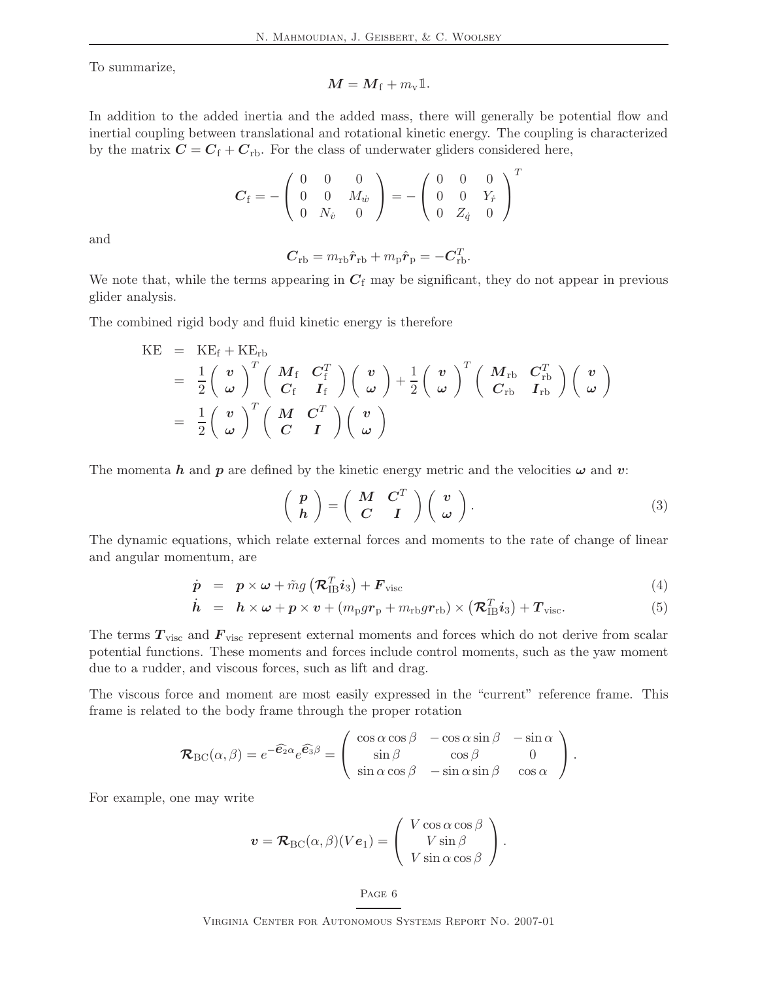To summarize,

$$
M = M_{\rm f} + m_{\rm v} \mathbb{1}.
$$

In addition to the added inertia and the added mass, there will generally be potential flow and inertial coupling between translational and rotational kinetic energy. The coupling is characterized by the matrix  $C = C_f + C_{rb}$ . For the class of underwater gliders considered here,

$$
\boldsymbol{C}_{\rm f} = -\left(\begin{array}{ccc} 0 & 0 & 0 \\ 0 & 0 & M_{\dot{w}} \\ 0 & N_{\dot{v}} & 0 \end{array}\right) = -\left(\begin{array}{ccc} 0 & 0 & 0 \\ 0 & 0 & Y_{\dot{r}} \\ 0 & Z_{\dot{q}} & 0 \end{array}\right)^T
$$

and

$$
\mathbf{C}_{\text{rb}} = m_{\text{rb}} \hat{\mathbf{r}}_{\text{rb}} + m_{\text{p}} \hat{\mathbf{r}}_{\text{p}} = -\mathbf{C}_{\text{rb}}^T.
$$

We note that, while the terms appearing in  $C_f$  may be significant, they do not appear in previous glider analysis.

The combined rigid body and fluid kinetic energy is therefore

$$
\begin{array}{lcl} \mathrm{KE} & = & \mathrm{KE}_{\mathrm{f}} + \mathrm{KE}_{\mathrm{rb}} \\ & = & \frac{1}{2} \left( \begin{array}{c} \boldsymbol{v} \\ \boldsymbol{\omega} \end{array} \right)^T \left( \begin{array}{cc} \boldsymbol{M}_{\mathrm{f}} & \boldsymbol{C}_{\mathrm{f}}^T \\ \boldsymbol{C}_{\mathrm{f}} & \boldsymbol{I}_{\mathrm{f}} \end{array} \right) \left( \begin{array}{c} \boldsymbol{v} \\ \boldsymbol{\omega} \end{array} \right) + \frac{1}{2} \left( \begin{array}{c} \boldsymbol{v} \\ \boldsymbol{\omega} \end{array} \right)^T \left( \begin{array}{cc} \boldsymbol{M}_{\mathrm{rb}} & \boldsymbol{C}_{\mathrm{rb}}^T \\ \boldsymbol{C}_{\mathrm{rb}} & \boldsymbol{I}_{\mathrm{rb}} \end{array} \right) \left( \begin{array}{c} \boldsymbol{v} \\ \boldsymbol{\omega} \end{array} \right) \\ \\ & = & \frac{1}{2} \left( \begin{array}{c} \boldsymbol{v} \\ \boldsymbol{\omega} \end{array} \right)^T \left( \begin{array}{cc} \boldsymbol{M} & \boldsymbol{C}^T \\ \boldsymbol{C} & \boldsymbol{I} \end{array} \right) \left( \begin{array}{c} \boldsymbol{v} \\ \boldsymbol{\omega} \end{array} \right) \end{array}
$$

The momenta h and p are defined by the kinetic energy metric and the velocities  $\omega$  and v:

$$
\left(\begin{array}{c}p\\h\end{array}\right)=\left(\begin{array}{cc}M & C^T\\C & I\end{array}\right)\left(\begin{array}{c}v\\ \omega\end{array}\right).
$$
 (3)

The dynamic equations, which relate external forces and moments to the rate of change of linear and angular momentum, are

<span id="page-10-0"></span>
$$
\dot{\boldsymbol{p}} = \boldsymbol{p} \times \boldsymbol{\omega} + \tilde{m}g\left(\boldsymbol{\mathcal{R}}_{\text{IB}}^{T} \boldsymbol{i}_{3}\right) + \boldsymbol{F}_{\text{visc}} \tag{4}
$$

$$
\dot{\boldsymbol{h}} = \boldsymbol{h} \times \boldsymbol{\omega} + \boldsymbol{p} \times \boldsymbol{v} + (m_{\rm p}gr_{\rm p} + m_{\rm rb}gr_{\rm rb}) \times (\boldsymbol{\mathcal{R}}_{\rm IB}^T \boldsymbol{i}_3) + \boldsymbol{T}_{\rm visc.} \tag{5}
$$

The terms  $T_{\text{visc}}$  and  $F_{\text{visc}}$  represent external moments and forces which do not derive from scalar potential functions. These moments and forces include control moments, such as the yaw moment due to a rudder, and viscous forces, such as lift and drag.

The viscous force and moment are most easily expressed in the "current" reference frame. This frame is related to the body frame through the proper rotation

$$
\mathcal{R}_{BC}(\alpha, \beta) = e^{-\widehat{\mathcal{E}_2}\alpha} e^{\widehat{\mathcal{E}_3}\beta} = \begin{pmatrix} \cos \alpha \cos \beta & -\cos \alpha \sin \beta & -\sin \alpha \\ \sin \beta & \cos \beta & 0 \\ \sin \alpha \cos \beta & -\sin \alpha \sin \beta & \cos \alpha \end{pmatrix}.
$$

For example, one may write

$$
\boldsymbol{v} = \mathcal{R}_{\text{BC}}(\alpha, \beta)(Ve_1) = \begin{pmatrix} V \cos \alpha \cos \beta \\ V \sin \beta \\ V \sin \alpha \cos \beta \end{pmatrix}.
$$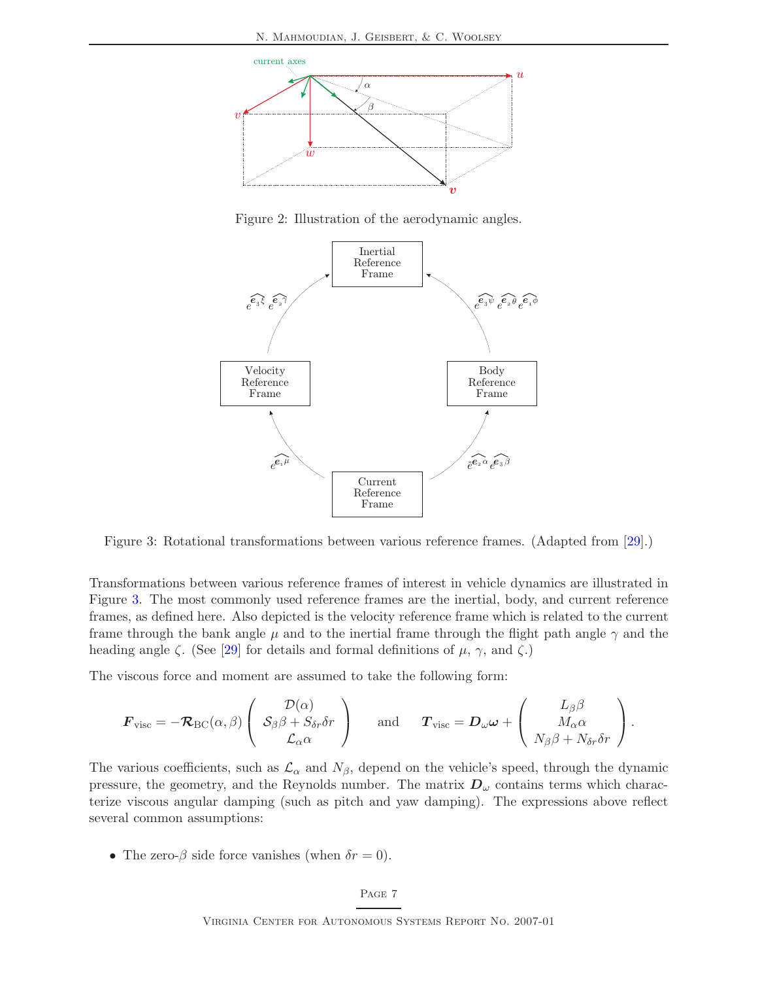

<span id="page-11-0"></span>Figure 2: Illustration of the aerodynamic angles.



<span id="page-11-1"></span>Figure 3: Rotational transformations between various reference frames. (Adapted from [\[29\]](#page-37-0).)

Transformations between various reference frames of interest in vehicle dynamics are illustrated in Figure [3.](#page-11-1) The most commonly used reference frames are the inertial, body, and current reference frames, as defined here. Also depicted is the velocity reference frame which is related to the current frame through the bank angle  $\mu$  and to the inertial frame through the flight path angle  $\gamma$  and the heading angle  $\zeta$ . (See [\[29\]](#page-37-0) for details and formal definitions of  $\mu$ ,  $\gamma$ , and  $\zeta$ .)

The viscous force and moment are assumed to take the following form:

$$
\bm{F}_{\mathrm{visc}} = -\bm{\mathcal{R}}_{\mathrm{BC}}(\alpha, \beta) \left( \begin{array}{c} \mathcal{D}(\alpha) \\ \mathcal{S}_{\beta} \beta + S_{\delta r} \delta r \\ \mathcal{L}_{\alpha} \alpha \end{array} \right) \hspace{0.5cm} \mathrm{and} \hspace{0.5cm} \bm{T}_{\mathrm{visc}} = \bm{D}_{\omega} \bm{\omega} + \left( \begin{array}{c} L_{\beta} \beta \\ M_{\alpha} \alpha \\ N_{\beta} \beta + N_{\delta r} \delta r \end{array} \right).
$$

The various coefficients, such as  $\mathcal{L}_{\alpha}$  and  $N_{\beta}$ , depend on the vehicle's speed, through the dynamic pressure, the geometry, and the Reynolds number. The matrix  $D_{\omega}$  contains terms which characterize viscous angular damping (such as pitch and yaw damping). The expressions above reflect several common assumptions:

• The zero- $\beta$  side force vanishes (when  $\delta r = 0$ ).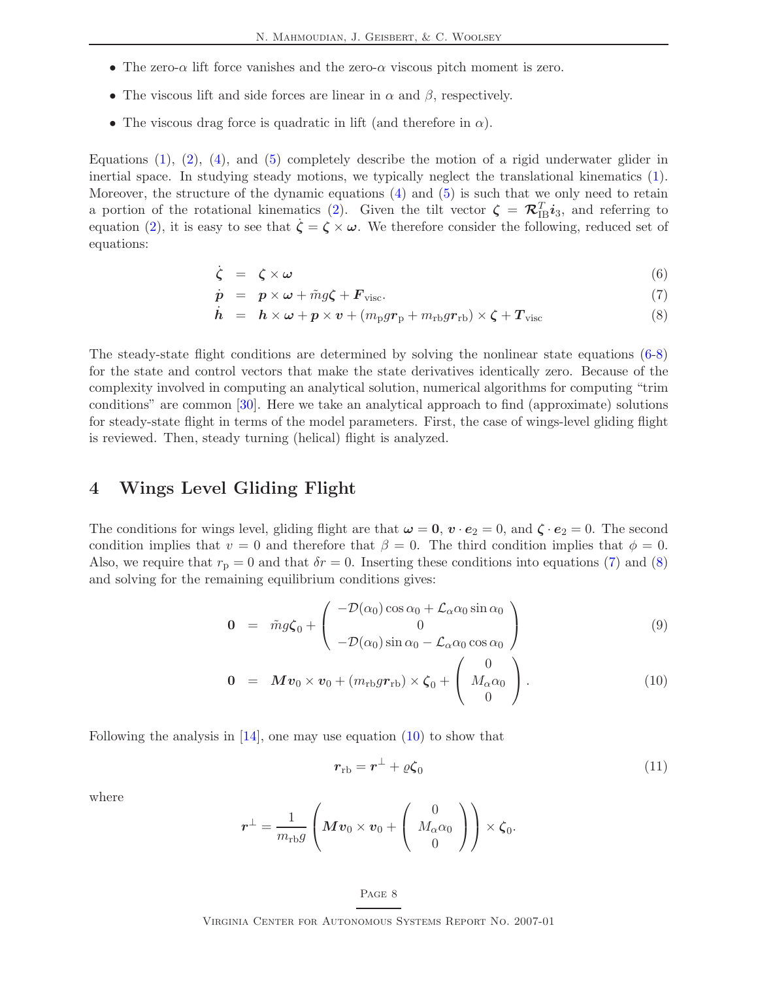- The zero- $\alpha$  lift force vanishes and the zero- $\alpha$  viscous pitch moment is zero.
- The viscous lift and side forces are linear in  $\alpha$  and  $\beta$ , respectively.
- The viscous drag force is quadratic in lift (and therefore in  $\alpha$ ).

Equations  $(1), (2), (4),$  $(1), (2), (4),$  $(1), (2), (4),$  $(1), (2), (4),$  $(1), (2), (4),$  and  $(5)$  completely describe the motion of a rigid underwater glider in inertial space. In studying steady motions, we typically neglect the translational kinematics [\(1\)](#page-8-2). Moreover, the structure of the dynamic equations [\(4\)](#page-10-0) and [\(5\)](#page-10-0) is such that we only need to retain a portion of the rotational kinematics [\(2\)](#page-8-2). Given the tilt vector  $\boldsymbol{\zeta} = \boldsymbol{\mathcal{R}}_{\text{IB}}^T \boldsymbol{i}_3$ , and referring to equation [\(2\)](#page-8-2), it is easy to see that  $\zeta = \zeta \times \omega$ . We therefore consider the following, reduced set of equations:

<span id="page-12-1"></span>
$$
\dot{\zeta} = \zeta \times \omega \tag{6}
$$

$$
\dot{\mathbf{p}} = \mathbf{p} \times \boldsymbol{\omega} + \tilde{m}g\boldsymbol{\zeta} + \boldsymbol{F}_{\text{visc}}.
$$
\n<sup>(7)</sup>

$$
\dot{\boldsymbol{h}} = \boldsymbol{h} \times \boldsymbol{\omega} + \boldsymbol{p} \times \boldsymbol{v} + (m_{\rm p} g \boldsymbol{r}_{\rm p} + m_{\rm rb} g \boldsymbol{r}_{\rm rb}) \times \boldsymbol{\zeta} + \boldsymbol{T}_{\rm visc}
$$
\n(8)

The steady-state flight conditions are determined by solving the nonlinear state equations [\(6-8\)](#page-12-1) for the state and control vectors that make the state derivatives identically zero. Because of the complexity involved in computing an analytical solution, numerical algorithms for computing "trim conditions" are common [\[30\]](#page-37-5). Here we take an analytical approach to find (approximate) solutions for steady-state flight in terms of the model parameters. First, the case of wings-level gliding flight is reviewed. Then, steady turning (helical) flight is analyzed.

### <span id="page-12-0"></span>4 Wings Level Gliding Flight

The conditions for wings level, gliding flight are that  $\omega = 0$ ,  $v \cdot e_2 = 0$ , and  $\zeta \cdot e_2 = 0$ . The second condition implies that  $v = 0$  and therefore that  $\beta = 0$ . The third condition implies that  $\phi = 0$ . Also, we require that  $r_p = 0$  and that  $\delta r = 0$ . Inserting these conditions into equations [\(7\)](#page-12-1) and [\(8\)](#page-12-1) and solving for the remaining equilibrium conditions gives:

<span id="page-12-2"></span>
$$
\mathbf{0} = \tilde{m}g\zeta_0 + \begin{pmatrix} -\mathcal{D}(\alpha_0)\cos\alpha_0 + \mathcal{L}_\alpha\alpha_0\sin\alpha_0\\ 0\\ -\mathcal{D}(\alpha_0)\sin\alpha_0 - \mathcal{L}_\alpha\alpha_0\cos\alpha_0 \end{pmatrix}
$$
(9)

$$
\mathbf{0} = \boldsymbol{M} \boldsymbol{v}_0 \times \boldsymbol{v}_0 + (m_{\text{rb}} g \boldsymbol{r}_{\text{rb}}) \times \boldsymbol{\zeta}_0 + \begin{pmatrix} 0 \\ M_{\alpha} \alpha_0 \\ 0 \end{pmatrix} . \tag{10}
$$

Following the analysis in  $[14]$ , one may use equation  $(10)$  to show that

<span id="page-12-3"></span>
$$
r_{\rm rb} = r^{\perp} + \varrho \zeta_0 \tag{11}
$$

where

$$
\boldsymbol{r}^{\perp}=\frac{1}{m_{\text{rb}}g}\left(M\boldsymbol{v}_0\times\boldsymbol{v}_0+\left(\begin{array}{c}0\\M_{\alpha}\alpha_0\\0\end{array}\right)\right)\times\boldsymbol{\zeta}_0.
$$

#### Page 8

Virginia Center for Autonomous Systems Report No. 2007-01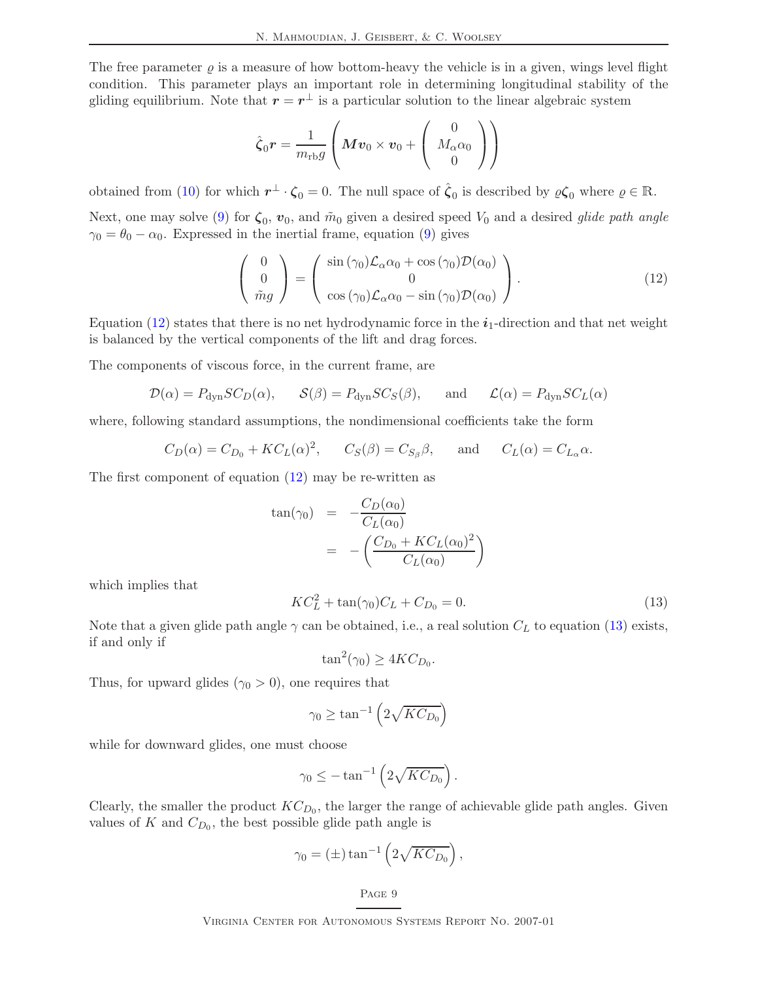The free parameter  $\varrho$  is a measure of how bottom-heavy the vehicle is in a given, wings level flight condition. This parameter plays an important role in determining longitudinal stability of the gliding equilibrium. Note that  $r = r^{\perp}$  is a particular solution to the linear algebraic system

$$
\hat{\zeta}_0 \boldsymbol{r} = \frac{1}{m_{\rm rb}g} \left( \boldsymbol{M} \boldsymbol{v}_0 \times \boldsymbol{v}_0 + \left( \begin{array}{c} 0 \\ M_\alpha \alpha_0 \\ 0 \end{array} \right) \right)
$$

obtained from [\(10\)](#page-12-2) for which  $r^{\perp} \cdot \zeta_0 = 0$ . The null space of  $\hat{\zeta}_0$  is described by  $\varrho \zeta_0$  where  $\varrho \in \mathbb{R}$ .

Next, one may solve [\(9\)](#page-12-2) for  $\zeta_0$ ,  $v_0$ , and  $\tilde{m}_0$  given a desired speed  $V_0$  and a desired *glide path angle*  $\gamma_0 = \theta_0 - \alpha_0$ . Expressed in the inertial frame, equation [\(9\)](#page-12-2) gives

<span id="page-13-0"></span>
$$
\begin{pmatrix} 0 \\ 0 \\ \tilde{m}g \end{pmatrix} = \begin{pmatrix} \sin(\gamma_0)\mathcal{L}_{\alpha}\alpha_0 + \cos(\gamma_0)\mathcal{D}(\alpha_0) \\ 0 \\ \cos(\gamma_0)\mathcal{L}_{\alpha}\alpha_0 - \sin(\gamma_0)\mathcal{D}(\alpha_0) \end{pmatrix}.
$$
 (12)

Equation [\(12\)](#page-13-0) states that there is no net hydrodynamic force in the  $i_1$ -direction and that net weight is balanced by the vertical components of the lift and drag forces.

The components of viscous force, in the current frame, are

$$
\mathcal{D}(\alpha) = P_{\text{dyn}}SC_D(\alpha), \quad \mathcal{S}(\beta) = P_{\text{dyn}}SC_S(\beta), \quad \text{and} \quad \mathcal{L}(\alpha) = P_{\text{dyn}}SC_L(\alpha)
$$

where, following standard assumptions, the nondimensional coefficients take the form

$$
C_D(\alpha) = C_{D_0} + KC_L(\alpha)^2
$$
,  $C_S(\beta) = C_{S_\beta}\beta$ , and  $C_L(\alpha) = C_{L_\alpha}\alpha$ .

The first component of equation [\(12\)](#page-13-0) may be re-written as

$$
\tan(\gamma_0) = -\frac{C_D(\alpha_0)}{C_L(\alpha_0)}
$$
  
= -\left(\frac{C\_{D\_0} + KC\_L(\alpha\_0)^2}{C\_L(\alpha\_0)}\right)

which implies that

<span id="page-13-1"></span>
$$
KC_L^2 + \tan(\gamma_0)C_L + C_{D_0} = 0.
$$
\n(13)

Note that a given glide path angle  $\gamma$  can be obtained, i.e., a real solution  $C_L$  to equation [\(13\)](#page-13-1) exists, if and only if

$$
\tan^2(\gamma_0) \ge 4KC_{D_0}.
$$

Thus, for upward glides  $(\gamma_0 > 0)$ , one requires that

$$
\gamma_0 \ge \tan^{-1} \left( 2\sqrt{KC_{D_0}} \right)
$$

while for downward glides, one must choose

$$
\gamma_0 \leq -\tan^{-1}\left(2\sqrt{KC_{D_0}}\right).
$$

Clearly, the smaller the product  $KC_{D_0}$ , the larger the range of achievable glide path angles. Given values of K and  $C_{D_0}$ , the best possible glide path angle is

$$
\gamma_0 = (\pm) \tan^{-1} \left( 2 \sqrt{KC_{D_0}} \right),
$$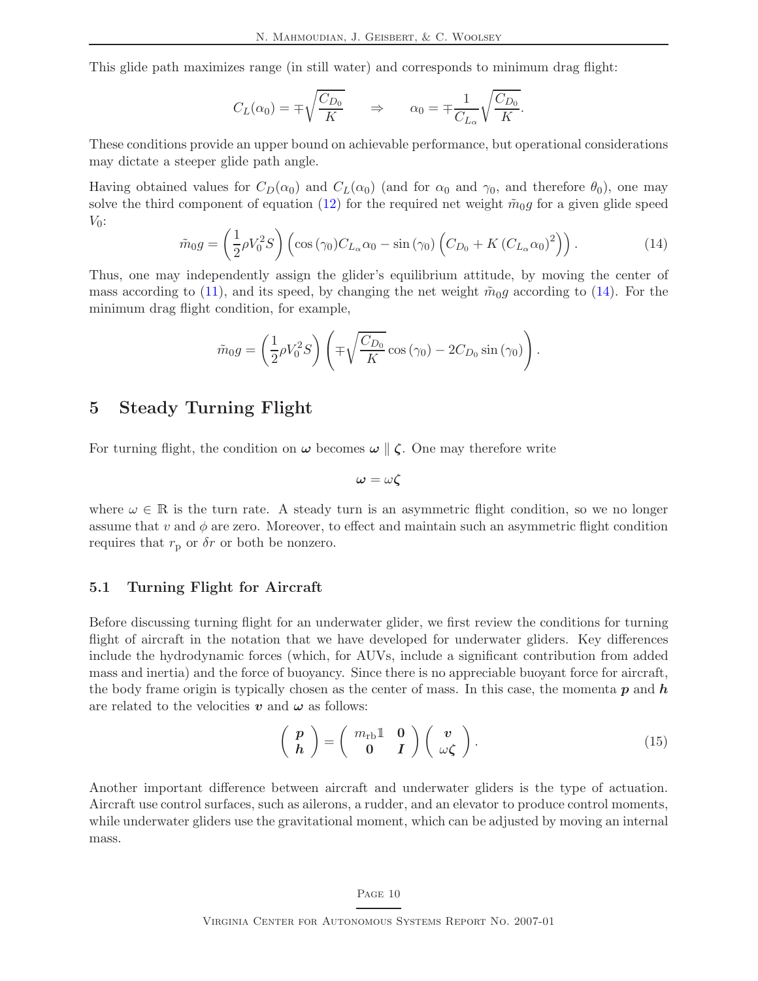This glide path maximizes range (in still water) and corresponds to minimum drag flight:

$$
C_L(\alpha_0) = \mp \sqrt{\frac{C_{D_0}}{K}} \qquad \Rightarrow \qquad \alpha_0 = \mp \frac{1}{C_{L_\alpha}} \sqrt{\frac{C_{D_0}}{K}}.
$$

These conditions provide an upper bound on achievable performance, but operational considerations may dictate a steeper glide path angle.

<span id="page-14-2"></span>Having obtained values for  $C_D(\alpha_0)$  and  $C_L(\alpha_0)$  (and for  $\alpha_0$  and  $\gamma_0$ , and therefore  $\theta_0$ ), one may solve the third component of equation [\(12\)](#page-13-0) for the required net weight  $\tilde{m}_0$ g for a given glide speed  $V_0$ :

$$
\tilde{m}_0 g = \left(\frac{1}{2}\rho V_0^2 S\right) \left(\cos\left(\gamma_0\right) C_{L_\alpha} \alpha_0 - \sin\left(\gamma_0\right) \left(C_{D_0} + K\left(C_{L_\alpha} \alpha_0\right)^2\right)\right). \tag{14}
$$

Thus, one may independently assign the glider's equilibrium attitude, by moving the center of mass according to [\(11\)](#page-12-3), and its speed, by changing the net weight  $\tilde{m}_0g$  according to [\(14\)](#page-14-2). For the minimum drag flight condition, for example,

$$
\tilde{m}_0 g = \left(\frac{1}{2}\rho V_0^2 S\right) \left(\mp\sqrt{\frac{C_{D_0}}{K}}\cos\left(\gamma_0\right) - 2C_{D_0}\sin\left(\gamma_0\right)\right).
$$

### <span id="page-14-0"></span>5 Steady Turning Flight

For turning flight, the condition on  $\omega$  becomes  $\omega \parallel \zeta$ . One may therefore write

$$
\omega=\omega\zeta
$$

where  $\omega \in \mathbb{R}$  is the turn rate. A steady turn is an asymmetric flight condition, so we no longer assume that v and  $\phi$  are zero. Moreover, to effect and maintain such an asymmetric flight condition requires that  $r_p$  or  $\delta r$  or both be nonzero.

### <span id="page-14-1"></span>5.1 Turning Flight for Aircraft

Before discussing turning flight for an underwater glider, we first review the conditions for turning flight of aircraft in the notation that we have developed for underwater gliders. Key differences include the hydrodynamic forces (which, for AUVs, include a significant contribution from added mass and inertia) and the force of buoyancy. Since there is no appreciable buoyant force for aircraft, the body frame origin is typically chosen as the center of mass. In this case, the momenta  $p$  and  $h$ are related to the velocities v and  $\omega$  as follows:

$$
\left(\begin{array}{c}p\\h\end{array}\right)=\left(\begin{array}{cc}m_{\rm rb}\mathbb{1}&\mathbf{0}\\0&I\end{array}\right)\left(\begin{array}{c}v\\ \omega\zeta\end{array}\right).
$$
 (15)

Another important difference between aircraft and underwater gliders is the type of actuation. Aircraft use control surfaces, such as ailerons, a rudder, and an elevator to produce control moments, while underwater gliders use the gravitational moment, which can be adjusted by moving an internal mass.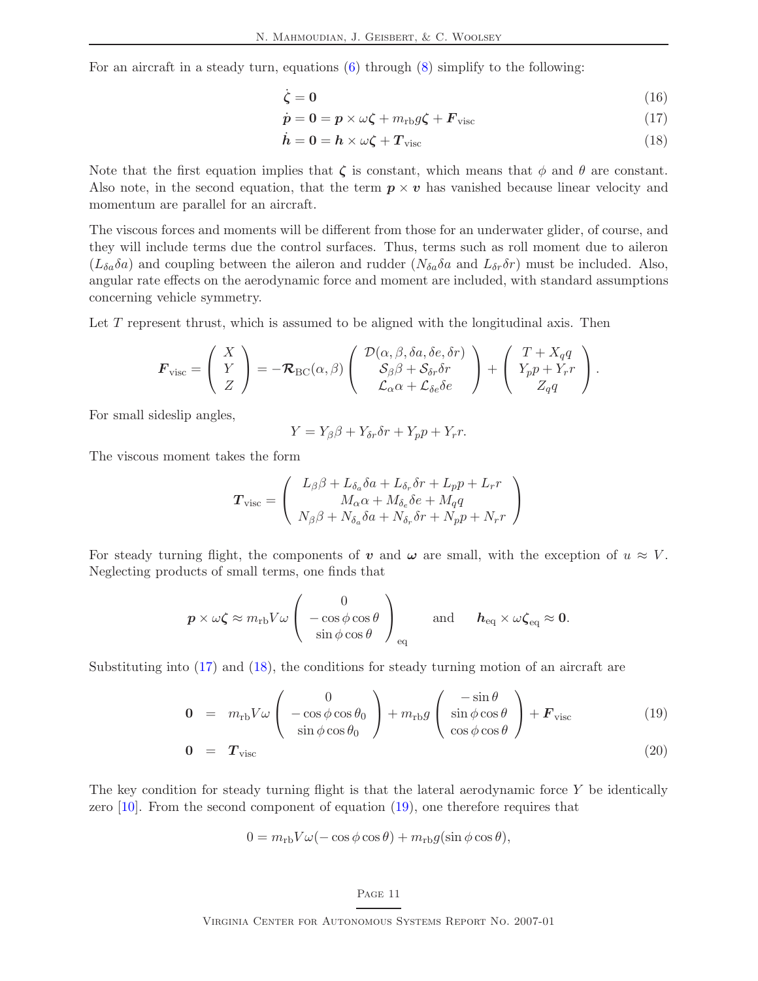For an aircraft in a steady turn, equations [\(6\)](#page-12-1) through [\(8\)](#page-12-1) simplify to the following:

<span id="page-15-0"></span>
$$
\dot{\zeta} = 0 \tag{16}
$$

$$
\dot{\mathbf{p}} = \mathbf{0} = \mathbf{p} \times \omega \boldsymbol{\zeta} + m_{\text{rb}} g \boldsymbol{\zeta} + \boldsymbol{F}_{\text{visc}} \tag{17}
$$

<span id="page-15-1"></span>
$$
\dot{\boldsymbol{h}} = \boldsymbol{0} = \boldsymbol{h} \times \omega \boldsymbol{\zeta} + \boldsymbol{T}_{\text{visc}} \tag{18}
$$

Note that the first equation implies that  $\zeta$  is constant, which means that  $\phi$  and  $\theta$  are constant. Also note, in the second equation, that the term  $p \times v$  has vanished because linear velocity and momentum are parallel for an aircraft.

The viscous forces and moments will be different from those for an underwater glider, of course, and they will include terms due the control surfaces. Thus, terms such as roll moment due to aileron  $(L_{\delta a} \delta a)$  and coupling between the aileron and rudder  $(N_{\delta a} \delta a$  and  $L_{\delta r} \delta r)$  must be included. Also, angular rate effects on the aerodynamic force and moment are included, with standard assumptions concerning vehicle symmetry.

Let T represent thrust, which is assumed to be aligned with the longitudinal axis. Then

$$
\boldsymbol{F}_{\text{visc}} = \begin{pmatrix} X \\ Y \\ Z \end{pmatrix} = -\boldsymbol{\mathcal{R}}_{\text{BC}}(\alpha, \beta) \begin{pmatrix} \mathcal{D}(\alpha, \beta, \delta a, \delta e, \delta r) \\ \mathcal{S}_{\beta} \beta + \mathcal{S}_{\delta r} \delta r \\ \mathcal{L}_{\alpha} \alpha + \mathcal{L}_{\delta e} \delta e \end{pmatrix} + \begin{pmatrix} T + X_q q \\ Y_{p} p + Y_r r \\ Z_q q \end{pmatrix}.
$$

For small sideslip angles,

$$
Y = Y_{\beta}\beta + Y_{\delta r}\delta r + Y_p p + Y_r r.
$$

The viscous moment takes the form

$$
\boldsymbol{T}_{\text{visc}} = \left(\begin{array}{c} L_{\beta}\beta + L_{\delta_a}\delta a + L_{\delta_r}\delta r + L_p p + L_r r \\ M_{\alpha}\alpha + M_{\delta_e}\delta e + M_q q \\ N_{\beta}\beta + N_{\delta_a}\delta a + N_{\delta_r}\delta r + N_p p + N_r r \end{array}\right)
$$

For steady turning flight, the components of v and  $\omega$  are small, with the exception of  $u \approx V$ . Neglecting products of small terms, one finds that

$$
\boldsymbol{p} \times \omega \boldsymbol{\zeta} \approx m_{\rm rb} V \omega \begin{pmatrix} 0 \\ -\cos \phi \cos \theta \\ \sin \phi \cos \theta \end{pmatrix}_{\rm eq} \quad \text{and} \quad \boldsymbol{h}_{\rm eq} \times \omega \boldsymbol{\zeta}_{\rm eq} \approx \boldsymbol{0}.
$$

Substituting into [\(17\)](#page-15-0) and [\(18\)](#page-15-1), the conditions for steady turning motion of an aircraft are

<span id="page-15-2"></span>
$$
\mathbf{0} = m_{\rm rb} V \omega \begin{pmatrix} 0 \\ -\cos\phi\cos\theta_0 \\ \sin\phi\cos\theta_0 \end{pmatrix} + m_{\rm rb} g \begin{pmatrix} -\sin\theta \\ \sin\phi\cos\theta \\ \cos\phi\cos\theta \end{pmatrix} + \boldsymbol{F}_{\rm visc} \tag{19}
$$

$$
0 = T_{\text{visc}} \tag{20}
$$

The key condition for steady turning flight is that the lateral aerodynamic force Y be identically zero  $[10]$ . From the second component of equation  $(19)$ , one therefore requires that

$$
0 = m_{\rm rb} V \omega (-\cos \phi \cos \theta) + m_{\rm rb} g (\sin \phi \cos \theta),
$$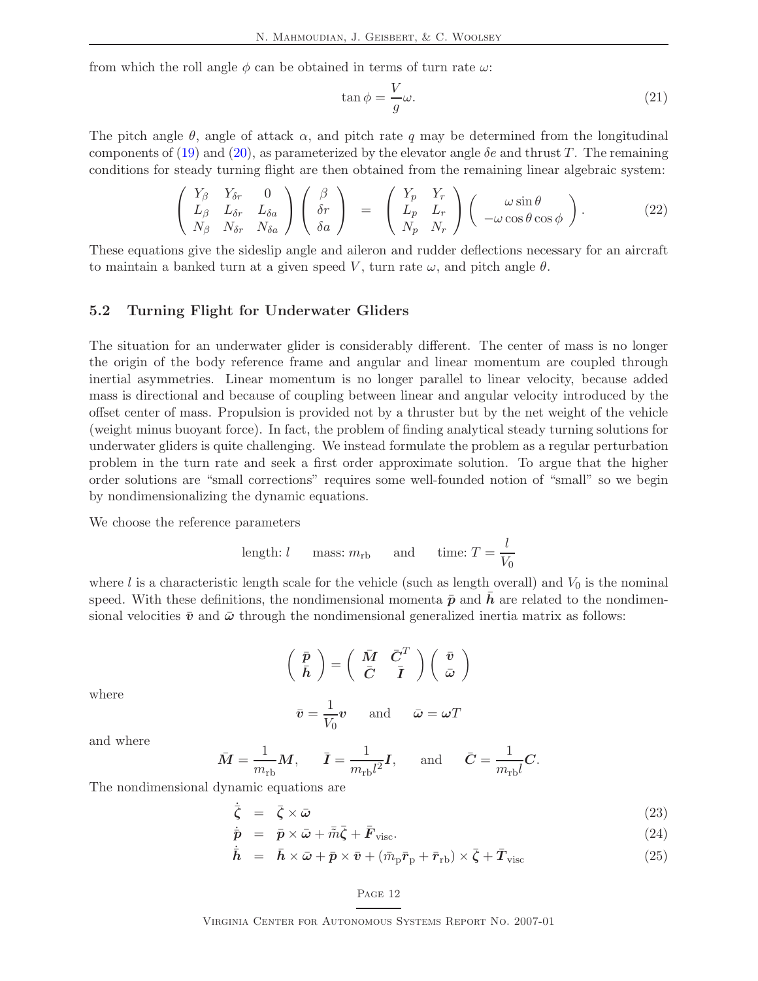from which the roll angle  $\phi$  can be obtained in terms of turn rate  $\omega$ :

$$
\tan \phi = \frac{V}{g}\omega.
$$
\n(21)

The pitch angle  $\theta$ , angle of attack  $\alpha$ , and pitch rate q may be determined from the longitudinal components of [\(19\)](#page-15-2) and [\(20\)](#page-15-2), as parameterized by the elevator angle  $\delta e$  and thrust T. The remaining conditions for steady turning flight are then obtained from the remaining linear algebraic system:

$$
\begin{pmatrix}\nY_{\beta} & Y_{\delta r} & 0 \\
L_{\beta} & L_{\delta r} & L_{\delta a} \\
N_{\beta} & N_{\delta r} & N_{\delta a}\n\end{pmatrix}\n\begin{pmatrix}\n\beta \\
\delta r \\
\delta a\n\end{pmatrix} =\n\begin{pmatrix}\nY_p & Y_r \\
L_p & L_r \\
N_p & N_r\n\end{pmatrix}\n\begin{pmatrix}\n\omega \sin \theta \\
-\omega \cos \theta \cos \phi\n\end{pmatrix}.
$$
\n(22)

These equations give the sideslip angle and aileron and rudder deflections necessary for an aircraft to maintain a banked turn at a given speed V, turn rate  $\omega$ , and pitch angle  $\theta$ .

### <span id="page-16-0"></span>5.2 Turning Flight for Underwater Gliders

The situation for an underwater glider is considerably different. The center of mass is no longer the origin of the body reference frame and angular and linear momentum are coupled through inertial asymmetries. Linear momentum is no longer parallel to linear velocity, because added mass is directional and because of coupling between linear and angular velocity introduced by the offset center of mass. Propulsion is provided not by a thruster but by the net weight of the vehicle (weight minus buoyant force). In fact, the problem of finding analytical steady turning solutions for underwater gliders is quite challenging. We instead formulate the problem as a regular perturbation problem in the turn rate and seek a first order approximate solution. To argue that the higher order solutions are "small corrections" requires some well-founded notion of "small" so we begin by nondimensionalizing the dynamic equations.

We choose the reference parameters

length: 
$$
l
$$
 mass:  $m_{\text{rb}}$  and time:  $T = \frac{l}{V_0}$ 

where l is a characteristic length scale for the vehicle (such as length overall) and  $V_0$  is the nominal speed. With these definitions, the nondimensional momenta  $\bar{p}$  and h are related to the nondimensional velocities  $\bar{v}$  and  $\bar{\omega}$  through the nondimensional generalized inertia matrix as follows:

$$
\left(\begin{array}{c}\bar{p}\\\bar{h}\end{array}\right)=\left(\begin{array}{cc}\bar{M}&\bar{C}^T\\\bar{C}&\bar{I}\end{array}\right)\left(\begin{array}{c}\bar{v}\\\bar{\omega}\end{array}\right)
$$

where

$$
\bar{v} = \frac{1}{V_0}v
$$
 and  $\bar{\omega} = \omega T$ 

and where

$$
\bar{M} = \frac{1}{m_{\text{rb}}} M
$$
,  $\bar{I} = \frac{1}{m_{\text{rb}}l^2} I$ , and  $\bar{C} = \frac{1}{m_{\text{rb}}l} C$ .

The nondimensional dynamic equations are

$$
\dot{\bar{\zeta}} = \bar{\zeta} \times \bar{\omega} \tag{23}
$$

$$
\dot{\bar{\mathbf{p}}} = \bar{\mathbf{p}} \times \bar{\boldsymbol{\omega}} + \bar{\tilde{m}} \bar{\zeta} + \bar{\mathbf{F}}_{\text{visc}}.
$$
\n(24)

$$
\dot{\bar{\boldsymbol{h}}} = \bar{\boldsymbol{h}} \times \bar{\boldsymbol{\omega}} + \bar{\boldsymbol{p}} \times \bar{\boldsymbol{v}} + (\bar{m}_{\rm p} \bar{\boldsymbol{r}}_{\rm p} + \bar{\boldsymbol{r}}_{\rm rb}) \times \bar{\boldsymbol{\zeta}} + \bar{\boldsymbol{T}}_{\rm visc}
$$
\n(25)

#### Page 12

Virginia Center for Autonomous Systems Report No. 2007-01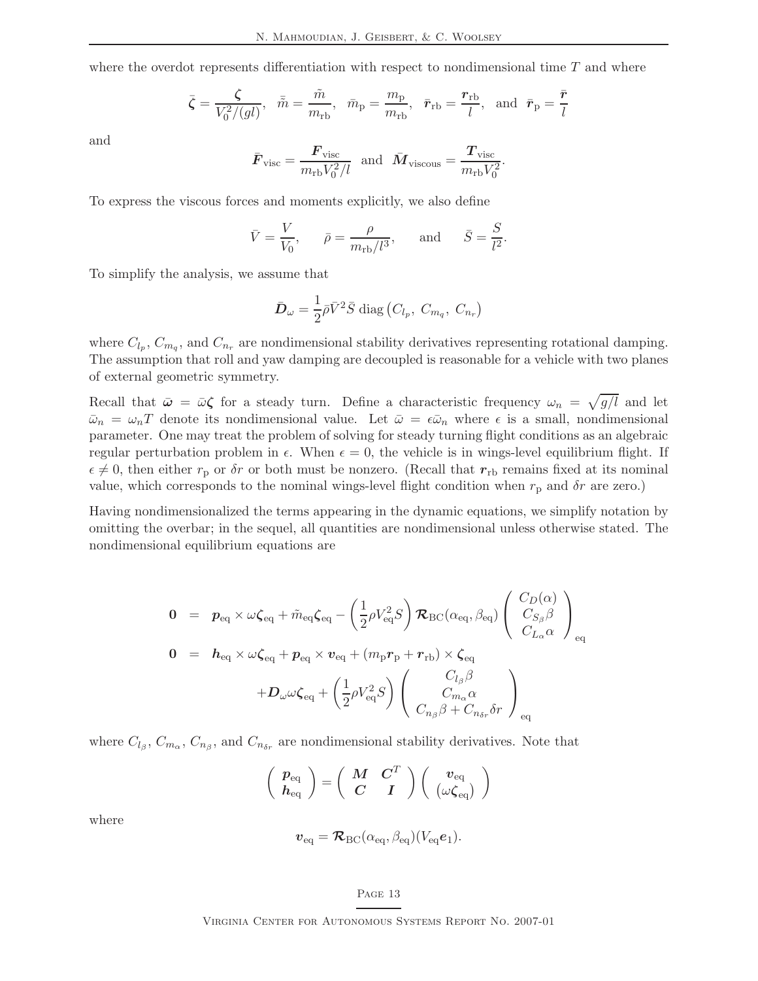where the overdot represents differentiation with respect to nondimensional time  $T$  and where

$$
\bar{\zeta} = \frac{\zeta}{V_0^2/(gl)}, \quad \bar{\tilde{m}} = \frac{\tilde{m}}{m_{\rm rb}}, \quad \bar{m}_{\rm p} = \frac{m_{\rm p}}{m_{\rm rb}}, \quad \bar{r}_{\rm rb} = \frac{\mathbf{r}_{\rm rb}}{l}, \text{ and } \bar{\mathbf{r}}_{\rm p} = \frac{\bar{\mathbf{r}}}{l}
$$

and

$$
\bar{F}_{\text{visc}} = \frac{\bm{F}_{\text{visc}}}{m_{\text{rb}}V_0^2/l}
$$
 and  $\bar{\bm{M}}_{\text{viscous}} = \frac{\bm{T}_{\text{visc}}}{m_{\text{rb}}V_0^2}$ .

To express the viscous forces and moments explicitly, we also define

$$
\bar{V} = \frac{V}{V_0}, \qquad \bar{\rho} = \frac{\rho}{m_{\text{rb}}/l^3}, \qquad \text{and} \qquad \bar{S} = \frac{S}{l^2}.
$$

To simplify the analysis, we assume that

$$
\bar{\mathbf{D}}_{\omega} = \frac{1}{2}\bar{\rho}\bar{V}^2\bar{S} \text{ diag}(C_{l_p}, C_{m_q}, C_{n_r})
$$

where  $C_{l_p}, C_{m_q}$ , and  $C_{n_r}$  are nondimensional stability derivatives representing rotational damping. The assumption that roll and yaw damping are decoupled is reasonable for a vehicle with two planes of external geometric symmetry.

Recall that  $\bar{\omega} = \bar{\omega}\zeta$  for a steady turn. Define a characteristic frequency  $\omega_n = \sqrt{g/l}$  and let  $\bar{\omega}_n = \omega_n T$  denote its nondimensional value. Let  $\bar{\omega} = \epsilon \bar{\omega}_n$  where  $\epsilon$  is a small, nondimensional parameter. One may treat the problem of solving for steady turning flight conditions as an algebraic regular perturbation problem in  $\epsilon$ . When  $\epsilon = 0$ , the vehicle is in wings-level equilibrium flight. If  $\epsilon \neq 0$ , then either  $r_p$  or  $\delta r$  or both must be nonzero. (Recall that  $r_{rb}$  remains fixed at its nominal value, which corresponds to the nominal wings-level flight condition when  $r_p$  and  $\delta r$  are zero.)

Having nondimensionalized the terms appearing in the dynamic equations, we simplify notation by omitting the overbar; in the sequel, all quantities are nondimensional unless otherwise stated. The nondimensional equilibrium equations are

$$
0 = p_{eq} \times \omega \zeta_{eq} + \tilde{m}_{eq} \zeta_{eq} - \left(\frac{1}{2} \rho V_{eq}^2 S\right) \mathcal{R}_{BC}(\alpha_{eq}, \beta_{eq}) \left(\begin{array}{c} C_D(\alpha) \\ C_{S_{\beta}} \beta \\ C_{L_{\alpha}} \alpha \end{array}\right)_{eq}
$$
  
\n
$$
0 = h_{eq} \times \omega \zeta_{eq} + p_{eq} \times v_{eq} + (m_p r_p + r_{rb}) \times \zeta_{eq}
$$
  
\n
$$
+ D_{\omega} \omega \zeta_{eq} + \left(\frac{1}{2} \rho V_{eq}^2 S\right) \left(\begin{array}{c} C_{l_{\beta}} \beta \\ C_{m_{\alpha}} \alpha \\ C_{n_{\beta}} \beta + C_{n_{\delta r}} \delta r \end{array}\right)_{eq}
$$

where  $C_{l_{\beta}}, C_{m_{\alpha}}, C_{n_{\beta}},$  and  $C_{n_{\delta r}}$  are nondimensional stability derivatives. Note that

$$
\left(\begin{array}{c}p_{\text{eq}} \\ h_{\text{eq}}\end{array}\right) = \left(\begin{array}{cc}M & C^T \\ C & I\end{array}\right) \left(\begin{array}{c}v_{\text{eq}} \\ (\omega \zeta_{\text{eq}})\end{array}\right)
$$

where

$$
\boldsymbol{v}_{\rm eq} = \boldsymbol{\mathcal{R}}_{\rm BC}(\alpha_{\rm eq}, \beta_{\rm eq}) (V_{\rm eq} \boldsymbol{e}_1).
$$

### PAGE 13

Virginia Center for Autonomous Systems Report No. 2007-01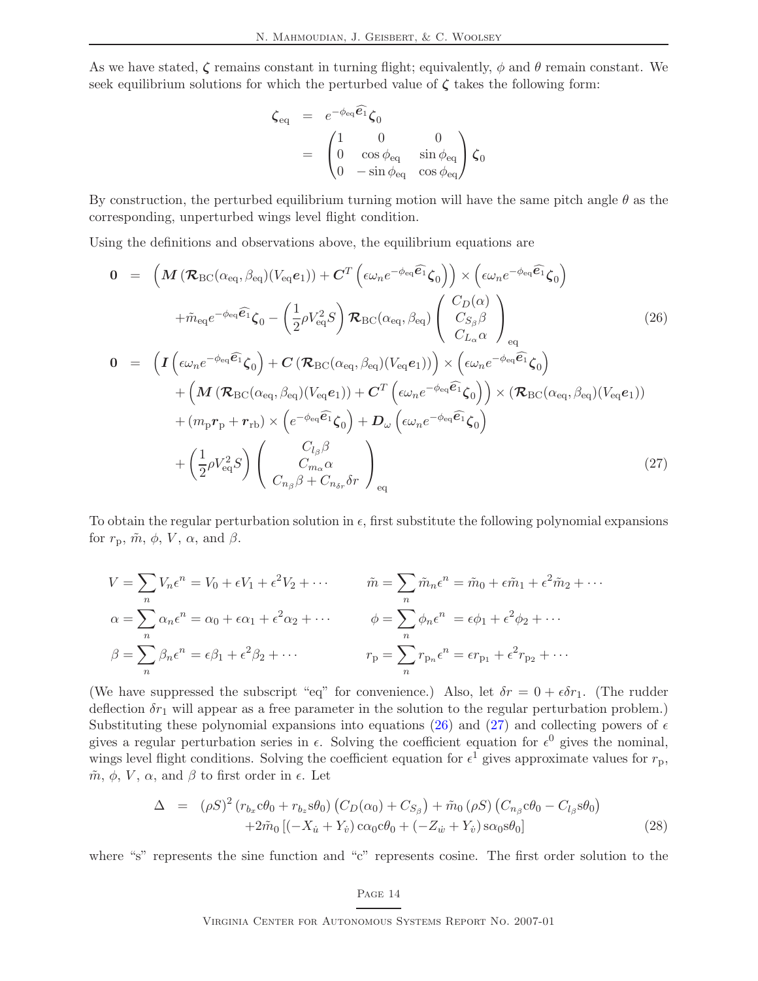As we have stated,  $\zeta$  remains constant in turning flight; equivalently,  $\phi$  and  $\theta$  remain constant. We seek equilibrium solutions for which the perturbed value of  $\zeta$  takes the following form:

$$
\zeta_{\text{eq}} = e^{-\phi_{\text{eq}}\widehat{\mathbf{e}_1}} \zeta_0
$$
  
= 
$$
\begin{pmatrix} 1 & 0 & 0 \\ 0 & \cos \phi_{\text{eq}} & \sin \phi_{\text{eq}} \\ 0 & -\sin \phi_{\text{eq}} & \cos \phi_{\text{eq}} \end{pmatrix} \zeta_0
$$

By construction, the perturbed equilibrium turning motion will have the same pitch angle  $\theta$  as the corresponding, unperturbed wings level flight condition.

Using the definitions and observations above, the equilibrium equations are

<span id="page-18-0"></span>
$$
0 = \left( M \left( \mathcal{R}_{BC}(\alpha_{eq}, \beta_{eq})(V_{eq}e_1) \right) + C^T \left( \epsilon \omega_n e^{-\phi_{eq} \widehat{\mathbf{e}_1}} \zeta_0 \right) \right) \times \left( \epsilon \omega_n e^{-\phi_{eq} \widehat{\mathbf{e}_1}} \zeta_0 \right)
$$
  
+  $\tilde{m}_{eq} e^{-\phi_{eq} \widehat{\mathbf{e}_1}} \zeta_0 - \left( \frac{1}{2} \rho V_{eq}^2 S \right) \mathcal{R}_{BC}(\alpha_{eq}, \beta_{eq}) \left( \begin{array}{c} C_D(\alpha) \\ C_{S_\beta} \beta \\ C_{L_\alpha} \alpha \end{array} \right)_{eq}$   

$$
0 = \left( I \left( \epsilon \omega_n e^{-\phi_{eq} \widehat{\mathbf{e}_1}} \zeta_0 \right) + C \left( \mathcal{R}_{BC}(\alpha_{eq}, \beta_{eq})(V_{eq}e_1) \right) \right) \times \left( \epsilon \omega_n e^{-\phi_{eq} \widehat{\mathbf{e}_1}} \zeta_0 \right)
$$
  
+ 
$$
\left( M \left( \mathcal{R}_{BC}(\alpha_{eq}, \beta_{eq})(V_{eq}e_1) \right) + C^T \left( \epsilon \omega_n e^{-\phi_{eq} \widehat{\mathbf{e}_1}} \zeta_0 \right) \right) \times \left( \mathcal{R}_{BC}(\alpha_{eq}, \beta_{eq})(V_{eq}e_1) \right)
$$
  
+ 
$$
\left( m_p r_p + r_{rb} \right) \times \left( e^{-\phi_{eq} \widehat{\mathbf{e}_1}} \zeta_0 \right) + D_\omega \left( \epsilon \omega_n e^{-\phi_{eq} \widehat{\mathbf{e}_1}} \zeta_0 \right)
$$
  
+ 
$$
\left( \frac{1}{2} \rho V_{eq}^2 S \right) \left( \begin{array}{c} C_{l_\beta} \beta \\ C_{m_\alpha} \alpha \\ C_{n_\beta} \beta + C_{n_\delta r} \delta r \end{array} \right)_{eq}
$$
  
(27)

To obtain the regular perturbation solution in  $\epsilon$ , first substitute the following polynomial expansions for  $r_p$ ,  $\tilde{m}$ ,  $\phi$ ,  $V$ ,  $\alpha$ , and  $\beta$ .

$$
V = \sum_{n} V_n \epsilon^n = V_0 + \epsilon V_1 + \epsilon^2 V_2 + \cdots \qquad \tilde{m} = \sum_{n} \tilde{m}_n \epsilon^n = \tilde{m}_0 + \epsilon \tilde{m}_1 + \epsilon^2 \tilde{m}_2 + \cdots
$$
  
\n
$$
\alpha = \sum_{n} \alpha_n \epsilon^n = \alpha_0 + \epsilon \alpha_1 + \epsilon^2 \alpha_2 + \cdots \qquad \phi = \sum_{n} \phi_n \epsilon^n = \epsilon \phi_1 + \epsilon^2 \phi_2 + \cdots
$$
  
\n
$$
\beta = \sum_{n} \beta_n \epsilon^n = \epsilon \beta_1 + \epsilon^2 \beta_2 + \cdots \qquad r_p = \sum_{n} r_{p_n} \epsilon^n = \epsilon r_{p_1} + \epsilon^2 r_{p_2} + \cdots
$$

(We have suppressed the subscript "eq" for convenience.) Also, let  $\delta r = 0 + \epsilon \delta r_1$ . (The rudder deflection  $\delta r_1$  will appear as a free parameter in the solution to the regular perturbation problem.) Substituting these polynomial expansions into equations [\(26\)](#page-18-0) and [\(27\)](#page-18-0) and collecting powers of  $\epsilon$ gives a regular perturbation series in  $\epsilon$ . Solving the coefficient equation for  $\epsilon^0$  gives the nominal, wings level flight conditions. Solving the coefficient equation for  $\epsilon^1$  gives approximate values for  $r_p$ ,  $\tilde{m}$ ,  $\phi$ ,  $V$ ,  $\alpha$ , and  $\beta$  to first order in  $\epsilon$ . Let

$$
\Delta = (\rho S)^2 (r_{b_x} c \theta_0 + r_{b_z} s \theta_0) (C_D(\alpha_0) + C_{S_\beta}) + \tilde{m}_0 (\rho S) (C_{n_\beta} c \theta_0 - C_{l_\beta} s \theta_0) + 2\tilde{m}_0 [(-X_{\dot{u}} + Y_{\dot{v}}) c \alpha_0 c \theta_0 + (-Z_{\dot{w}} + Y_{\dot{v}}) s \alpha_0 s \theta_0]
$$
\n(28)

where "s" represents the sine function and "c" represents cosine. The first order solution to the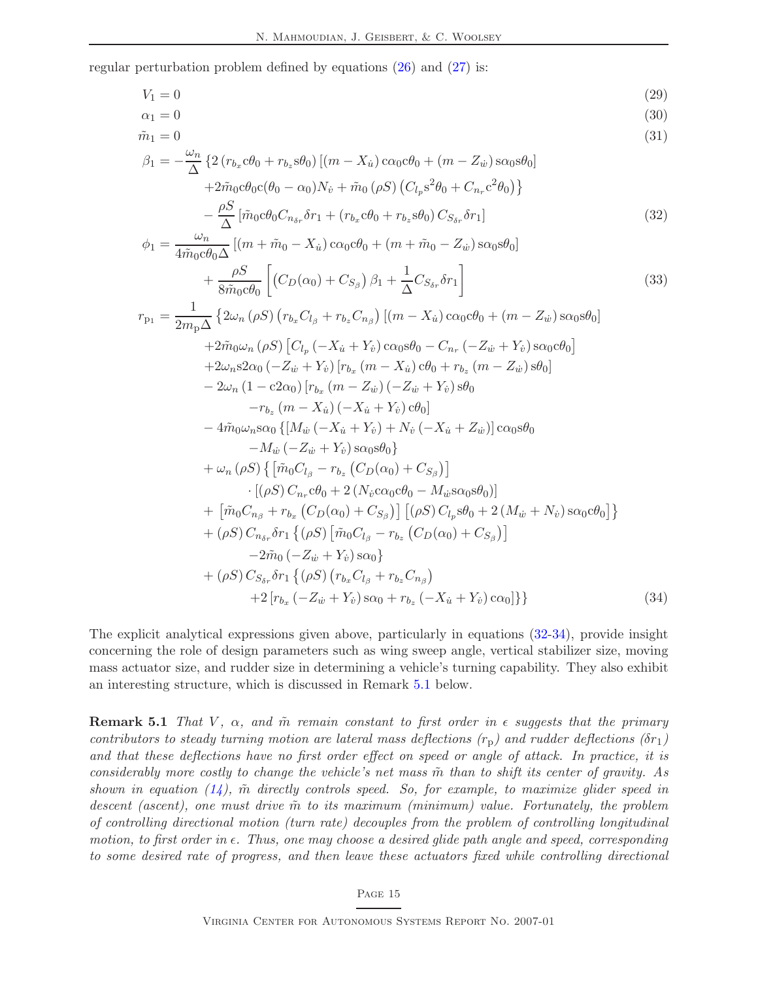regular perturbation problem defined by equations [\(26\)](#page-18-0) and [\(27\)](#page-18-0) is:

<span id="page-19-3"></span><span id="page-19-0"></span>partition of problem defined by equations (26) and (27) is:

\n
$$
V_{1} = 0
$$
\n
$$
\alpha_{1} = 0
$$
\n
$$
\alpha_{1} = 0
$$
\n
$$
\beta_{1} = -\frac{\omega_{n}}{\Delta} \left\{ 2(r_{b_{x}}c\theta_{0} + r_{b_{z}}s\theta_{0}) \left[ (m - X_{u}) \cos(0\theta_{0} + (m - Z_{u}) \sin(0\theta_{0}) \right] \right.\n\left. + 2\tilde{m}_{0}c\theta_{0}c(\theta_{0} - \alpha_{0})N_{v} + \tilde{m}_{0}(\rho S) (C_{l_{p}}s^{2}\theta_{0} + C_{n_{r}}c^{2}\theta_{0}) \right\}\n- \frac{\rho S}{\Delta} \left[ \tilde{m}_{0}c\theta_{0}C_{n_{\delta r}}\delta r_{1} + (r_{b_{x}}c\theta_{0} + r_{b_{z}}s\theta_{0}) C_{S_{\delta r}}\delta r_{1} \right]
$$
\n
$$
\phi_{1} = \frac{\omega_{n}}{4\tilde{m}_{0}c\theta_{0}}\Delta \left[ (m + \tilde{m}_{0} - X_{u}) \cos(0\theta_{0} + (m + \tilde{m}_{0} - Z_{u}) \sin(0\theta_{0}) \right]\n+ \frac{\rho S}{8\tilde{m}_{0}c\theta_{0}} \left[ (C_{D}(\alpha_{0}) + C_{S_{\beta}}) \beta_{1} + \frac{1}{\Delta} C_{S_{\delta r}}\delta r_{1} \right]
$$
\n
$$
r_{p_{1}} = \frac{1}{2m_{p}\Delta} \left\{ 2\omega_{n} (\rho S) (r_{b_{x}}C_{l_{\beta}} + r_{b_{z}}C_{n_{\beta}}) \left[ (m - X_{u}) \cos(0\theta_{0} + (m - Z_{u}) \cos(0\theta_{0}) \right] \right.\n+ 2\tilde{m}_{0}\omega_{n} (\rho S) \left[ C_{l_{p}} (-X_{u} + Y_{v}) \cos(0\theta_{0} - C_{n_{r}} (-Z_{u} + Y_{v}) \sin(0\theta_{0}) \right] \right.\n+ 2\omega_{n} \text{S2C}_{0} (-Z_{u} + Y_{v}) \left[ r_{b_{x}} (m - X_{u}) \cos(\theta_{0} + r_{b_{x}} - Z
$$

<span id="page-19-1"></span>
$$
-2\tilde{m}_0 \left(-Z_{\dot{w}} + Y_{\dot{v}}\right) s\alpha_0\} + (\rho S) C_{S_{\delta r}} \delta r_1 \left\{ (\rho S) \left(r_{b_x} C_{l_\beta} + r_{b_z} C_{n_\beta}\right) + 2 \left[r_{b_x} \left(-Z_{\dot{w}} + Y_{\dot{v}}\right) s\alpha_0 + r_{b_z} \left(-X_{\dot{u}} + Y_{\dot{v}}\right) c\alpha_0\right] \right\}
$$
(34)

The explicit analytical expressions given above, particularly in equations [\(32-](#page-19-0)[34\)](#page-19-1), provide insight concerning the role of design parameters such as wing sweep angle, vertical stabilizer size, moving mass actuator size, and rudder size in determining a vehicle's turning capability. They also exhibit an interesting structure, which is discussed in Remark [5.1](#page-19-2) below.

<span id="page-19-2"></span>**Remark 5.1** That V,  $\alpha$ , and  $\tilde{m}$  remain constant to first order in  $\epsilon$  suggests that the primary contributors to steady turning motion are lateral mass deflections  $(r_p)$  and rudder deflections  $(\delta r_1)$ and that these deflections have no first order effect on speed or angle of attack. In practice, it is considerably more costly to change the vehicle's net mass  $\tilde{m}$  than to shift its center of gravity. As shown in equation  $(14)$ ,  $\tilde{m}$  directly controls speed. So, for example, to maximize glider speed in descent (ascent), one must drive  $\tilde{m}$  to its maximum (minimum) value. Fortunately, the problem of controlling directional motion (turn rate) decouples from the problem of controlling longitudinal motion, to first order in  $\epsilon$ . Thus, one may choose a desired glide path angle and speed, corresponding to some desired rate of progress, and then leave these actuators fixed while controlling directional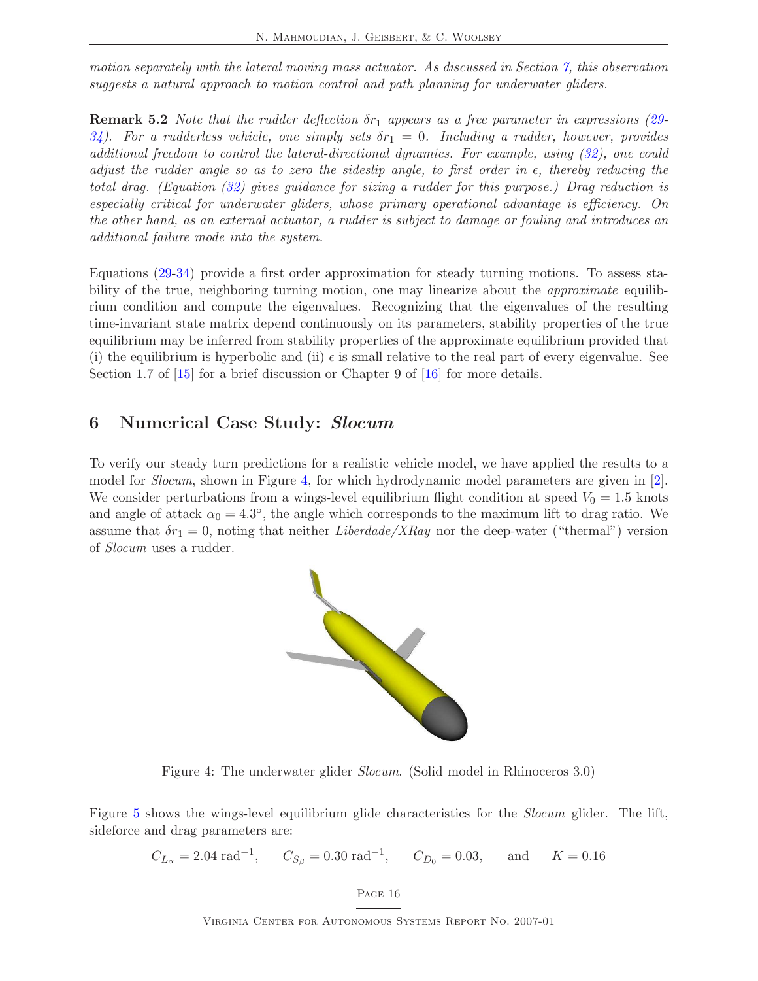motion separately with the lateral moving mass actuator. As discussed in Section [7,](#page-24-0) this observation suggests a natural approach to motion control and path planning for underwater gliders.

**Remark 5.2** Note that the rudder deflection  $\delta r_1$  appears as a free parameter in expressions [\(29-](#page-19-3) [34\)](#page-19-1). For a rudderless vehicle, one simply sets  $\delta r_1 = 0$ . Including a rudder, however, provides additional freedom to control the lateral-directional dynamics. For example, using [\(32\)](#page-19-0), one could adjust the rudder angle so as to zero the sideslip angle, to first order in  $\epsilon$ , thereby reducing the total drag. (Equation [\(32\)](#page-19-0) gives guidance for sizing a rudder for this purpose.) Drag reduction is especially critical for underwater gliders, whose primary operational advantage is efficiency. On the other hand, as an external actuator, a rudder is subject to damage or fouling and introduces an additional failure mode into the system.

Equations [\(29](#page-19-3)[-34\)](#page-19-1) provide a first order approximation for steady turning motions. To assess stability of the true, neighboring turning motion, one may linearize about the *approximate* equilibrium condition and compute the eigenvalues. Recognizing that the eigenvalues of the resulting time-invariant state matrix depend continuously on its parameters, stability properties of the true equilibrium may be inferred from stability properties of the approximate equilibrium provided that (i) the equilibrium is hyperbolic and (ii)  $\epsilon$  is small relative to the real part of every eigenvalue. See Section 1.7 of  $\boxed{15}$  for a brief discussion or Chapter 9 of  $\boxed{16}$  for more details.

### <span id="page-20-0"></span>6 Numerical Case Study: Slocum

To verify our steady turn predictions for a realistic vehicle model, we have applied the results to a model for Slocum, shown in Figure [4,](#page-20-1) for which hydrodynamic model parameters are given in [\[2\]](#page-36-4). We consider perturbations from a wings-level equilibrium flight condition at speed  $V_0 = 1.5$  knots and angle of attack  $\alpha_0 = 4.3^{\circ}$ , the angle which corresponds to the maximum lift to drag ratio. We assume that  $\delta r_1 = 0$ , noting that neither Liberdade/XRay nor the deep-water ("thermal") version of Slocum uses a rudder.



<span id="page-20-1"></span>Figure 4: The underwater glider Slocum. (Solid model in Rhinoceros 3.0)

Figure [5](#page-21-0) shows the wings-level equilibrium glide characteristics for the *Slocum* glider. The lift, sideforce and drag parameters are:

$$
C_{L_{\alpha}} = 2.04 \text{ rad}^{-1}, \quad C_{S_{\beta}} = 0.30 \text{ rad}^{-1}, \quad C_{D_0} = 0.03, \quad \text{and} \quad K = 0.16
$$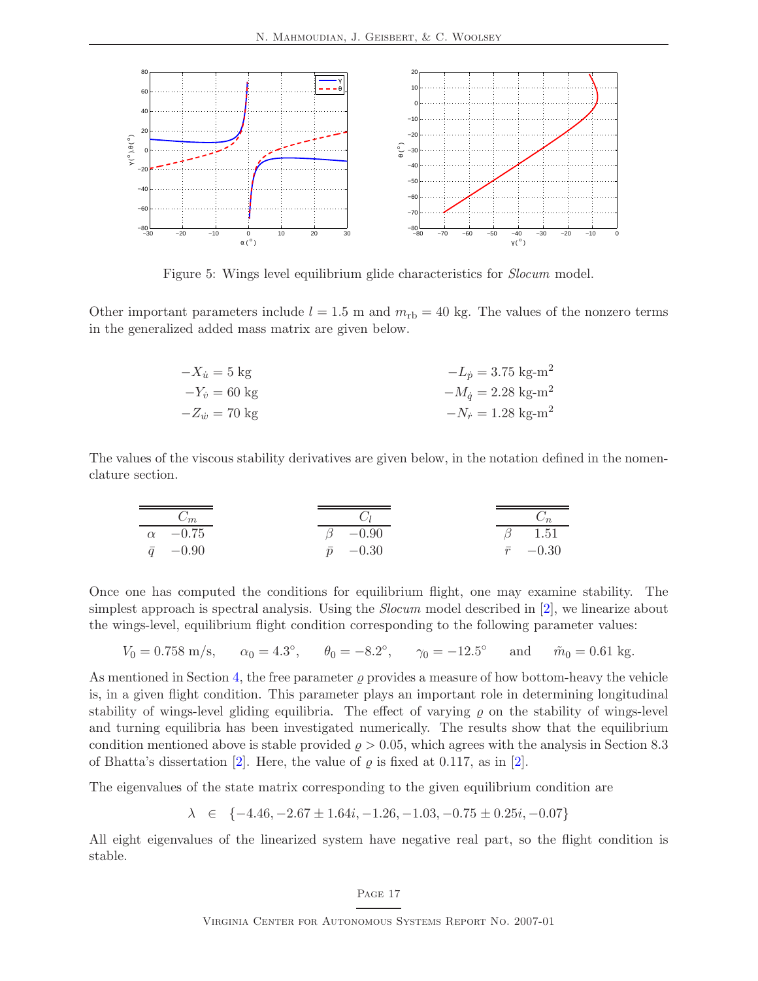

<span id="page-21-0"></span>Figure 5: Wings level equilibrium glide characteristics for Slocum model.

Other important parameters include  $l = 1.5$  m and  $m_{\text{rb}} = 40$  kg. The values of the nonzero terms in the generalized added mass matrix are given below.

| $-X_{ii} = 5$ kg               | $-L_p = 3.75$ kg-m <sup>2</sup>         |
|--------------------------------|-----------------------------------------|
| $-Y_{i} = 60 \text{ kg}$       | $-M_{\dot{a}} = 2.28$ kg-m <sup>2</sup> |
| $-Z_{\dot{w}} = 70 \text{ kg}$ | $-N_r = 1.28$ kg-m <sup>2</sup>         |

The values of the viscous stability derivatives are given below, in the notation defined in the nomenclature section.

| $C_m$           | $C_l$           | $C_n$           |
|-----------------|-----------------|-----------------|
| $\alpha$ -0.75  | $\beta$ -0.90   | $\beta$ 1.51    |
| $\bar{q}$ -0.90 | $\bar{p}$ -0.30 | $\bar{r}$ -0.30 |

Once one has computed the conditions for equilibrium flight, one may examine stability. The simplest approach is spectral analysis. Using the *Slocum* model described in [\[2\]](#page-36-4), we linearize about the wings-level, equilibrium flight condition corresponding to the following parameter values:

$$
V_0 = 0.758
$$
 m/s,  $\alpha_0 = 4.3^\circ$ ,  $\theta_0 = -8.2^\circ$ ,  $\gamma_0 = -12.5^\circ$  and  $\tilde{m}_0 = 0.61$  kg.

As mentioned in Section [4,](#page-12-0) the free parameter  $\rho$  provides a measure of how bottom-heavy the vehicle is, in a given flight condition. This parameter plays an important role in determining longitudinal stability of wings-level gliding equilibria. The effect of varying  $\rho$  on the stability of wings-level and turning equilibria has been investigated numerically. The results show that the equilibrium condition mentioned above is stable provided  $\rho > 0.05$ , which agrees with the analysis in Section 8.3 of Bhatta's dissertation [\[2\]](#page-36-4). Here, the value of  $\rho$  is fixed at 0.117, as in [2].

The eigenvalues of the state matrix corresponding to the given equilibrium condition are

$$
\lambda \in \{-4.46, -2.67 \pm 1.64i, -1.26, -1.03, -0.75 \pm 0.25i, -0.07\}
$$

All eight eigenvalues of the linearized system have negative real part, so the flight condition is stable.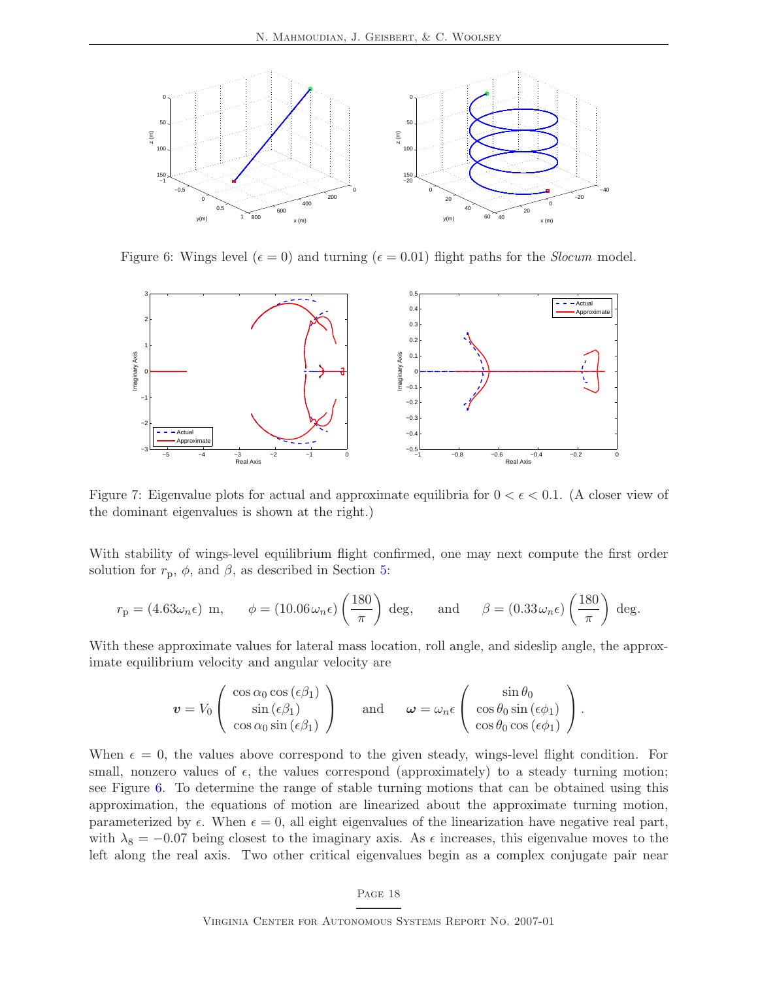

<span id="page-22-0"></span>Figure 6: Wings level ( $\epsilon = 0$ ) and turning ( $\epsilon = 0.01$ ) flight paths for the *Slocum* model.



<span id="page-22-1"></span>Figure 7: Eigenvalue plots for actual and approximate equilibria for  $0 < \epsilon < 0.1$ . (A closer view of the dominant eigenvalues is shown at the right.)

With stability of wings-level equilibrium flight confirmed, one may next compute the first order solution for  $r_p$ ,  $\phi$ , and  $\beta$ , as described in Section [5:](#page-14-0)

$$
r_{\rm p} = (4.63\omega_n\epsilon) \text{ m}, \quad \phi = (10.06\omega_n\epsilon) \left(\frac{180}{\pi}\right) \text{ deg}, \quad \text{and} \quad \beta = (0.33\omega_n\epsilon) \left(\frac{180}{\pi}\right) \text{ deg}.
$$

With these approximate values for lateral mass location, roll angle, and sideslip angle, the approximate equilibrium velocity and angular velocity are

$$
\mathbf{v} = V_0 \left( \begin{array}{c} \cos \alpha_0 \cos (\epsilon \beta_1) \\ \sin (\epsilon \beta_1) \\ \cos \alpha_0 \sin (\epsilon \beta_1) \end{array} \right) \quad \text{and} \quad \boldsymbol{\omega} = \omega_n \epsilon \left( \begin{array}{c} \sin \theta_0 \\ \cos \theta_0 \sin (\epsilon \phi_1) \\ \cos \theta_0 \cos (\epsilon \phi_1) \end{array} \right).
$$

When  $\epsilon = 0$ , the values above correspond to the given steady, wings-level flight condition. For small, nonzero values of  $\epsilon$ , the values correspond (approximately) to a steady turning motion; see Figure [6.](#page-22-0) To determine the range of stable turning motions that can be obtained using this approximation, the equations of motion are linearized about the approximate turning motion, parameterized by  $\epsilon$ . When  $\epsilon = 0$ , all eight eigenvalues of the linearization have negative real part, with  $\lambda_8 = -0.07$  being closest to the imaginary axis. As  $\epsilon$  increases, this eigenvalue moves to the left along the real axis. Two other critical eigenvalues begin as a complex conjugate pair near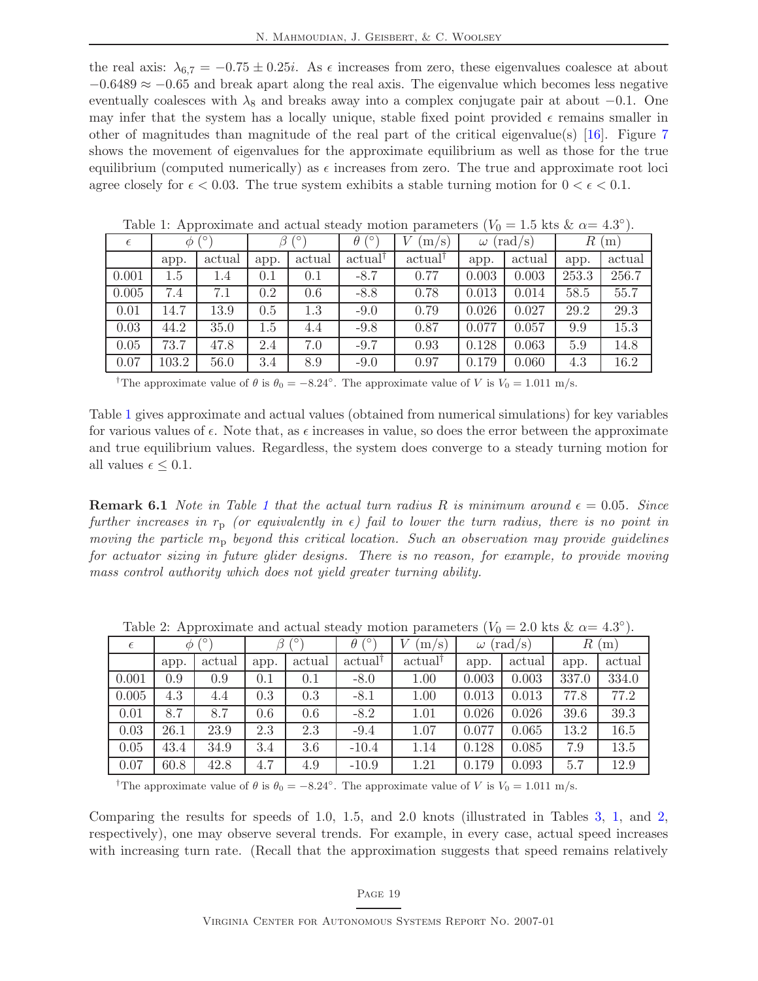the real axis:  $\lambda_{6,7} = -0.75 \pm 0.25i$ . As  $\epsilon$  increases from zero, these eigenvalues coalesce at about  $-0.6489 \approx -0.65$  and break apart along the real axis. The eigenvalue which becomes less negative eventually coalesces with  $\lambda_8$  and breaks away into a complex conjugate pair at about  $-0.1$ . One may infer that the system has a locally unique, stable fixed point provided  $\epsilon$  remains smaller in other of magnitudes than magnitude of the real part of the critical eigenvalue(s) [\[16\]](#page-37-7). Figure [7](#page-22-1) shows the movement of eigenvalues for the approximate equilibrium as well as those for the true equilibrium (computed numerically) as  $\epsilon$  increases from zero. The true and approximate root loci agree closely for  $\epsilon < 0.03$ . The true system exhibits a stable turning motion for  $0 < \epsilon < 0.1$ .

| $\epsilon$ | ′о<br>$\varphi$ |        | O    |         | 0'<br>$\theta$      | R<br>(rad/s)<br>$m/s$ )<br>$\omega$ |       |        |       | (m)    |
|------------|-----------------|--------|------|---------|---------------------|-------------------------------------|-------|--------|-------|--------|
|            | app.            | actual | app. | actual  | actual <sup>†</sup> | actual <sup>†</sup>                 | app.  | actual | app.  | actual |
| 0.001      | $1.5\,$         | 1.4    | 0.1  | 0.1     | $-8.7$              | 0.77                                | 0.003 | 0.003  | 253.3 | 256.7  |
| 0.005      | 7.4             | 7.1    | 0.2  | 0.6     | $-8.8$              | 0.78                                | 0.013 | 0.014  | 58.5  | 55.7   |
| 0.01       | 14.7            | 13.9   | 0.5  | $1.3\,$ | $-9.0$              | 0.79                                | 0.026 | 0.027  | 29.2  | 29.3   |
| 0.03       | 44.2            | 35.0   | 1.5  | 4.4     | $-9.8$              | 0.87                                | 0.077 | 0.057  | 9.9   | 15.3   |
| 0.05       | 73.7            | 47.8   | 2.4  | 7.0     | $-9.7$              | 0.93                                | 0.128 | 0.063  | 5.9   | 14.8   |
| 0.07       | 103.2           | 56.0   | 3.4  | 8.9     | $-9.0$              | 0.97                                | 0.179 | 0.060  | 4.3   | 16.2   |

<span id="page-23-0"></span>Table 1: Approximate and actual steady motion parameters  $(V_0 = 1.5$  kts  $\& \alpha = 4.3^{\circ}).$ 

<sup>†</sup>The approximate value of  $\theta$  is  $\theta_0 = -8.24^\circ$ . The approximate value of V is  $V_0 = 1.011$  m/s.

Table [1](#page-23-0) gives approximate and actual values (obtained from numerical simulations) for key variables for various values of  $\epsilon$ . Note that, as  $\epsilon$  increases in value, so does the error between the approximate and true equilibrium values. Regardless, the system does converge to a steady turning motion for all values  $\epsilon \leq 0.1$ .

**Remark 6.[1](#page-23-0)** Note in Table 1 that the actual turn radius R is minimum around  $\epsilon = 0.05$ . Since further increases in  $r_p$  (or equivalently in  $\epsilon$ ) fail to lower the turn radius, there is no point in moving the particle  $m_p$  beyond this critical location. Such an observation may provide guidelines for actuator sizing in future glider designs. There is no reason, for example, to provide moving mass control authority which does not yield greater turning ability.

| race =.pp.c.minute and due product; include particular<br>, , , , |                             |        |      |        |                     |                     |                              |        |          |        |  |
|-------------------------------------------------------------------|-----------------------------|--------|------|--------|---------------------|---------------------|------------------------------|--------|----------|--------|--|
| $\epsilon$                                                        | $\sqrt{\circ}$<br>$\varphi$ |        | O    |        | $\theta$            | (m/s)               | $(\text{rad/s})$<br>$\omega$ |        | R<br>(m) |        |  |
|                                                                   | app.                        | actual | app. | actual | actual <sup>†</sup> | actual <sup>†</sup> | app.                         | actual | app.     | actual |  |
| 0.001                                                             | 0.9                         | 0.9    | 0.1  | 0.1    | $-8.0$              | 1.00                | 0.003                        | 0.003  | 337.0    | 334.0  |  |
| 0.005                                                             | 4.3                         | 4.4    | 0.3  | 0.3    | $-8.1$              | 1.00                | 0.013                        | 0.013  | 77.8     | 77.2   |  |
| 0.01                                                              | 8.7                         | 8.7    | 0.6  | 0.6    | $-8.2$              | 1.01                | 0.026                        | 0.026  | 39.6     | 39.3   |  |
| 0.03                                                              | 26.1                        | 23.9   | 2.3  | 2.3    | $-9.4$              | 1.07                | 0.077                        | 0.065  | 13.2     | 16.5   |  |
| 0.05                                                              | 43.4                        | 34.9   | 3.4  | 3.6    | $-10.4$             | 1.14                | 0.128                        | 0.085  | 7.9      | 13.5   |  |
| 0.07                                                              | 60.8                        | 42.8   | 4.7  | 4.9    | $-10.9$             | 1.21                | 0.179                        | 0.093  | 5.7      | 12.9   |  |

<span id="page-23-1"></span>Table 2: Approximate and actual steady motion parameters  $(V_0 = 2.0 \text{ kts } \& \alpha = 4.3^{\circ}).$ 

<sup>†</sup>The approximate value of  $\theta$  is  $\theta_0 = -8.24^\circ$ . The approximate value of V is  $V_0 = 1.011$  m/s.

Comparing the results for speeds of 1.0, 1.5, and 2.0 knots (illustrated in Tables [3,](#page-24-1) [1,](#page-23-0) and [2,](#page-23-1) respectively), one may observe several trends. For example, in every case, actual speed increases with increasing turn rate. (Recall that the approximation suggests that speed remains relatively

#### Page 19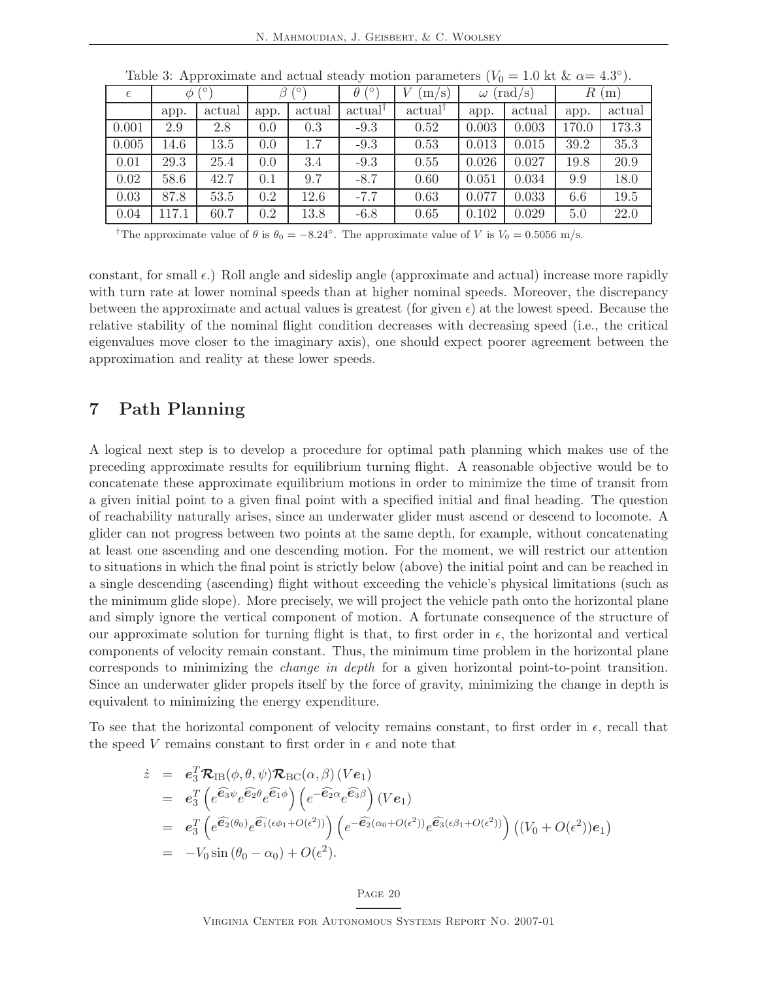| . .        |       |        |              |        |                     |        | $\sim$                       |        |          |        |
|------------|-------|--------|--------------|--------|---------------------|--------|------------------------------|--------|----------|--------|
| $\epsilon$ | Ф     |        | 70<br>$\sim$ |        | ′о<br>$\theta$      | m/s    | $(\text{rad/s})$<br>$\omega$ |        | R<br>(m) |        |
|            | app.  | actual | app.         | actual | actual <sup>†</sup> | actual | app.                         | actual | app.     | actual |
| 0.001      | 2.9   | 2.8    | 0.0          | 0.3    | $-9.3$              | 0.52   | 0.003                        | 0.003  | 170.0    | 173.3  |
| 0.005      | 14.6  | 13.5   | 0.0          | 1.7    | $-9.3$              | 0.53   | 0.013                        | 0.015  | 39.2     | 35.3   |
| 0.01       | 29.3  | 25.4   | 0.0          | 3.4    | $-9.3$              | 0.55   | 0.026                        | 0.027  | 19.8     | 20.9   |
| 0.02       | 58.6  | 42.7   | 0.1          | 9.7    | $-8.7$              | 0.60   | 0.051                        | 0.034  | 9.9      | 18.0   |
| 0.03       | 87.8  | 53.5   | 0.2          | 12.6   | $-7.7$              | 0.63   | 0.077                        | 0.033  | 6.6      | 19.5   |
| 0.04       | 117.1 | 60.7   | 0.2          | 13.8   | $-6.8$              | 0.65   | 0.102                        | 0.029  | 5.0      | 22.0   |

<span id="page-24-1"></span>Table 3: Approximate and actual steady motion parameters  $(V_0 = 1.0 \text{ kt } \& \alpha = 4.3^{\circ}).$ 

<sup>†</sup>The approximate value of  $\theta$  is  $\theta_0 = -8.24^\circ$ . The approximate value of V is  $V_0 = 0.5056$  m/s.

constant, for small  $\epsilon$ .) Roll angle and sideslip angle (approximate and actual) increase more rapidly with turn rate at lower nominal speeds than at higher nominal speeds. Moreover, the discrepancy between the approximate and actual values is greatest (for given  $\epsilon$ ) at the lowest speed. Because the relative stability of the nominal flight condition decreases with decreasing speed (i.e., the critical eigenvalues move closer to the imaginary axis), one should expect poorer agreement between the approximation and reality at these lower speeds.

### <span id="page-24-0"></span>7 Path Planning

A logical next step is to develop a procedure for optimal path planning which makes use of the preceding approximate results for equilibrium turning flight. A reasonable objective would be to concatenate these approximate equilibrium motions in order to minimize the time of transit from a given initial point to a given final point with a specified initial and final heading. The question of reachability naturally arises, since an underwater glider must ascend or descend to locomote. A glider can not progress between two points at the same depth, for example, without concatenating at least one ascending and one descending motion. For the moment, we will restrict our attention to situations in which the final point is strictly below (above) the initial point and can be reached in a single descending (ascending) flight without exceeding the vehicle's physical limitations (such as the minimum glide slope). More precisely, we will project the vehicle path onto the horizontal plane and simply ignore the vertical component of motion. A fortunate consequence of the structure of our approximate solution for turning flight is that, to first order in  $\epsilon$ , the horizontal and vertical components of velocity remain constant. Thus, the minimum time problem in the horizontal plane corresponds to minimizing the change in depth for a given horizontal point-to-point transition. Since an underwater glider propels itself by the force of gravity, minimizing the change in depth is equivalent to minimizing the energy expenditure.

To see that the horizontal component of velocity remains constant, to first order in  $\epsilon$ , recall that the speed V remains constant to first order in  $\epsilon$  and note that

$$
\dot{z} = e_3^T \mathcal{R}_{IB}(\phi, \theta, \psi) \mathcal{R}_{BC}(\alpha, \beta) (Ve_1)
$$
\n
$$
= e_3^T \left( e^{\widehat{\mathbf{e}}_3 \psi} e^{\widehat{\mathbf{e}}_2 \theta} e^{\widehat{\mathbf{e}}_1 \phi} \right) \left( e^{-\widehat{\mathbf{e}}_2 \alpha} e^{\widehat{\mathbf{e}}_3 \beta} \right) (Ve_1)
$$
\n
$$
= e_3^T \left( e^{\widehat{\mathbf{e}}_2(\theta_0)} e^{\widehat{\mathbf{e}}_1(\epsilon \phi_1 + O(\epsilon^2))} \right) \left( e^{-\widehat{\mathbf{e}}_2(\alpha_0 + O(\epsilon^2))} e^{\widehat{\mathbf{e}}_3(\epsilon \beta_1 + O(\epsilon^2))} \right) \left( (V_0 + O(\epsilon^2)) e_1 \right)
$$
\n
$$
= -V_0 \sin (\theta_0 - \alpha_0) + O(\epsilon^2).
$$

#### Page 20

Virginia Center for Autonomous Systems Report No. 2007-01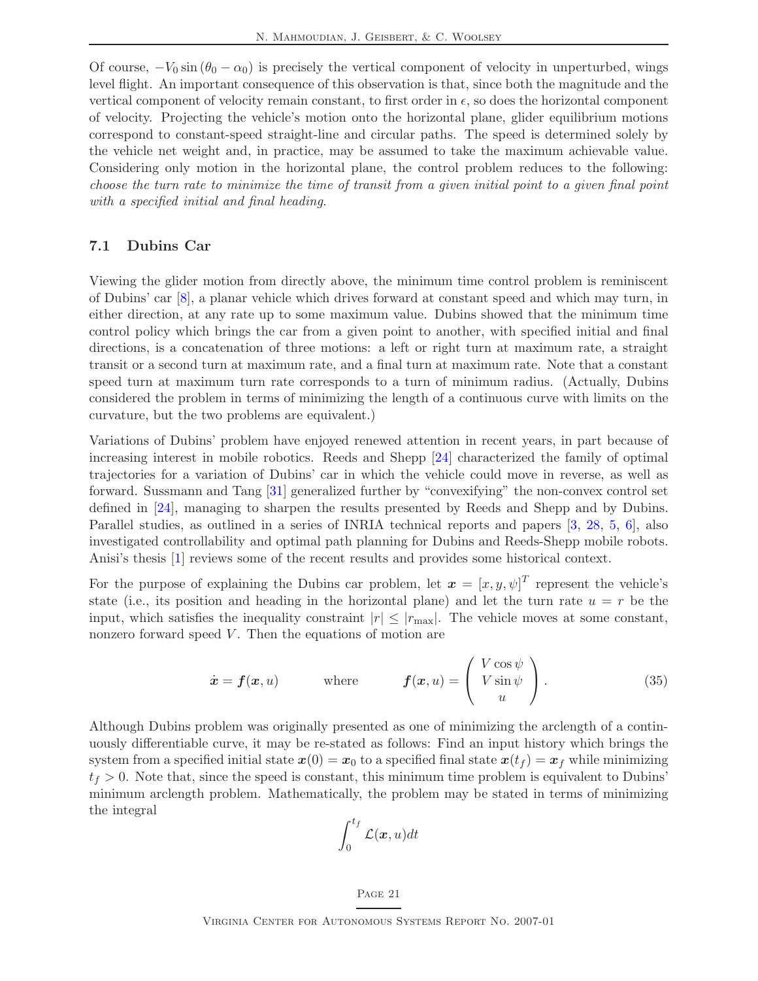Of course,  $-V_0 \sin (\theta_0 - \alpha_0)$  is precisely the vertical component of velocity in unperturbed, wings level flight. An important consequence of this observation is that, since both the magnitude and the vertical component of velocity remain constant, to first order in  $\epsilon$ , so does the horizontal component of velocity. Projecting the vehicle's motion onto the horizontal plane, glider equilibrium motions correspond to constant-speed straight-line and circular paths. The speed is determined solely by the vehicle net weight and, in practice, may be assumed to take the maximum achievable value. Considering only motion in the horizontal plane, the control problem reduces to the following: choose the turn rate to minimize the time of transit from a given initial point to a given final point with a specified initial and final heading.

### <span id="page-25-0"></span>7.1 Dubins Car

Viewing the glider motion from directly above, the minimum time control problem is reminiscent of Dubins' car [\[8\]](#page-36-7), a planar vehicle which drives forward at constant speed and which may turn, in either direction, at any rate up to some maximum value. Dubins showed that the minimum time control policy which brings the car from a given point to another, with specified initial and final directions, is a concatenation of three motions: a left or right turn at maximum rate, a straight transit or a second turn at maximum rate, and a final turn at maximum rate. Note that a constant speed turn at maximum turn rate corresponds to a turn of minimum radius. (Actually, Dubins considered the problem in terms of minimizing the length of a continuous curve with limits on the curvature, but the two problems are equivalent.)

Variations of Dubins' problem have enjoyed renewed attention in recent years, in part because of increasing interest in mobile robotics. Reeds and Shepp [\[24\]](#page-37-8) characterized the family of optimal trajectories for a variation of Dubins' car in which the vehicle could move in reverse, as well as forward. Sussmann and Tang [\[31\]](#page-37-9) generalized further by "convexifying" the non-convex control set defined in [\[24\]](#page-37-8), managing to sharpen the results presented by Reeds and Shepp and by Dubins. Parallel studies, as outlined in a series of INRIA technical reports and papers [\[3,](#page-36-8) [28,](#page-37-10) [5,](#page-36-9) [6\]](#page-36-10), also investigated controllability and optimal path planning for Dubins and Reeds-Shepp mobile robots. Anisi's thesis [\[1\]](#page-36-11) reviews some of the recent results and provides some historical context.

For the purpose of explaining the Dubins car problem, let  $\boldsymbol{x} = [x, y, \psi]^T$  represent the vehicle's state (i.e., its position and heading in the horizontal plane) and let the turn rate  $u = r$  be the input, which satisfies the inequality constraint  $|r| \leq |r_{\text{max}}|$ . The vehicle moves at some constant, nonzero forward speed  $V$ . Then the equations of motion are

$$
\dot{\boldsymbol{x}} = \boldsymbol{f}(\boldsymbol{x}, u) \qquad \text{where} \qquad \boldsymbol{f}(\boldsymbol{x}, u) = \begin{pmatrix} V \cos \psi \\ V \sin \psi \\ u \end{pmatrix} . \tag{35}
$$

Although Dubins problem was originally presented as one of minimizing the arclength of a continuously differentiable curve, it may be re-stated as follows: Find an input history which brings the system from a specified initial state  $x(0) = x_0$  to a specified final state  $x(t_f) = x_f$  while minimizing  $t_f > 0$ . Note that, since the speed is constant, this minimum time problem is equivalent to Dubins' minimum arclength problem. Mathematically, the problem may be stated in terms of minimizing the integral

<span id="page-25-1"></span>
$$
\int_0^{t_f} \mathcal{L}(\bm{x}, u) dt
$$

### Page 21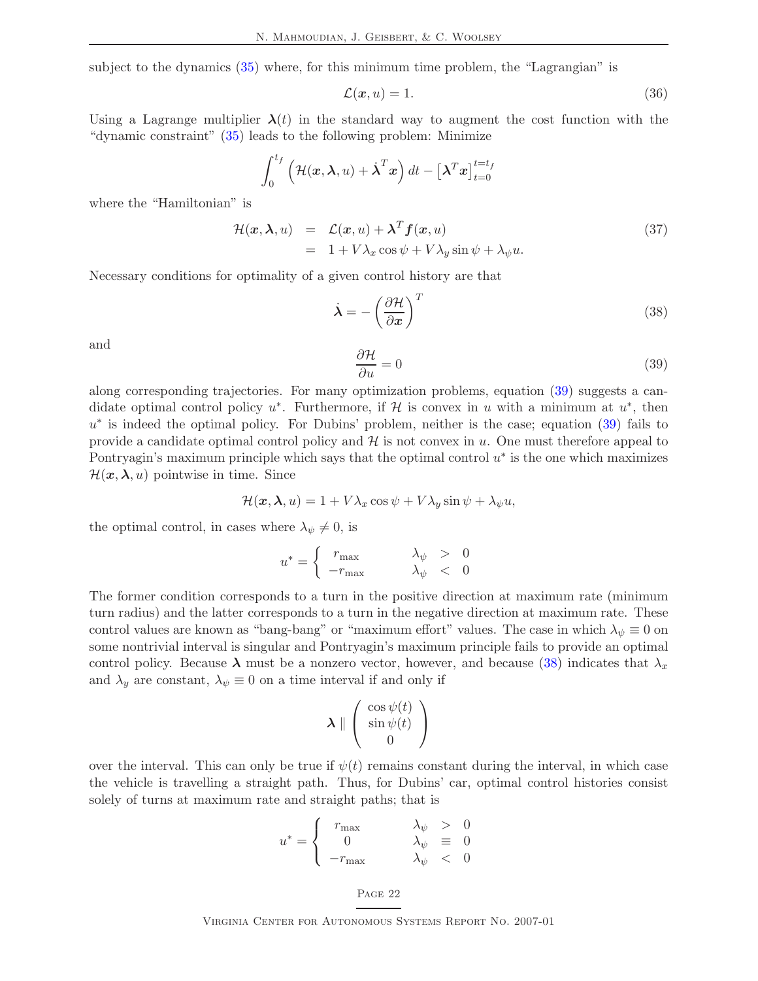subject to the dynamics [\(35\)](#page-25-1) where, for this minimum time problem, the "Lagrangian" is

$$
\mathcal{L}(\boldsymbol{x},u) = 1. \tag{36}
$$

Using a Lagrange multiplier  $\lambda(t)$  in the standard way to augment the cost function with the "dynamic constraint" [\(35\)](#page-25-1) leads to the following problem: Minimize

$$
\int_0^{t_f} \left( \mathcal{H}(\boldsymbol{x}, \boldsymbol{\lambda}, u) + \dot{\boldsymbol{\lambda}}^T \boldsymbol{x} \right) dt - \left[ \boldsymbol{\lambda}^T \boldsymbol{x} \right]_{t=0}^{t=t_f}
$$

where the "Hamiltonian" is

$$
\mathcal{H}(\boldsymbol{x}, \boldsymbol{\lambda}, u) = \mathcal{L}(\boldsymbol{x}, u) + \boldsymbol{\lambda}^T \boldsymbol{f}(\boldsymbol{x}, u) \n= 1 + V\lambda_x \cos \psi + V\lambda_y \sin \psi + \lambda_{\psi} u.
$$
\n(37)

Necessary conditions for optimality of a given control history are that

$$
\dot{\lambda} = -\left(\frac{\partial \mathcal{H}}{\partial x}\right)^T \tag{38}
$$

<span id="page-26-0"></span>and

<span id="page-26-1"></span>
$$
\frac{\partial \mathcal{H}}{\partial u} = 0\tag{39}
$$

along corresponding trajectories. For many optimization problems, equation [\(39\)](#page-26-0) suggests a candidate optimal control policy  $u^*$ . Furthermore, if H is convex in u with a minimum at  $u^*$ , then u<sup>\*</sup> is indeed the optimal policy. For Dubins' problem, neither is the case; equation [\(39\)](#page-26-0) fails to provide a candidate optimal control policy and  $\mathcal H$  is not convex in u. One must therefore appeal to Pontryagin's maximum principle which says that the optimal control  $u^*$  is the one which maximizes  $\mathcal{H}(\boldsymbol{x}, \boldsymbol{\lambda}, u)$  pointwise in time. Since

$$
\mathcal{H}(\boldsymbol{x}, \boldsymbol{\lambda}, u) = 1 + V\lambda_x \cos \psi + V\lambda_y \sin \psi + \lambda_{\psi} u,
$$

the optimal control, in cases where  $\lambda_{\psi} \neq 0$ , is

$$
u^* = \begin{cases} r_{\text{max}} & \lambda_{\psi} > 0\\ -r_{\text{max}} & \lambda_{\psi} < 0 \end{cases}
$$

The former condition corresponds to a turn in the positive direction at maximum rate (minimum turn radius) and the latter corresponds to a turn in the negative direction at maximum rate. These control values are known as "bang-bang" or "maximum effort" values. The case in which  $\lambda_{\psi} \equiv 0$  on some nontrivial interval is singular and Pontryagin's maximum principle fails to provide an optimal control policy. Because  $\lambda$  must be a nonzero vector, however, and because [\(38\)](#page-26-1) indicates that  $\lambda_x$ and  $\lambda_y$  are constant,  $\lambda_{\psi} \equiv 0$  on a time interval if and only if

$$
\boldsymbol{\lambda} \parallel \begin{pmatrix} \cos \psi(t) \\ \sin \psi(t) \\ 0 \end{pmatrix}
$$

over the interval. This can only be true if  $\psi(t)$  remains constant during the interval, in which case the vehicle is travelling a straight path. Thus, for Dubins' car, optimal control histories consist solely of turns at maximum rate and straight paths; that is

$$
u^* = \begin{cases} r_{\text{max}} & \lambda_{\psi} > 0\\ 0 & \lambda_{\psi} \equiv 0\\ -r_{\text{max}} & \lambda_{\psi} < 0 \end{cases}
$$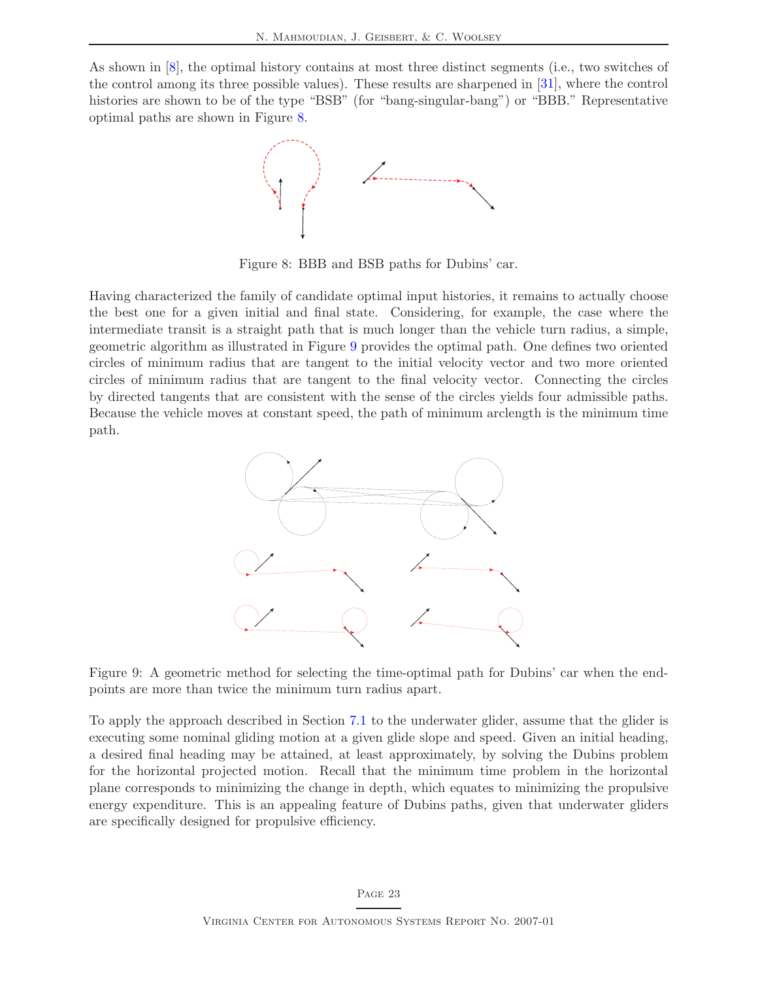As shown in [\[8\]](#page-36-7), the optimal history contains at most three distinct segments (i.e., two switches of the control among its three possible values). These results are sharpened in [\[31\]](#page-37-9), where the control histories are shown to be of the type "BSB" (for "bang-singular-bang") or "BBB." Representative optimal paths are shown in Figure [8.](#page-27-0)



<span id="page-27-0"></span>Figure 8: BBB and BSB paths for Dubins' car.

Having characterized the family of candidate optimal input histories, it remains to actually choose the best one for a given initial and final state. Considering, for example, the case where the intermediate transit is a straight path that is much longer than the vehicle turn radius, a simple, geometric algorithm as illustrated in Figure [9](#page-27-1) provides the optimal path. One defines two oriented circles of minimum radius that are tangent to the initial velocity vector and two more oriented circles of minimum radius that are tangent to the final velocity vector. Connecting the circles by directed tangents that are consistent with the sense of the circles yields four admissible paths. Because the vehicle moves at constant speed, the path of minimum arclength is the minimum time path.



<span id="page-27-1"></span>Figure 9: A geometric method for selecting the time-optimal path for Dubins' car when the endpoints are more than twice the minimum turn radius apart.

To apply the approach described in Section [7.1](#page-25-0) to the underwater glider, assume that the glider is executing some nominal gliding motion at a given glide slope and speed. Given an initial heading, a desired final heading may be attained, at least approximately, by solving the Dubins problem for the horizontal projected motion. Recall that the minimum time problem in the horizontal plane corresponds to minimizing the change in depth, which equates to minimizing the propulsive energy expenditure. This is an appealing feature of Dubins paths, given that underwater gliders are specifically designed for propulsive efficiency.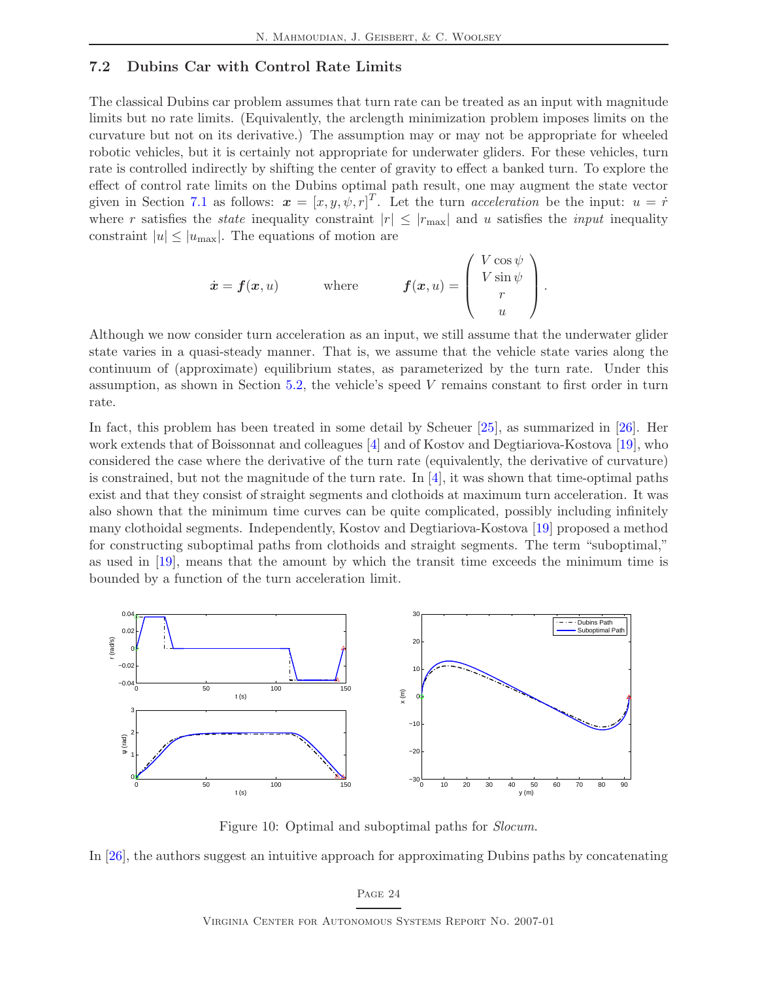### <span id="page-28-0"></span>7.2 Dubins Car with Control Rate Limits

The classical Dubins car problem assumes that turn rate can be treated as an input with magnitude limits but no rate limits. (Equivalently, the arclength minimization problem imposes limits on the curvature but not on its derivative.) The assumption may or may not be appropriate for wheeled robotic vehicles, but it is certainly not appropriate for underwater gliders. For these vehicles, turn rate is controlled indirectly by shifting the center of gravity to effect a banked turn. To explore the effect of control rate limits on the Dubins optimal path result, one may augment the state vector given in Section [7.1](#page-25-0) as follows:  $\boldsymbol{x} = [x, y, \psi, r]^T$ . Let the turn *acceleration* be the input:  $u = \dot{r}$ where r satisfies the *state* inequality constraint  $|r| \leq |r_{\text{max}}|$  and u satisfies the *input* inequality constraint  $|u| \leq |u_{\text{max}}|$ . The equations of motion are

$$
\dot{\boldsymbol{x}} = \boldsymbol{f}(\boldsymbol{x}, u) \qquad \text{where} \qquad \boldsymbol{f}(\boldsymbol{x}, u) = \begin{pmatrix} V \cos \psi \\ V \sin \psi \\ r \\ u \end{pmatrix}.
$$

Although we now consider turn acceleration as an input, we still assume that the underwater glider state varies in a quasi-steady manner. That is, we assume that the vehicle state varies along the continuum of (approximate) equilibrium states, as parameterized by the turn rate. Under this assumption, as shown in Section  $5.2$ , the vehicle's speed V remains constant to first order in turn rate.

In fact, this problem has been treated in some detail by Scheuer [\[25\]](#page-37-11), as summarized in [\[26\]](#page-37-12). Her work extends that of Boissonnat and colleagues [\[4\]](#page-36-12) and of Kostov and Degtiariova-Kostova [\[19\]](#page-37-13), who considered the case where the derivative of the turn rate (equivalently, the derivative of curvature) is constrained, but not the magnitude of the turn rate. In  $[4]$ , it was shown that time-optimal paths exist and that they consist of straight segments and clothoids at maximum turn acceleration. It was also shown that the minimum time curves can be quite complicated, possibly including infinitely many clothoidal segments. Independently, Kostov and Degtiariova-Kostova [\[19\]](#page-37-13) proposed a method for constructing suboptimal paths from clothoids and straight segments. The term "suboptimal," as used in [\[19\]](#page-37-13), means that the amount by which the transit time exceeds the minimum time is bounded by a function of the turn acceleration limit.



<span id="page-28-1"></span>Figure 10: Optimal and suboptimal paths for *Slocum*.

In [\[26\]](#page-37-12), the authors suggest an intuitive approach for approximating Dubins paths by concatenating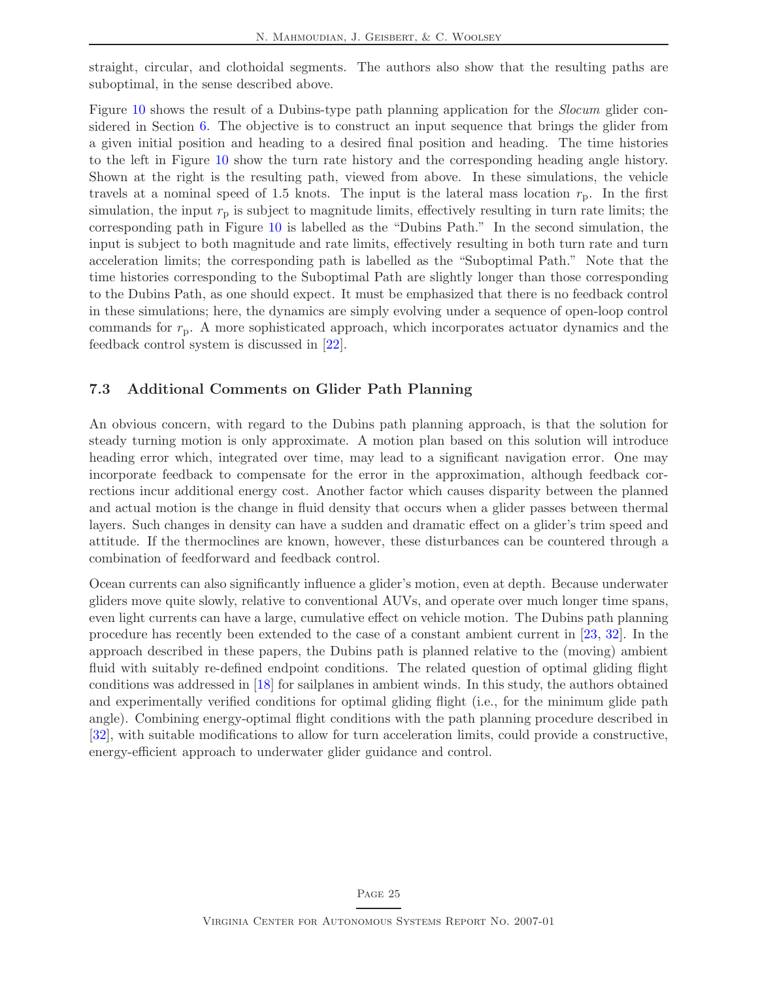straight, circular, and clothoidal segments. The authors also show that the resulting paths are suboptimal, in the sense described above.

Figure [10](#page-28-1) shows the result of a Dubins-type path planning application for the Slocum glider considered in Section [6.](#page-20-0) The objective is to construct an input sequence that brings the glider from a given initial position and heading to a desired final position and heading. The time histories to the left in Figure [10](#page-28-1) show the turn rate history and the corresponding heading angle history. Shown at the right is the resulting path, viewed from above. In these simulations, the vehicle travels at a nominal speed of 1.5 knots. The input is the lateral mass location  $r_p$ . In the first simulation, the input  $r<sub>p</sub>$  is subject to magnitude limits, effectively resulting in turn rate limits; the corresponding path in Figure [10](#page-28-1) is labelled as the "Dubins Path." In the second simulation, the input is subject to both magnitude and rate limits, effectively resulting in both turn rate and turn acceleration limits; the corresponding path is labelled as the "Suboptimal Path." Note that the time histories corresponding to the Suboptimal Path are slightly longer than those corresponding to the Dubins Path, as one should expect. It must be emphasized that there is no feedback control in these simulations; here, the dynamics are simply evolving under a sequence of open-loop control commands for  $r_p$ . A more sophisticated approach, which incorporates actuator dynamics and the feedback control system is discussed in [\[22\]](#page-37-4).

### <span id="page-29-0"></span>7.3 Additional Comments on Glider Path Planning

An obvious concern, with regard to the Dubins path planning approach, is that the solution for steady turning motion is only approximate. A motion plan based on this solution will introduce heading error which, integrated over time, may lead to a significant navigation error. One may incorporate feedback to compensate for the error in the approximation, although feedback corrections incur additional energy cost. Another factor which causes disparity between the planned and actual motion is the change in fluid density that occurs when a glider passes between thermal layers. Such changes in density can have a sudden and dramatic effect on a glider's trim speed and attitude. If the thermoclines are known, however, these disturbances can be countered through a combination of feedforward and feedback control.

Ocean currents can also significantly influence a glider's motion, even at depth. Because underwater gliders move quite slowly, relative to conventional AUVs, and operate over much longer time spans, even light currents can have a large, cumulative effect on vehicle motion. The Dubins path planning procedure has recently been extended to the case of a constant ambient current in [\[23,](#page-37-14) [32\]](#page-38-1). In the approach described in these papers, the Dubins path is planned relative to the (moving) ambient fluid with suitably re-defined endpoint conditions. The related question of optimal gliding flight conditions was addressed in [\[18\]](#page-37-15) for sailplanes in ambient winds. In this study, the authors obtained and experimentally verified conditions for optimal gliding flight (i.e., for the minimum glide path angle). Combining energy-optimal flight conditions with the path planning procedure described in [\[32\]](#page-38-1), with suitable modifications to allow for turn acceleration limits, could provide a constructive, energy-efficient approach to underwater glider guidance and control.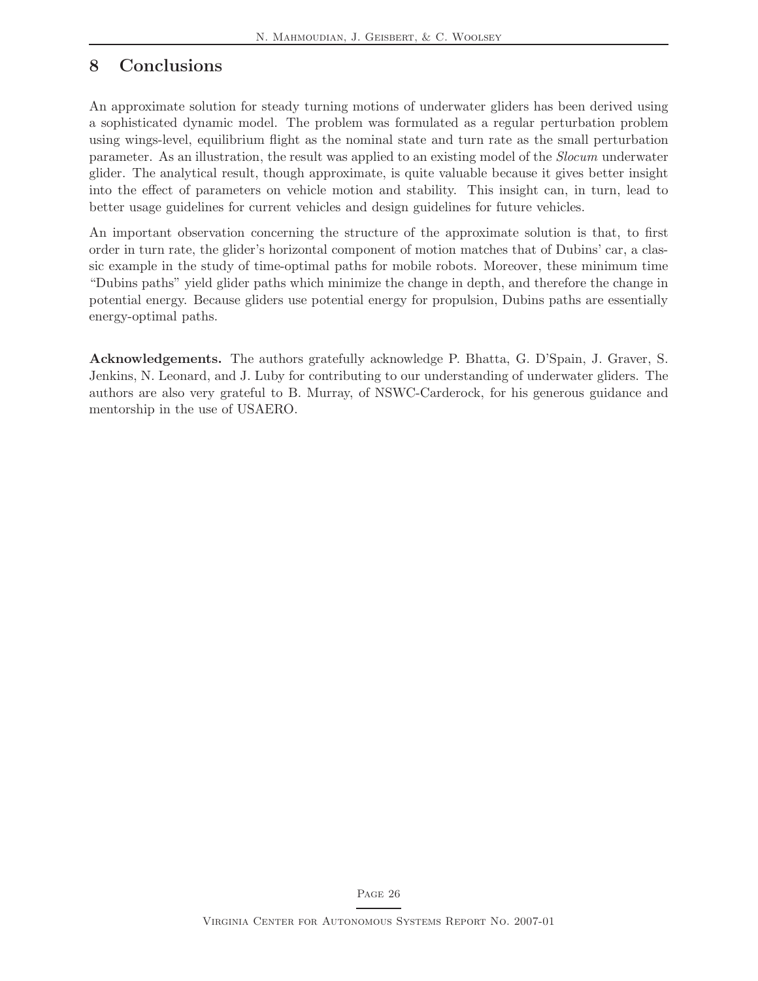## <span id="page-30-0"></span>8 Conclusions

An approximate solution for steady turning motions of underwater gliders has been derived using a sophisticated dynamic model. The problem was formulated as a regular perturbation problem using wings-level, equilibrium flight as the nominal state and turn rate as the small perturbation parameter. As an illustration, the result was applied to an existing model of the Slocum underwater glider. The analytical result, though approximate, is quite valuable because it gives better insight into the effect of parameters on vehicle motion and stability. This insight can, in turn, lead to better usage guidelines for current vehicles and design guidelines for future vehicles.

An important observation concerning the structure of the approximate solution is that, to first order in turn rate, the glider's horizontal component of motion matches that of Dubins' car, a classic example in the study of time-optimal paths for mobile robots. Moreover, these minimum time "Dubins paths" yield glider paths which minimize the change in depth, and therefore the change in potential energy. Because gliders use potential energy for propulsion, Dubins paths are essentially energy-optimal paths.

Acknowledgements. The authors gratefully acknowledge P. Bhatta, G. D'Spain, J. Graver, S. Jenkins, N. Leonard, and J. Luby for contributing to our understanding of underwater gliders. The authors are also very grateful to B. Murray, of NSWC-Carderock, for his generous guidance and mentorship in the use of USAERO.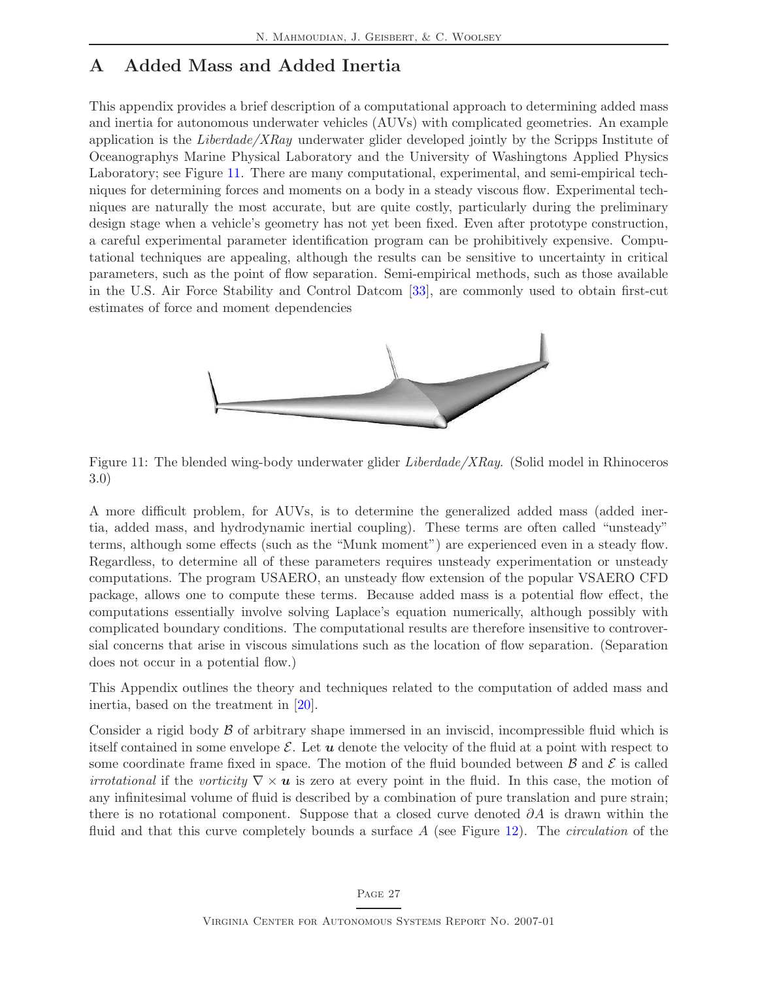## <span id="page-31-0"></span>A Added Mass and Added Inertia

This appendix provides a brief description of a computational approach to determining added mass and inertia for autonomous underwater vehicles (AUVs) with complicated geometries. An example application is the *Liberdade/XRay* underwater glider developed jointly by the Scripps Institute of Oceanographys Marine Physical Laboratory and the University of Washingtons Applied Physics Laboratory; see Figure [11.](#page-31-1) There are many computational, experimental, and semi-empirical techniques for determining forces and moments on a body in a steady viscous flow. Experimental techniques are naturally the most accurate, but are quite costly, particularly during the preliminary design stage when a vehicle's geometry has not yet been fixed. Even after prototype construction, a careful experimental parameter identification program can be prohibitively expensive. Computational techniques are appealing, although the results can be sensitive to uncertainty in critical parameters, such as the point of flow separation. Semi-empirical methods, such as those available in the U.S. Air Force Stability and Control Datcom [\[33\]](#page-38-2), are commonly used to obtain first-cut estimates of force and moment dependencies



Figure 11: The blended wing-body underwater glider Liberdade/XRay. (Solid model in Rhinoceros 3.0)

<span id="page-31-1"></span>A more difficult problem, for AUVs, is to determine the generalized added mass (added inertia, added mass, and hydrodynamic inertial coupling). These terms are often called "unsteady" terms, although some effects (such as the "Munk moment") are experienced even in a steady flow. Regardless, to determine all of these parameters requires unsteady experimentation or unsteady computations. The program USAERO, an unsteady flow extension of the popular VSAERO CFD package, allows one to compute these terms. Because added mass is a potential flow effect, the computations essentially involve solving Laplace's equation numerically, although possibly with complicated boundary conditions. The computational results are therefore insensitive to controversial concerns that arise in viscous simulations such as the location of flow separation. (Separation does not occur in a potential flow.)

This Appendix outlines the theory and techniques related to the computation of added mass and inertia, based on the treatment in [\[20\]](#page-37-16).

Consider a rigid body  $\beta$  of arbitrary shape immersed in an inviscid, incompressible fluid which is itself contained in some envelope  $\mathcal E$ . Let  $\boldsymbol u$  denote the velocity of the fluid at a point with respect to some coordinate frame fixed in space. The motion of the fluid bounded between  $\beta$  and  $\beta$  is called *irrotational* if the vorticity  $\nabla \times \mathbf{u}$  is zero at every point in the fluid. In this case, the motion of any infinitesimal volume of fluid is described by a combination of pure translation and pure strain; there is no rotational component. Suppose that a closed curve denoted  $\partial A$  is drawn within the fluid and that this curve completely bounds a surface  $A$  (see Figure [12\)](#page-32-0). The *circulation* of the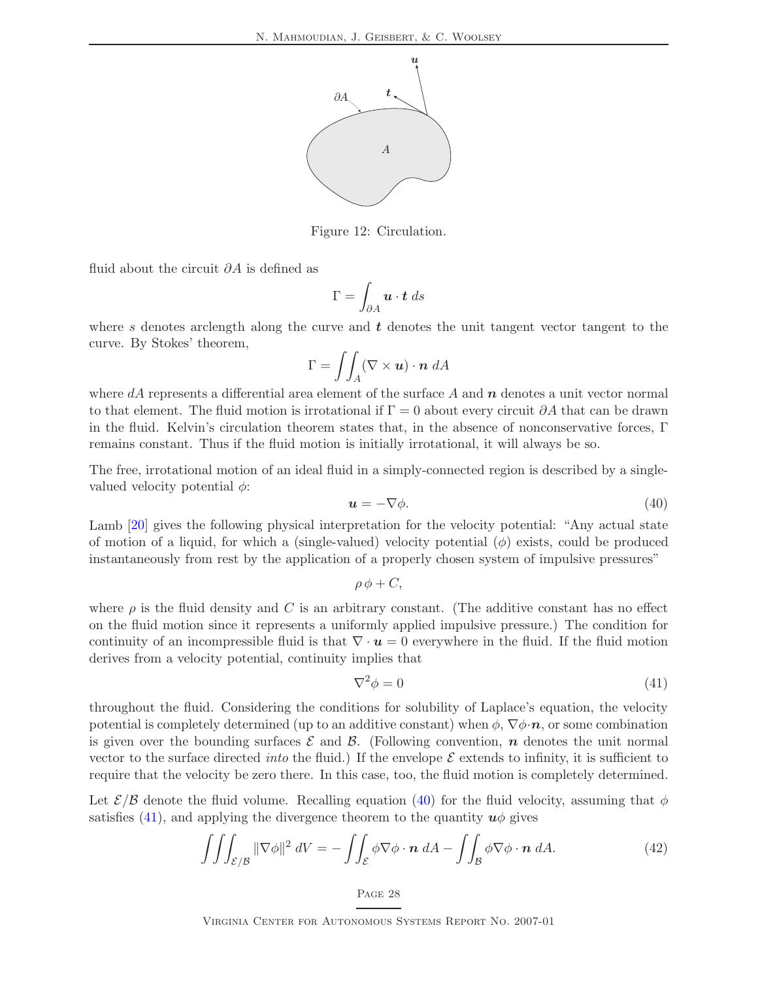

Figure 12: Circulation.

fluid about the circuit  $\partial A$  is defined as

<span id="page-32-0"></span>
$$
\Gamma = \int_{\partial A} \mathbf{u} \cdot \mathbf{t} \, ds
$$

where s denotes arclength along the curve and  $t$  denotes the unit tangent vector tangent to the curve. By Stokes' theorem,

$$
\Gamma = \iint_A (\nabla \times \mathbf{u}) \cdot \mathbf{n} \ dA
$$

where  $dA$  represents a differential area element of the surface A and  $n$  denotes a unit vector normal to that element. The fluid motion is irrotational if  $\Gamma = 0$  about every circuit  $\partial A$  that can be drawn in the fluid. Kelvin's circulation theorem states that, in the absence of nonconservative forces, Γ remains constant. Thus if the fluid motion is initially irrotational, it will always be so.

The free, irrotational motion of an ideal fluid in a simply-connected region is described by a singlevalued velocity potential  $\phi$ :

<span id="page-32-1"></span>
$$
\mathbf{u} = -\nabla \phi. \tag{40}
$$

Lamb [\[20\]](#page-37-16) gives the following physical interpretation for the velocity potential: "Any actual state of motion of a liquid, for which a (single-valued) velocity potential  $(\phi)$  exists, could be produced instantaneously from rest by the application of a properly chosen system of impulsive pressures"

$$
\rho \phi + C,
$$

where  $\rho$  is the fluid density and C is an arbitrary constant. (The additive constant has no effect on the fluid motion since it represents a uniformly applied impulsive pressure.) The condition for continuity of an incompressible fluid is that  $\nabla \cdot \mathbf{u} = 0$  everywhere in the fluid. If the fluid motion derives from a velocity potential, continuity implies that

<span id="page-32-3"></span><span id="page-32-2"></span>
$$
\nabla^2 \phi = 0 \tag{41}
$$

throughout the fluid. Considering the conditions for solubility of Laplace's equation, the velocity potential is completely determined (up to an additive constant) when  $\phi$ ,  $\nabla \phi \cdot \boldsymbol{n}$ , or some combination is given over the bounding surfaces  $\mathcal E$  and  $\mathcal B$ . (Following convention,  $\bm n$  denotes the unit normal vector to the surface directed *into* the fluid.) If the envelope  $\mathcal E$  extends to infinity, it is sufficient to require that the velocity be zero there. In this case, too, the fluid motion is completely determined.

Let  $\mathcal{E}/\mathcal{B}$  denote the fluid volume. Recalling equation [\(40\)](#page-32-1) for the fluid velocity, assuming that  $\phi$ satisfies [\(41\)](#page-32-2), and applying the divergence theorem to the quantity  $u\phi$  gives

$$
\iiint_{\mathcal{E}/\mathcal{B}} \|\nabla \phi\|^2 \, dV = -\iint_{\mathcal{E}} \phi \nabla \phi \cdot \mathbf{n} \, dA - \iint_{\mathcal{B}} \phi \nabla \phi \cdot \mathbf{n} \, dA. \tag{42}
$$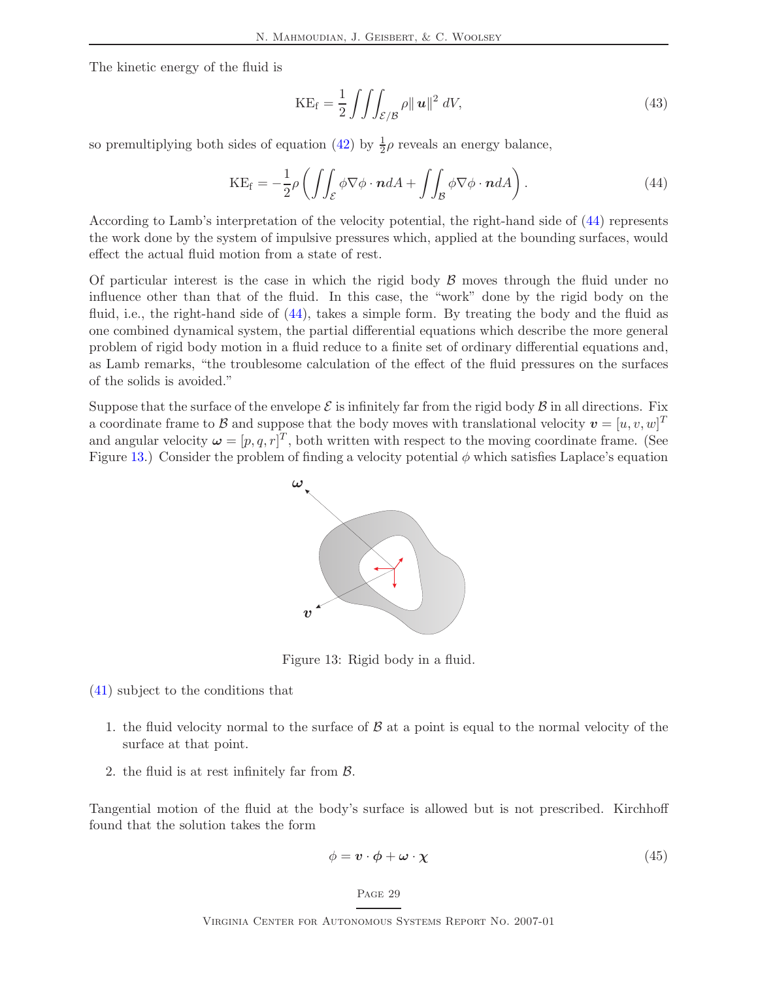The kinetic energy of the fluid is

<span id="page-33-1"></span>
$$
KE_f = \frac{1}{2} \iiint_{\mathcal{E}/\mathcal{B}} \rho ||\mathbf{u}||^2 \, dV,\tag{43}
$$

so premultiplying both sides of equation [\(42\)](#page-32-3) by  $\frac{1}{2}\rho$  reveals an energy balance,

$$
KE_f = -\frac{1}{2}\rho \left( \iint_{\mathcal{E}} \phi \nabla \phi \cdot \boldsymbol{n} dA + \iint_{\mathcal{B}} \phi \nabla \phi \cdot \boldsymbol{n} dA \right). \tag{44}
$$

According to Lamb's interpretation of the velocity potential, the right-hand side of [\(44\)](#page-33-1) represents the work done by the system of impulsive pressures which, applied at the bounding surfaces, would effect the actual fluid motion from a state of rest.

Of particular interest is the case in which the rigid body  $\beta$  moves through the fluid under no influence other than that of the fluid. In this case, the "work" done by the rigid body on the fluid, i.e., the right-hand side of [\(44\)](#page-33-1), takes a simple form. By treating the body and the fluid as one combined dynamical system, the partial differential equations which describe the more general problem of rigid body motion in a fluid reduce to a finite set of ordinary differential equations and, as Lamb remarks, "the troublesome calculation of the effect of the fluid pressures on the surfaces of the solids is avoided."

Suppose that the surface of the envelope  $\mathcal E$  is infinitely far from the rigid body  $\mathcal B$  in all directions. Fix a coordinate frame to  $\mathcal B$  and suppose that the body moves with translational velocity  $\boldsymbol{v} = [u, v, w]^T$ and angular velocity  $\boldsymbol{\omega} = [p, q, r]^T$ , both written with respect to the moving coordinate frame. (See Figure [13.](#page-33-0)) Consider the problem of finding a velocity potential  $\phi$  which satisfies Laplace's equation



<span id="page-33-0"></span>Figure 13: Rigid body in a fluid.

[\(41\)](#page-32-2) subject to the conditions that

- 1. the fluid velocity normal to the surface of  $\beta$  at a point is equal to the normal velocity of the surface at that point.
- 2. the fluid is at rest infinitely far from B.

Tangential motion of the fluid at the body's surface is allowed but is not prescribed. Kirchhoff found that the solution takes the form

<span id="page-33-2"></span>
$$
\phi = \mathbf{v} \cdot \boldsymbol{\phi} + \boldsymbol{\omega} \cdot \boldsymbol{\chi} \tag{45}
$$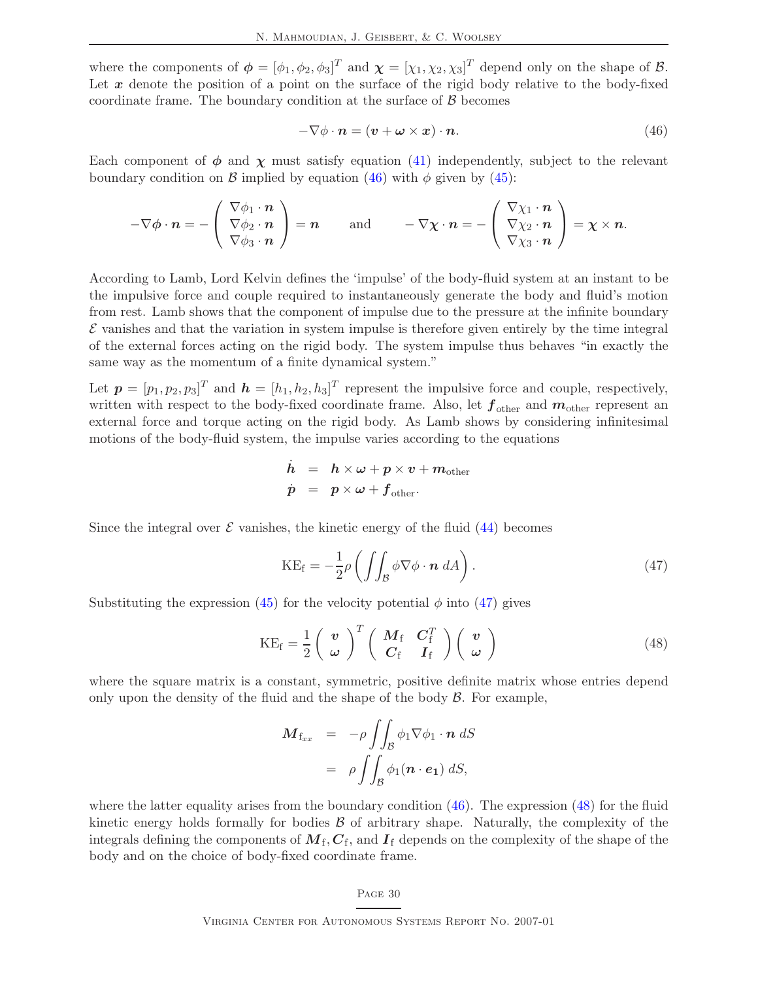where the components of  $\boldsymbol{\phi} = [\phi_1, \phi_2, \phi_3]^T$  and  $\boldsymbol{\chi} = [\chi_1, \chi_2, \chi_3]^T$  depend only on the shape of  $\mathcal{B}$ . Let  $x$  denote the position of a point on the surface of the rigid body relative to the body-fixed coordinate frame. The boundary condition at the surface of  $\beta$  becomes

<span id="page-34-0"></span>
$$
-\nabla \phi \cdot \mathbf{n} = (\mathbf{v} + \boldsymbol{\omega} \times \mathbf{x}) \cdot \mathbf{n}.\tag{46}
$$

Each component of  $\phi$  and  $\chi$  must satisfy equation [\(41\)](#page-32-2) independently, subject to the relevant boundary condition on B implied by equation [\(46\)](#page-34-0) with  $\phi$  given by [\(45\)](#page-33-2):

$$
-\nabla\phi\cdot\boldsymbol{n}=-\left(\begin{array}{c}\nabla\phi_1\cdot\boldsymbol{n}\\ \nabla\phi_2\cdot\boldsymbol{n}\\ \nabla\phi_3\cdot\boldsymbol{n}\end{array}\right)=\boldsymbol{n}\qquad\text{and}\qquad -\nabla\chi\cdot\boldsymbol{n}=-\left(\begin{array}{c}\nabla\chi_1\cdot\boldsymbol{n}\\ \nabla\chi_2\cdot\boldsymbol{n}\\ \nabla\chi_3\cdot\boldsymbol{n}\end{array}\right)=\boldsymbol{\chi}\times\boldsymbol{n}.
$$

According to Lamb, Lord Kelvin defines the 'impulse' of the body-fluid system at an instant to be the impulsive force and couple required to instantaneously generate the body and fluid's motion from rest. Lamb shows that the component of impulse due to the pressure at the infinite boundary  $\mathcal E$  vanishes and that the variation in system impulse is therefore given entirely by the time integral of the external forces acting on the rigid body. The system impulse thus behaves "in exactly the same way as the momentum of a finite dynamical system."

Let  $p = [p_1, p_2, p_3]^T$  and  $h = [h_1, h_2, h_3]^T$  represent the impulsive force and couple, respectively, written with respect to the body-fixed coordinate frame. Also, let  $f_{\text{other}}$  and  $m_{\text{other}}$  represent an external force and torque acting on the rigid body. As Lamb shows by considering infinitesimal motions of the body-fluid system, the impulse varies according to the equations

$$
\dot{h} = h \times \omega + p \times v + m_{\text{other}}
$$
\n
$$
\dot{p} = p \times \omega + f_{\text{other}}.
$$

Since the integral over  $\mathcal E$  vanishes, the kinetic energy of the fluid [\(44\)](#page-33-1) becomes

<span id="page-34-2"></span><span id="page-34-1"></span>
$$
KE_f = -\frac{1}{2}\rho \left( \int \int_{\mathcal{B}} \phi \nabla \phi \cdot \mathbf{n} \, dA \right). \tag{47}
$$

Substituting the expression [\(45\)](#page-33-2) for the velocity potential  $\phi$  into [\(47\)](#page-34-1) gives

$$
KE_f = \frac{1}{2} \begin{pmatrix} v \\ \omega \end{pmatrix}^T \begin{pmatrix} M_f & C_f^T \\ C_f & I_f \end{pmatrix} \begin{pmatrix} v \\ \omega \end{pmatrix}
$$
 (48)

where the square matrix is a constant, symmetric, positive definite matrix whose entries depend only upon the density of the fluid and the shape of the body  $\beta$ . For example,

$$
\mathbf{M}_{\mathbf{f}_{xx}} = -\rho \iint_{\mathcal{B}} \phi_1 \nabla \phi_1 \cdot \mathbf{n} \, dS
$$

$$
= \rho \iint_{\mathcal{B}} \phi_1(\mathbf{n} \cdot \mathbf{e}_1) \, dS,
$$

where the latter equality arises from the boundary condition  $(46)$ . The expression  $(48)$  for the fluid kinetic energy holds formally for bodies  $\beta$  of arbitrary shape. Naturally, the complexity of the integrals defining the components of  $M_{\rm f}$ ,  $C_{\rm f}$ , and  $I_{\rm f}$  depends on the complexity of the shape of the body and on the choice of body-fixed coordinate frame.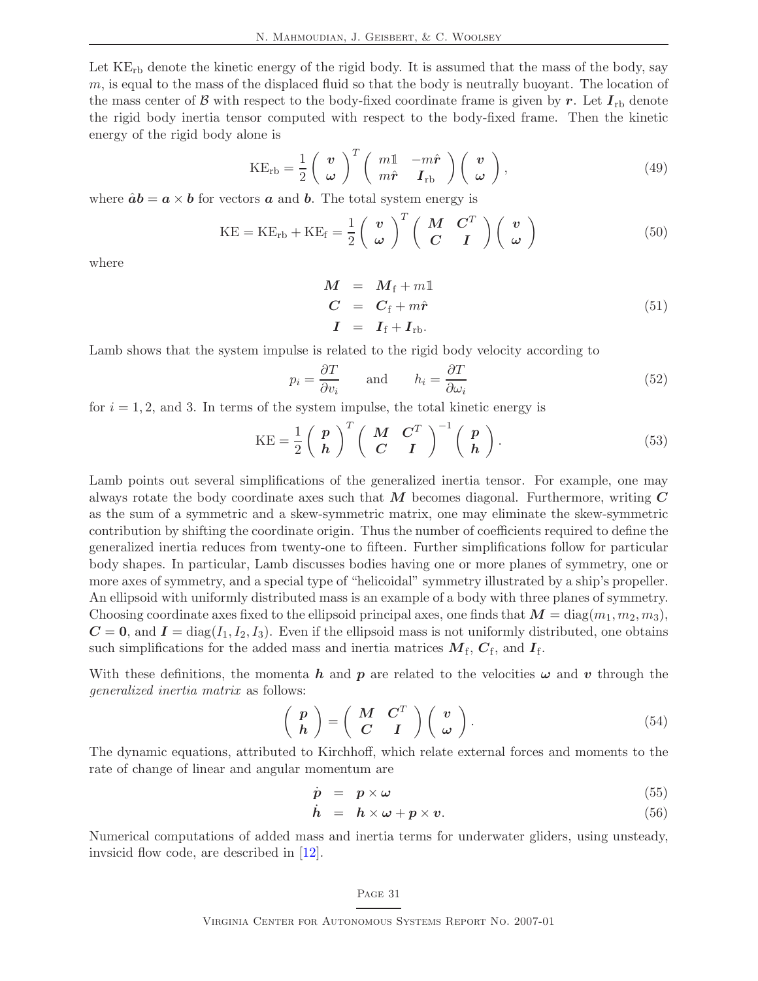N. Mahmoudian, J. Geisbert, & C. Woolsey

Let  $KE<sub>rb</sub>$  denote the kinetic energy of the rigid body. It is assumed that the mass of the body, say m, is equal to the mass of the displaced fluid so that the body is neutrally buoyant. The location of the mass center of B with respect to the body-fixed coordinate frame is given by r. Let  $I_{\text{rb}}$  denote the rigid body inertia tensor computed with respect to the body-fixed frame. Then the kinetic energy of the rigid body alone is

$$
KE_{rb} = \frac{1}{2} \begin{pmatrix} \boldsymbol{v} \\ \boldsymbol{\omega} \end{pmatrix}^T \begin{pmatrix} m1 & -m\hat{\boldsymbol{r}} \\ m\hat{\boldsymbol{r}} & \boldsymbol{I}_{rb} \end{pmatrix} \begin{pmatrix} \boldsymbol{v} \\ \boldsymbol{\omega} \end{pmatrix}, \tag{49}
$$

where  $\hat{a}b = a \times b$  for vectors a and b. The total system energy is

$$
KE = KE_{rb} + KE_f = \frac{1}{2} \begin{pmatrix} v \\ \omega \end{pmatrix}^T \begin{pmatrix} M & C^T \\ C & I \end{pmatrix} \begin{pmatrix} v \\ \omega \end{pmatrix}
$$
 (50)

where

$$
\begin{array}{rcl}\nM & = & M_{\text{f}} + m\mathbb{1} \\
C & = & C_{\text{f}} + m\hat{r} \\
I & = & I_{\text{f}} + I_{\text{rb}}.\n\end{array} \tag{51}
$$

Lamb shows that the system impulse is related to the rigid body velocity according to

$$
p_i = \frac{\partial T}{\partial v_i} \quad \text{and} \quad h_i = \frac{\partial T}{\partial \omega_i} \tag{52}
$$

for  $i = 1, 2$ , and 3. In terms of the system impulse, the total kinetic energy is

$$
KE = \frac{1}{2} \begin{pmatrix} p \\ h \end{pmatrix}^T \begin{pmatrix} M & C^T \\ C & I \end{pmatrix}^{-1} \begin{pmatrix} p \\ h \end{pmatrix}.
$$
 (53)

Lamb points out several simplifications of the generalized inertia tensor. For example, one may always rotate the body coordinate axes such that  $M$  becomes diagonal. Furthermore, writing  $C$ as the sum of a symmetric and a skew-symmetric matrix, one may eliminate the skew-symmetric contribution by shifting the coordinate origin. Thus the number of coefficients required to define the generalized inertia reduces from twenty-one to fifteen. Further simplifications follow for particular body shapes. In particular, Lamb discusses bodies having one or more planes of symmetry, one or more axes of symmetry, and a special type of "helicoidal" symmetry illustrated by a ship's propeller. An ellipsoid with uniformly distributed mass is an example of a body with three planes of symmetry. Choosing coordinate axes fixed to the ellipsoid principal axes, one finds that  $M = \text{diag}(m_1, m_2, m_3)$ ,  $C = 0$ , and  $I = diag(I_1, I_2, I_3)$ . Even if the ellipsoid mass is not uniformly distributed, one obtains such simplifications for the added mass and inertia matrices  $M_{\rm f}$ ,  $C_{\rm f}$ , and  $I_{\rm f}$ .

With these definitions, the momenta h and p are related to the velocities  $\omega$  and v through the generalized inertia matrix as follows:

$$
\left(\begin{array}{c}p\\h\end{array}\right)=\left(\begin{array}{cc}M & C^T\\C & I\end{array}\right)\left(\begin{array}{c}v\\ \omega\end{array}\right).
$$
\n(54)

The dynamic equations, attributed to Kirchhoff, which relate external forces and moments to the rate of change of linear and angular momentum are

$$
\dot{p} = p \times \omega \tag{55}
$$

$$
\dot{h} = h \times \omega + p \times v. \tag{56}
$$

Numerical computations of added mass and inertia terms for underwater gliders, using unsteady, invsicid flow code, are described in [\[12\]](#page-36-13).

#### Page 31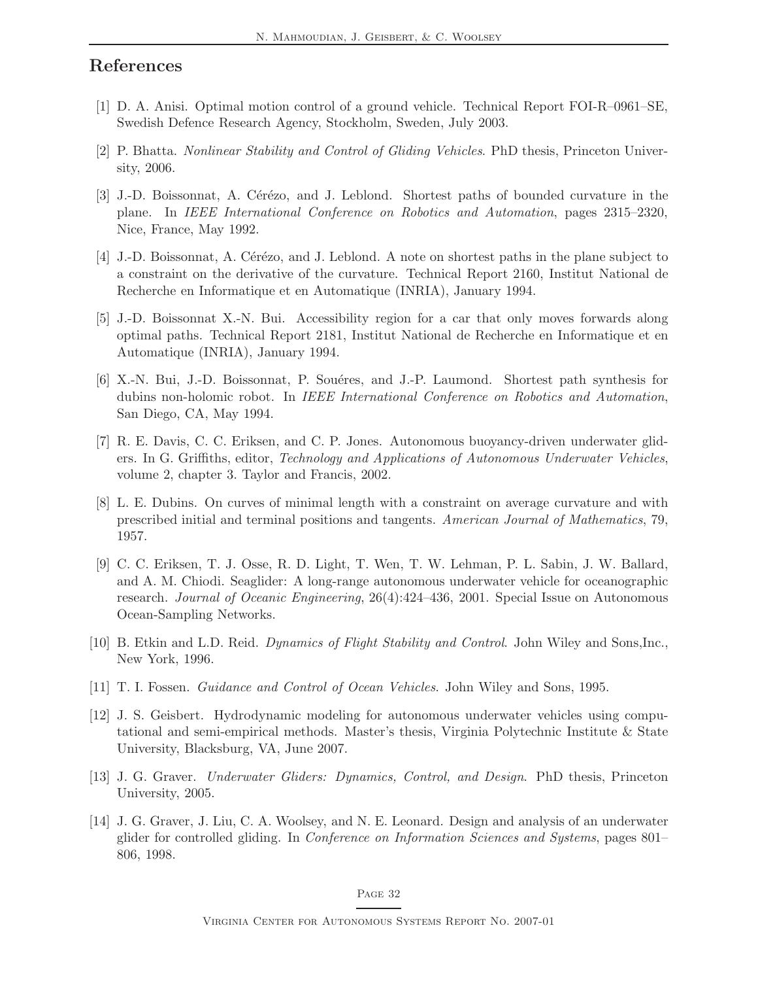## <span id="page-36-11"></span>References

- <span id="page-36-4"></span>[1] D. A. Anisi. Optimal motion control of a ground vehicle. Technical Report FOI-R–0961–SE, Swedish Defence Research Agency, Stockholm, Sweden, July 2003.
- <span id="page-36-8"></span>[2] P. Bhatta. Nonlinear Stability and Control of Gliding Vehicles. PhD thesis, Princeton University, 2006.
- [3] J.-D. Boissonnat, A. Cérézo, and J. Leblond. Shortest paths of bounded curvature in the plane. In IEEE International Conference on Robotics and Automation, pages 2315–2320, Nice, France, May 1992.
- <span id="page-36-12"></span>[4] J.-D. Boissonnat, A. Cérézo, and J. Leblond. A note on shortest paths in the plane subject to a constraint on the derivative of the curvature. Technical Report 2160, Institut National de Recherche en Informatique et en Automatique (INRIA), January 1994.
- <span id="page-36-9"></span>[5] J.-D. Boissonnat X.-N. Bui. Accessibility region for a car that only moves forwards along optimal paths. Technical Report 2181, Institut National de Recherche en Informatique et en Automatique (INRIA), January 1994.
- <span id="page-36-10"></span>[6] X.-N. Bui, J.-D. Boissonnat, P. Souéres, and J.-P. Laumond. Shortest path synthesis for dubins non-holomic robot. In IEEE International Conference on Robotics and Automation, San Diego, CA, May 1994.
- <span id="page-36-2"></span>[7] R. E. Davis, C. C. Eriksen, and C. P. Jones. Autonomous buoyancy-driven underwater gliders. In G. Griffiths, editor, Technology and Applications of Autonomous Underwater Vehicles, volume 2, chapter 3. Taylor and Francis, 2002.
- <span id="page-36-7"></span>[8] L. E. Dubins. On curves of minimal length with a constraint on average curvature and with prescribed initial and terminal positions and tangents. American Journal of Mathematics, 79, 1957.
- <span id="page-36-1"></span>[9] C. C. Eriksen, T. J. Osse, R. D. Light, T. Wen, T. W. Lehman, P. L. Sabin, J. W. Ballard, and A. M. Chiodi. Seaglider: A long-range autonomous underwater vehicle for oceanographic research. Journal of Oceanic Engineering, 26(4):424–436, 2001. Special Issue on Autonomous Ocean-Sampling Networks.
- <span id="page-36-6"></span>[10] B. Etkin and L.D. Reid. Dynamics of Flight Stability and Control. John Wiley and Sons,Inc., New York, 1996.
- <span id="page-36-13"></span><span id="page-36-0"></span>[11] T. I. Fossen. Guidance and Control of Ocean Vehicles. John Wiley and Sons, 1995.
- [12] J. S. Geisbert. Hydrodynamic modeling for autonomous underwater vehicles using computational and semi-empirical methods. Master's thesis, Virginia Polytechnic Institute & State University, Blacksburg, VA, June 2007.
- <span id="page-36-3"></span>[13] J. G. Graver. Underwater Gliders: Dynamics, Control, and Design. PhD thesis, Princeton University, 2005.
- <span id="page-36-5"></span>[14] J. G. Graver, J. Liu, C. A. Woolsey, and N. E. Leonard. Design and analysis of an underwater glider for controlled gliding. In Conference on Information Sciences and Systems, pages 801– 806, 1998.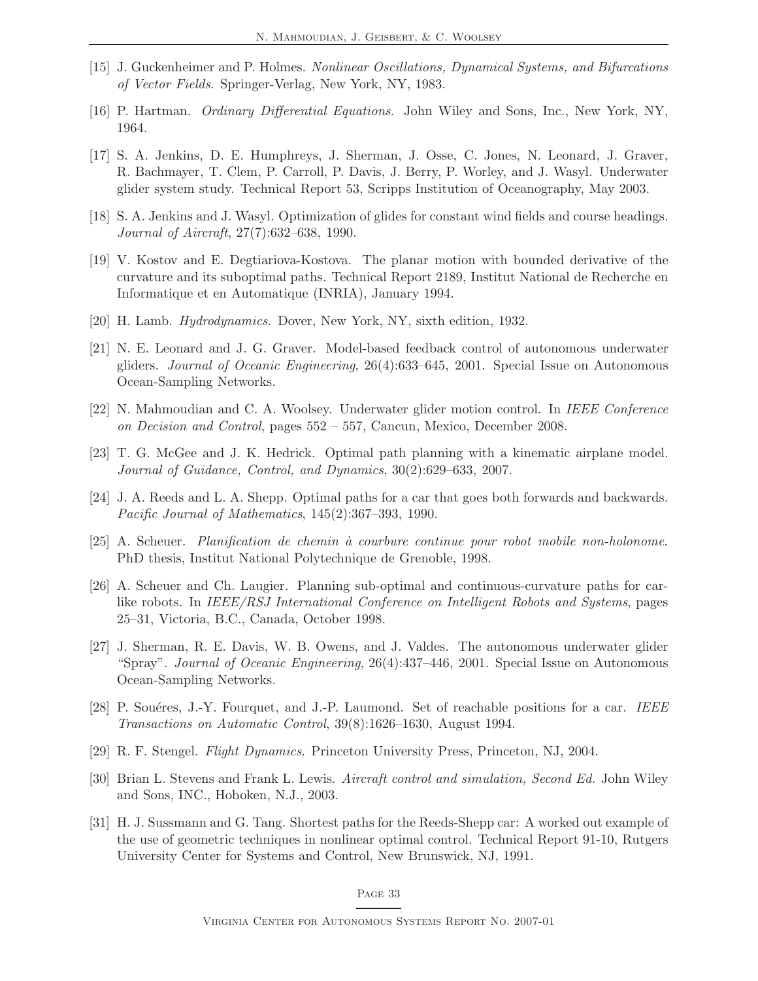- <span id="page-37-7"></span><span id="page-37-6"></span>[15] J. Guckenheimer and P. Holmes. Nonlinear Oscillations, Dynamical Systems, and Bifurcations of Vector Fields. Springer-Verlag, New York, NY, 1983.
- <span id="page-37-2"></span>[16] P. Hartman. Ordinary Differential Equations. John Wiley and Sons, Inc., New York, NY, 1964.
- [17] S. A. Jenkins, D. E. Humphreys, J. Sherman, J. Osse, C. Jones, N. Leonard, J. Graver, R. Bachmayer, T. Clem, P. Carroll, P. Davis, J. Berry, P. Worley, and J. Wasyl. Underwater glider system study. Technical Report 53, Scripps Institution of Oceanography, May 2003.
- <span id="page-37-15"></span><span id="page-37-13"></span>[18] S. A. Jenkins and J. Wasyl. Optimization of glides for constant wind fields and course headings. Journal of Aircraft, 27(7):632–638, 1990.
- [19] V. Kostov and E. Degtiariova-Kostova. The planar motion with bounded derivative of the curvature and its suboptimal paths. Technical Report 2189, Institut National de Recherche en Informatique et en Automatique (INRIA), January 1994.
- <span id="page-37-16"></span><span id="page-37-3"></span>[20] H. Lamb. *Hydrodynamics*. Dover, New York, NY, sixth edition, 1932.
- [21] N. E. Leonard and J. G. Graver. Model-based feedback control of autonomous underwater gliders. Journal of Oceanic Engineering, 26(4):633–645, 2001. Special Issue on Autonomous Ocean-Sampling Networks.
- <span id="page-37-14"></span><span id="page-37-4"></span>[22] N. Mahmoudian and C. A. Woolsey. Underwater glider motion control. In IEEE Conference on Decision and Control, pages 552 – 557, Cancun, Mexico, December 2008.
- <span id="page-37-8"></span>[23] T. G. McGee and J. K. Hedrick. Optimal path planning with a kinematic airplane model. Journal of Guidance, Control, and Dynamics, 30(2):629–633, 2007.
- <span id="page-37-11"></span>[24] J. A. Reeds and L. A. Shepp. Optimal paths for a car that goes both forwards and backwards. Pacific Journal of Mathematics, 145(2):367–393, 1990.
- <span id="page-37-12"></span>[25] A. Scheuer. Planification de chemin `a courbure continue pour robot mobile non-holonome. PhD thesis, Institut National Polytechnique de Grenoble, 1998.
- [26] A. Scheuer and Ch. Laugier. Planning sub-optimal and continuous-curvature paths for carlike robots. In IEEE/RSJ International Conference on Intelligent Robots and Systems, pages 25–31, Victoria, B.C., Canada, October 1998.
- <span id="page-37-1"></span>[27] J. Sherman, R. E. Davis, W. B. Owens, and J. Valdes. The autonomous underwater glider "Spray". Journal of Oceanic Engineering, 26(4):437–446, 2001. Special Issue on Autonomous Ocean-Sampling Networks.
- <span id="page-37-10"></span>[28] P. Souéres, J.-Y. Fourquet, and J.-P. Laumond. Set of reachable positions for a car. IEEE Transactions on Automatic Control, 39(8):1626–1630, August 1994.
- <span id="page-37-5"></span><span id="page-37-0"></span>[29] R. F. Stengel. Flight Dynamics. Princeton University Press, Princeton, NJ, 2004.
- [30] Brian L. Stevens and Frank L. Lewis. Aircraft control and simulation, Second Ed. John Wiley and Sons, INC., Hoboken, N.J., 2003.
- <span id="page-37-9"></span>[31] H. J. Sussmann and G. Tang. Shortest paths for the Reeds-Shepp car: A worked out example of the use of geometric techniques in nonlinear optimal control. Technical Report 91-10, Rutgers University Center for Systems and Control, New Brunswick, NJ, 1991.